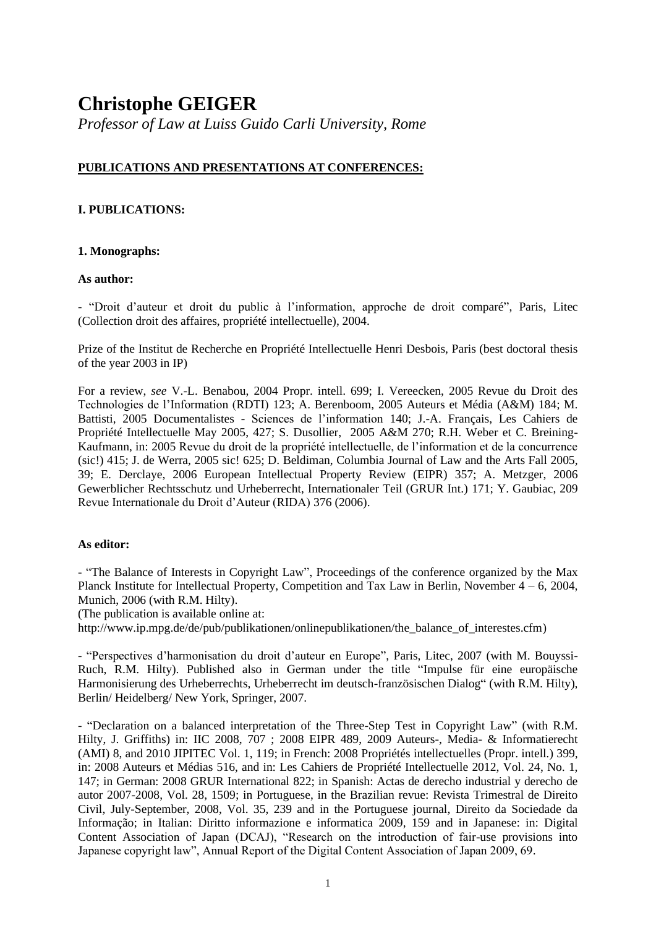# **Christophe GEIGER**

*Professor of Law at Luiss Guido Carli University, Rome*

# **PUBLICATIONS AND PRESENTATIONS AT CONFERENCES:**

# **I. PUBLICATIONS:**

## **1. Monographs:**

## **As author:**

**-** "Droit d'auteur et droit du public à l'information, approche de droit comparé", Paris, Litec (Collection droit des affaires, propriété intellectuelle), 2004.

Prize of the Institut de Recherche en Propriété Intellectuelle Henri Desbois, Paris (best doctoral thesis of the year 2003 in IP)

For a review, *see* V.-L. Benabou, 2004 Propr. intell. 699; I. Vereecken, 2005 Revue du Droit des Technologies de l'Information (RDTI) 123; A. Berenboom, 2005 Auteurs et Média (A&M) 184; M. Battisti, 2005 Documentalistes - Sciences de l'information 140; J.-A. Français, Les Cahiers de Propriété Intellectuelle May 2005, 427; S. Dusollier, 2005 A&M 270; R.H. Weber et C. Breining-Kaufmann, in: 2005 Revue du droit de la propriété intellectuelle, de l'information et de la concurrence (sic!) 415; J. de Werra, 2005 sic! 625; D. Beldiman, Columbia Journal of Law and the Arts Fall 2005, 39; E. Derclaye, 2006 European Intellectual Property Review (EIPR) 357; A. Metzger, 2006 Gewerblicher Rechtsschutz und Urheberrecht, Internationaler Teil (GRUR Int.) 171; Y. Gaubiac, 209 Revue Internationale du Droit d'Auteur (RIDA) 376 (2006).

## **As editor:**

- "The Balance of Interests in Copyright Law", Proceedings of the conference organized by the Max Planck Institute for Intellectual Property, Competition and Tax Law in Berlin, November  $4 - 6$ , 2004, Munich, 2006 (with R.M. Hilty).

(The publication is available online at:

http://www.ip.mpg.de/de/pub/publikationen/onlinepublikationen/the\_balance\_of\_interestes.cfm)

- "Perspectives d'harmonisation du droit d'auteur en Europe", Paris, Litec, 2007 (with M. Bouyssi-Ruch, R.M. Hilty). Published also in German under the title "Impulse für eine europäische Harmonisierung des Urheberrechts, Urheberrecht im deutsch-französischen Dialog" (with R.M. Hilty), Berlin/ Heidelberg/ New York, Springer, 2007.

- "Declaration on a balanced interpretation of the Three-Step Test in Copyright Law" (with R.M. Hilty, J. Griffiths) in: IIC 2008, 707 ; 2008 EIPR 489, 2009 Auteurs-, Media- & Informatierecht (AMI) 8, and 2010 JIPITEC Vol. 1, 119; in French: 2008 Propriétés intellectuelles (Propr. intell*.*) 399, in: 2008 Auteurs et Médias 516, and in: Les Cahiers de Propriété Intellectuelle 2012, Vol. 24, No. 1, 147; in German: 2008 GRUR International 822; in Spanish: Actas de derecho industrial y derecho de autor 2007-2008, Vol. 28, 1509; in Portuguese, in the Brazilian revue: Revista Trimestral de Direito Civil, July-September, 2008, Vol. 35, 239 and in the Portuguese journal, Direito da Sociedade da Informação; in Italian: Diritto informazione e informatica 2009, 159 and in Japanese: in: Digital Content Association of Japan (DCAJ), "Research on the introduction of fair-use provisions into Japanese copyright law", Annual Report of the Digital Content Association of Japan 2009, 69.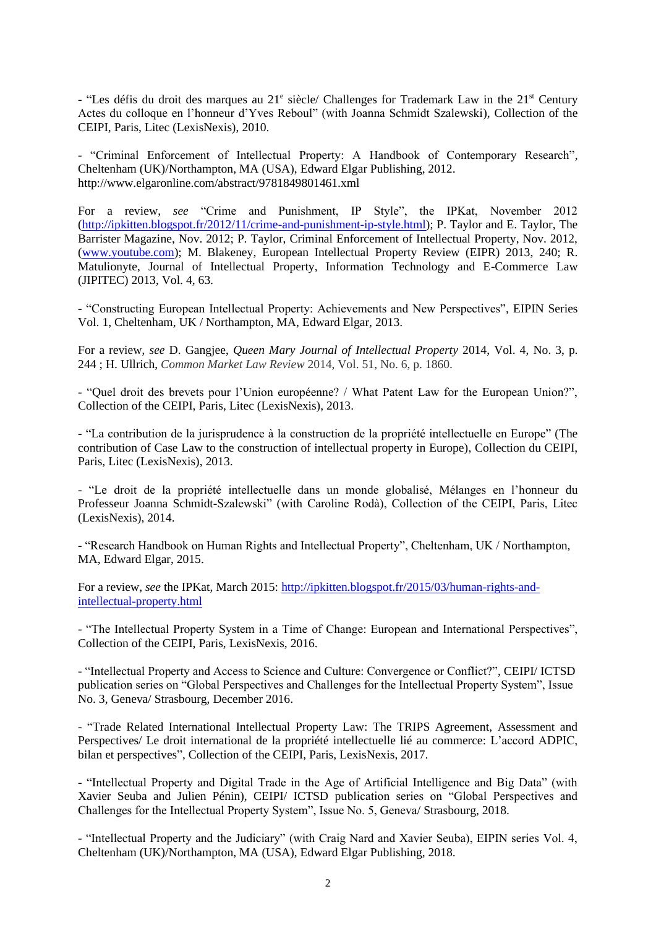- "Les défis du droit des marques au 21<sup>e</sup> siècle/ Challenges for Trademark Law in the 21<sup>st</sup> Century Actes du colloque en l'honneur d'Yves Reboul" (with Joanna Schmidt Szalewski), Collection of the CEIPI, Paris, Litec (LexisNexis), 2010.

- "Criminal Enforcement of Intellectual Property: A Handbook of Contemporary Research", Cheltenham (UK)/Northampton, MA (USA), Edward Elgar Publishing, 2012. http://www.elgaronline.com/abstract/9781849801461.xml

For a review, *see* "Crime and Punishment, IP Style", the IPKat, November 2012 [\(http://ipkitten.blogspot.fr/2012/11/crime-and-punishment-ip-style.html\)](http://ipkitten.blogspot.fr/2012/11/crime-and-punishment-ip-style.html); P. Taylor and E. Taylor, The Barrister Magazine, Nov. 2012; P. Taylor, Criminal Enforcement of Intellectual Property, Nov. 2012, [\(www.youtube.com\)](http://www.youtube.com/); M. Blakeney, European Intellectual Property Review (EIPR) 2013, 240; R. Matulionyte, Journal of Intellectual Property, Information Technology and E-Commerce Law (JIPITEC) 2013, Vol. 4, 63.

- "Constructing European Intellectual Property: Achievements and New Perspectives", EIPIN Series Vol. 1, Cheltenham, UK / Northampton, MA, Edward Elgar, 2013.

For a review, *see* D. Gangjee, *Queen Mary Journal of Intellectual Property* 2014, Vol. 4, No. 3, p. 244 ; H. Ullrich, *Common Market Law Review* 2014, Vol. 51, No. 6, p. 1860.

- "Quel droit des brevets pour l'Union européenne? / What Patent Law for the European Union?", Collection of the CEIPI, Paris, Litec (LexisNexis), 2013.

- "La contribution de la jurisprudence à la construction de la propriété intellectuelle en Europe" (The contribution of Case Law to the construction of intellectual property in Europe), Collection du CEIPI, Paris, Litec (LexisNexis), 2013.

- "Le droit de la propriété intellectuelle dans un monde globalisé, Mélanges en l'honneur du Professeur Joanna Schmidt-Szalewski" (with Caroline Rodà), Collection of the CEIPI, Paris, Litec (LexisNexis), 2014.

- "Research Handbook on Human Rights and Intellectual Property", Cheltenham, UK / Northampton, MA, Edward Elgar, 2015.

For a review, *see* the IPKat, March 2015: [http://ipkitten.blogspot.fr/2015/03/human-rights-and](http://ipkitten.blogspot.fr/2015/03/human-rights-and-intellectual-property.html)[intellectual-property.html](http://ipkitten.blogspot.fr/2015/03/human-rights-and-intellectual-property.html)

- "The Intellectual Property System in a Time of Change: European and International Perspectives", Collection of the CEIPI, Paris, LexisNexis, 2016.

- "Intellectual Property and Access to Science and Culture: Convergence or Conflict?", CEIPI/ ICTSD publication series on "Global Perspectives and Challenges for the Intellectual Property System", Issue No. 3, Geneva/ Strasbourg, December 2016.

- "Trade Related International Intellectual Property Law: The TRIPS Agreement, Assessment and Perspectives/ Le droit international de la propriété intellectuelle lié au commerce: L'accord ADPIC, bilan et perspectives", Collection of the CEIPI, Paris, LexisNexis, 2017.

- "Intellectual Property and Digital Trade in the Age of Artificial Intelligence and Big Data" (with Xavier Seuba and Julien Pénin), CEIPI/ ICTSD publication series on "Global Perspectives and Challenges for the Intellectual Property System", Issue No. 5, Geneva/ Strasbourg, 2018.

- "Intellectual Property and the Judiciary" (with Craig Nard and Xavier Seuba), EIPIN series Vol. 4, Cheltenham (UK)/Northampton, MA (USA), Edward Elgar Publishing, 2018.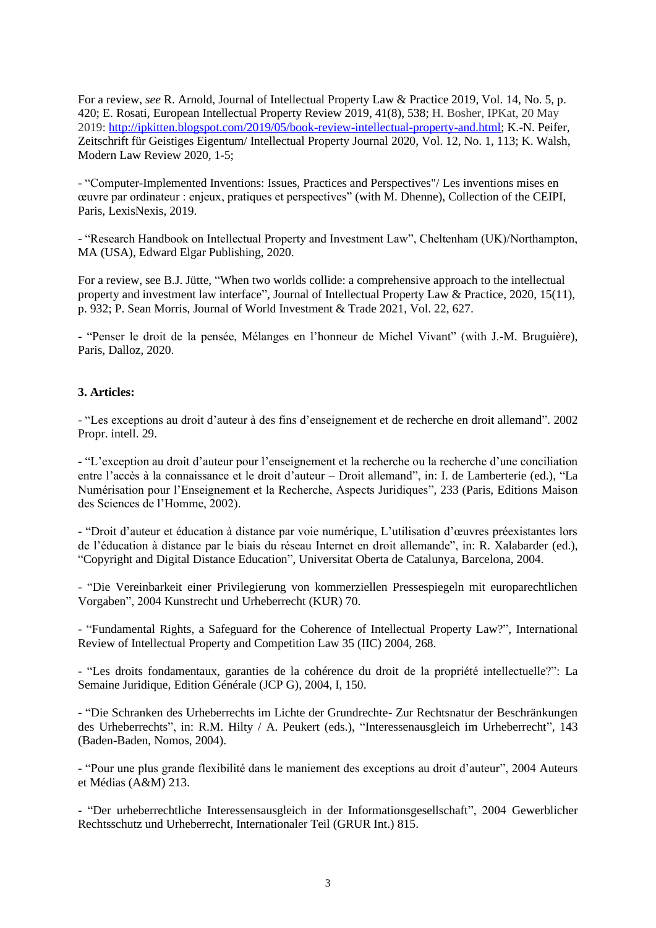For a review, *see* R. Arnold, Journal of Intellectual Property Law & Practice 2019, Vol. 14, No. 5, p. 420; E. Rosati, European Intellectual Property Review 2019, 41(8), 538; H. Bosher, IPKat, 20 May 2019: [http://ipkitten.blogspot.com/2019/05/book-review-intellectual-property-and.html;](http://ipkitten.blogspot.com/2019/05/book-review-intellectual-property-and.html) K.-N. Peifer, Zeitschrift für Geistiges Eigentum/ Intellectual Property Journal 2020, Vol. 12, No. 1, 113; K. Walsh, Modern Law Review 2020, 1-5;

- "Computer-Implemented Inventions: Issues, Practices and Perspectives"/ Les inventions mises en œuvre par ordinateur : enjeux, pratiques et perspectives" (with M. Dhenne), Collection of the CEIPI, Paris, LexisNexis, 2019.

- "Research Handbook on Intellectual Property and Investment Law", Cheltenham (UK)/Northampton, MA (USA), Edward Elgar Publishing, 2020.

For a review, see B.J. Jütte, "When two worlds collide: a comprehensive approach to the intellectual property and investment law interface", Journal of Intellectual Property Law & Practice, 2020, 15(11), p. 932; P. Sean Morris, Journal of World Investment & Trade 2021, Vol. 22, 627.

- "Penser le droit de la pensée, Mélanges en l'honneur de Michel Vivant" (with J.-M. Bruguière), Paris, Dalloz, 2020.

#### **3. Articles:**

- "Les exceptions au droit d'auteur à des fins d'enseignement et de recherche en droit allemand"*.* 2002 Propr. intell. 29.

- "L'exception au droit d'auteur pour l'enseignement et la recherche ou la recherche d'une conciliation entre l'accès à la connaissance et le droit d'auteur – Droit allemand", in: I. de Lamberterie (ed.), "La Numérisation pour l'Enseignement et la Recherche, Aspects Juridiques", 233 (Paris, Editions Maison des Sciences de l'Homme, 2002).

- "Droit d'auteur et éducation à distance par voie numérique, L'utilisation d'œuvres préexistantes lors de l'éducation à distance par le biais du réseau Internet en droit allemande", in: R. Xalabarder (ed.), "Copyright and Digital Distance Education", Universitat Oberta de Catalunya, Barcelona, 2004.

- "Die Vereinbarkeit einer Privilegierung von kommerziellen Pressespiegeln mit europarechtlichen Vorgaben", 2004 Kunstrecht und Urheberrecht (KUR) 70.

- "Fundamental Rights, a Safeguard for the Coherence of Intellectual Property Law?", International Review of Intellectual Property and Competition Law 35 (IIC) 2004, 268.

- "Les droits fondamentaux, garanties de la cohérence du droit de la propriété intellectuelle?": La Semaine Juridique, Edition Générale (JCP G), 2004, I, 150.

- "Die Schranken des Urheberrechts im Lichte der Grundrechte- Zur Rechtsnatur der Beschränkungen des Urheberrechts", in: R.M. Hilty / A. Peukert (eds.), "Interessenausgleich im Urheberrecht", 143 (Baden-Baden, Nomos, 2004).

- "Pour une plus grande flexibilité dans le maniement des exceptions au droit d'auteur", 2004 Auteurs et Médias (A&M) 213.

- "Der urheberrechtliche Interessensausgleich in der Informationsgesellschaft", 2004 Gewerblicher Rechtsschutz und Urheberrecht, Internationaler Teil (GRUR Int.) 815.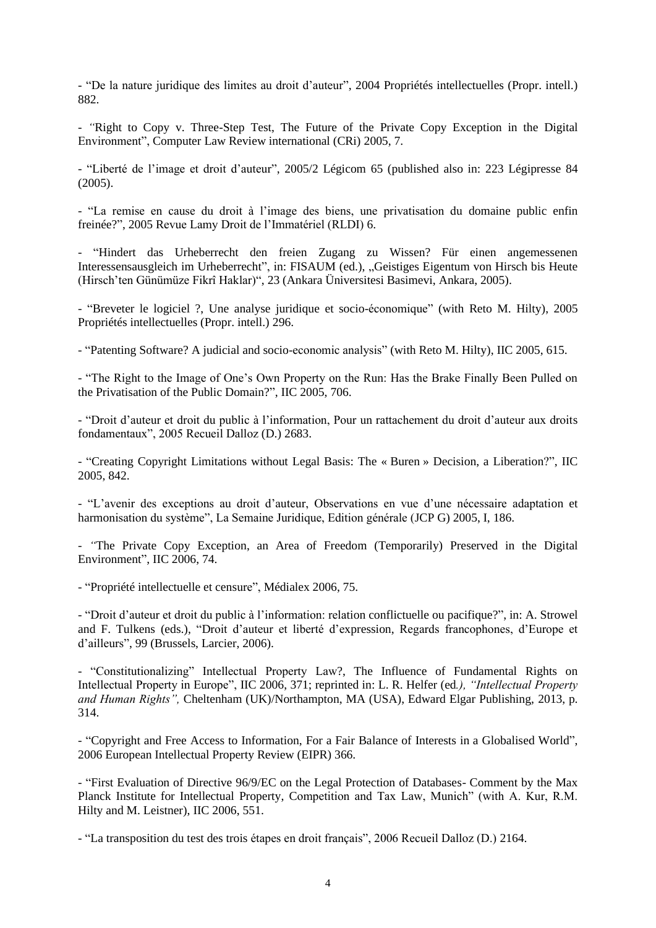- "De la nature juridique des limites au droit d'auteur", 2004 Propriétés intellectuelles (Propr. intell.) 882.

- *"*Right to Copy v. Three-Step Test, The Future of the Private Copy Exception in the Digital Environment", Computer Law Review international (CRi) 2005, 7.

- "Liberté de l'image et droit d'auteur", 2005/2 Légicom 65 (published also in: 223 Légipresse 84 (2005).

- "La remise en cause du droit à l'image des biens, une privatisation du domaine public enfin freinée?", 2005 Revue Lamy Droit de l'Immatériel (RLDI) 6.

- "Hindert das Urheberrecht den freien Zugang zu Wissen? Für einen angemessenen Interessensausgleich im Urheberrecht", in: FISAUM (ed.), "Geistiges Eigentum von Hirsch bis Heute (Hirsch'ten Günümüze Fikrî Haklar)", 23 (Ankara Üniversitesi Basimevi, Ankara, 2005).

- "Breveter le logiciel ?, Une analyse juridique et socio-économique" (with Reto M. Hilty), 2005 Propriétés intellectuelles (Propr. intell.) 296.

- "Patenting Software? A judicial and socio-economic analysis" (with Reto M. Hilty), IIC 2005, 615.

- "The Right to the Image of One's Own Property on the Run: Has the Brake Finally Been Pulled on the Privatisation of the Public Domain?", IIC 2005, 706.

- "Droit d'auteur et droit du public à l'information, Pour un rattachement du droit d'auteur aux droits fondamentaux", 2005 Recueil Dalloz (D.) 2683.

- "Creating Copyright Limitations without Legal Basis: The « Buren » Decision, a Liberation?", IIC 2005, 842.

- "L'avenir des exceptions au droit d'auteur, Observations en vue d'une nécessaire adaptation et harmonisation du système", La Semaine Juridique, Edition générale (JCP G) 2005, I, 186.

- *"*The Private Copy Exception, an Area of Freedom (Temporarily) Preserved in the Digital Environment", IIC 2006, 74.

- "Propriété intellectuelle et censure", Médialex 2006, 75.

- "Droit d'auteur et droit du public à l'information: relation conflictuelle ou pacifique?", in: A. Strowel and F. Tulkens (eds.), "Droit d'auteur et liberté d'expression, Regards francophones, d'Europe et d'ailleurs", 99 (Brussels, Larcier, 2006).

- "Constitutionalizing" Intellectual Property Law?, The Influence of Fundamental Rights on Intellectual Property in Europe", IIC 2006, 371; reprinted in: L. R. Helfer (ed*.), "Intellectual Property and Human Rights",* Cheltenham (UK)/Northampton, MA (USA), Edward Elgar Publishing, 2013, p. 314.

- "Copyright and Free Access to Information, For a Fair Balance of Interests in a Globalised World", 2006 European Intellectual Property Review (EIPR) 366.

- "First Evaluation of Directive 96/9/EC on the Legal Protection of Databases- Comment by the Max Planck Institute for Intellectual Property, Competition and Tax Law, Munich" (with A. Kur, R.M. Hilty and M. Leistner), IIC 2006, 551.

- "La transposition du test des trois étapes en droit français", 2006 Recueil Dalloz (D.) 2164.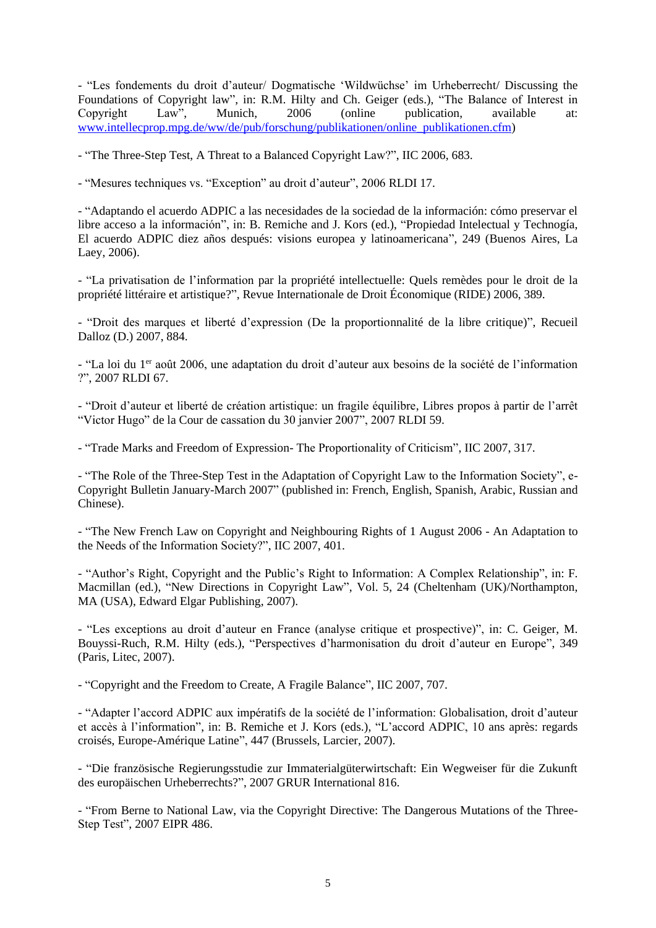- "Les fondements du droit d'auteur/ Dogmatische 'Wildwüchse' im Urheberrecht/ Discussing the Foundations of Copyright law", in: R.M. Hilty and Ch. Geiger (eds.), "The Balance of Interest in Copyright Law", Munich, 2006 (online publication, available at: Copyright Law", Munich, 2006 (online publication, available at: [www.intellecprop.mpg.de/ww/de/pub/forschung/publikationen/online\\_publikationen.cfm\)](http://www.intellecprop.mpg.de/ww/de/pub/forschung/publikationen/online_publikationen.cfm)

- "The Three-Step Test, A Threat to a Balanced Copyright Law?", IIC 2006, 683.

- "Mesures techniques vs. "Exception" au droit d'auteur", 2006 RLDI 17.

- "Adaptando el acuerdo ADPIC a las necesidades de la sociedad de la información: cómo preservar el libre acceso a la información", in: B. Remiche and J. Kors (ed.), "Propiedad Intelectual y Technogía, El acuerdo ADPIC diez años después: visions europea y latinoamericana", 249 (Buenos Aires, La Laey, 2006).

- "La privatisation de l'information par la propriété intellectuelle: Quels remèdes pour le droit de la propriété littéraire et artistique?", Revue Internationale de Droit Économique (RIDE) 2006, 389.

- "Droit des marques et liberté d'expression (De la proportionnalité de la libre critique)", Recueil Dalloz (D.) 2007, 884.

- "La loi du 1er août 2006, une adaptation du droit d'auteur aux besoins de la société de l'information ?", 2007 RLDI 67.

- "Droit d'auteur et liberté de création artistique: un fragile équilibre, Libres propos à partir de l'arrêt "Victor Hugo" de la Cour de cassation du 30 janvier 2007", 2007 RLDI 59.

- "Trade Marks and Freedom of Expression- The Proportionality of Criticism", IIC 2007, 317.

- "The Role of the Three-Step Test in the Adaptation of Copyright Law to the Information Society", e-Copyright Bulletin January-March 2007" (published in: French, English, Spanish, Arabic, Russian and Chinese).

- "The New French Law on Copyright and Neighbouring Rights of 1 August 2006 - An Adaptation to the Needs of the Information Society?", IIC 2007, 401.

- "Author's Right, Copyright and the Public's Right to Information: A Complex Relationship", in: F. Macmillan (ed.), "New Directions in Copyright Law", Vol. 5, 24 (Cheltenham (UK)/Northampton, MA (USA), Edward Elgar Publishing, 2007).

- "Les exceptions au droit d'auteur en France (analyse critique et prospective)", in: C. Geiger, M. Bouyssi-Ruch, R.M. Hilty (eds.), "Perspectives d'harmonisation du droit d'auteur en Europe", 349 (Paris, Litec, 2007).

- "Copyright and the Freedom to Create, A Fragile Balance", IIC 2007, 707.

- "Adapter l'accord ADPIC aux impératifs de la société de l'information: Globalisation, droit d'auteur et accès à l'information", in: B. Remiche et J. Kors (eds.), "L'accord ADPIC, 10 ans après: regards croisés, Europe-Amérique Latine", 447 (Brussels, Larcier, 2007).

- "Die französische Regierungsstudie zur Immaterialgüterwirtschaft: Ein Wegweiser für die Zukunft des europäischen Urheberrechts?", 2007 GRUR International 816.

- "From Berne to National Law, via the Copyright Directive: The Dangerous Mutations of the Three-Step Test", 2007 EIPR 486.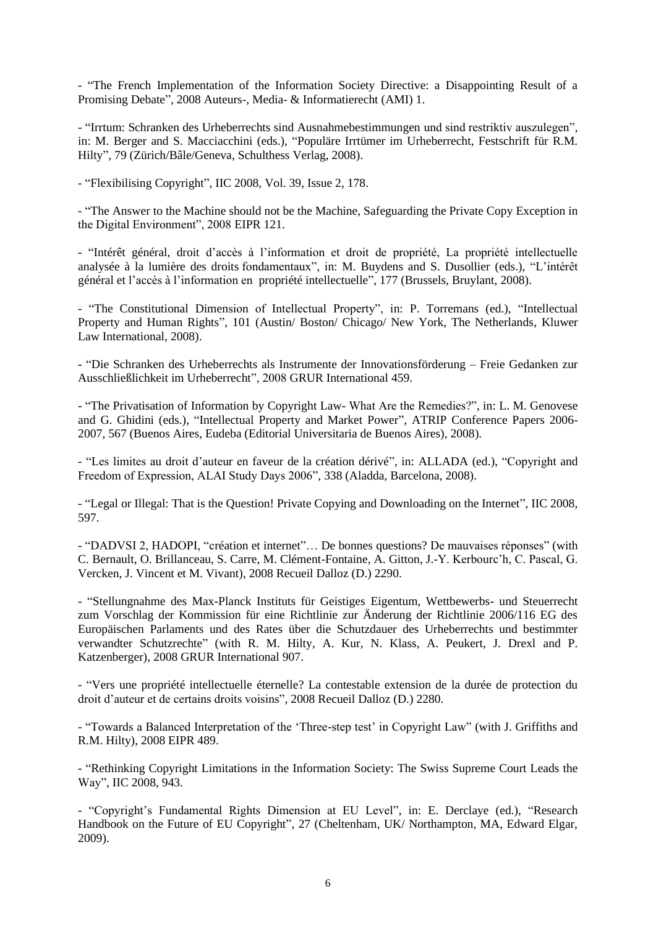- "The French Implementation of the Information Society Directive: a Disappointing Result of a Promising Debate", 2008 Auteurs-, Media- & Informatierecht (AMI) 1.

- "Irrtum: Schranken des Urheberrechts sind Ausnahmebestimmungen und sind restriktiv auszulegen", in: M. Berger and S. Macciacchini (eds.), "Populäre Irrtümer im Urheberrecht, Festschrift für R.M. Hilty", 79 (Zürich/Bâle/Geneva, Schulthess Verlag, 2008).

- "Flexibilising Copyright", IIC 2008, Vol. 39, Issue 2, 178.

- "The Answer to the Machine should not be the Machine, Safeguarding the Private Copy Exception in the Digital Environment", 2008 EIPR 121.

- "Intérêt général, droit d'accès à l'information et droit de propriété, La propriété intellectuelle analysée à la lumière des droits fondamentaux", in: M. Buydens and S. Dusollier (eds.), "L'intérêt général et l'accès à l'information en propriété intellectuelle", 177 (Brussels, Bruylant, 2008).

- "The Constitutional Dimension of Intellectual Property", in: P. Torremans (ed.), "Intellectual Property and Human Rights", 101 (Austin/ Boston/ Chicago/ New York, The Netherlands, Kluwer Law International, 2008).

- "Die Schranken des Urheberrechts als Instrumente der Innovationsförderung – Freie Gedanken zur Ausschließlichkeit im Urheberrecht", 2008 GRUR International 459.

- "The Privatisation of Information by Copyright Law- What Are the Remedies?", in: L. M. Genovese and G. Ghidini (eds.), "Intellectual Property and Market Power"*,* ATRIP Conference Papers 2006- 2007, 567 (Buenos Aires, Eudeba (Editorial Universitaria de Buenos Aires), 2008).

- "Les limites au droit d'auteur en faveur de la création dérivé", in: ALLADA (ed.), "Copyright and Freedom of Expression, ALAI Study Days 2006", 338 (Aladda, Barcelona, 2008).

- "Legal or Illegal: That is the Question! Private Copying and Downloading on the Internet", IIC 2008, 597.

- "DADVSI 2, HADOPI, "création et internet"… De bonnes questions? De mauvaises réponses" (with C. Bernault, O. Brillanceau, S. Carre, M. Clément-Fontaine, A. Gitton, J.-Y. Kerbourc'h, C. Pascal, G. Vercken, J. Vincent et M. Vivant), 2008 Recueil Dalloz (D.) 2290.

- "Stellungnahme des Max-Planck Instituts für Geistiges Eigentum, Wettbewerbs- und Steuerrecht zum Vorschlag der Kommission für eine Richtlinie zur Änderung der Richtlinie 2006/116 EG des Europäischen Parlaments und des Rates über die Schutzdauer des Urheberrechts und bestimmter verwandter Schutzrechte" (with R. M. Hilty, A. Kur, N. Klass, A. Peukert, J. Drexl and P. Katzenberger), 2008 GRUR International 907.

- "Vers une propriété intellectuelle éternelle? La contestable extension de la durée de protection du droit d'auteur et de certains droits voisins", 2008 Recueil Dalloz (D.) 2280.

- "Towards a Balanced Interpretation of the 'Three-step test' in Copyright Law" (with J. Griffiths and R.M. Hilty), 2008 EIPR 489.

- "Rethinking Copyright Limitations in the Information Society: The Swiss Supreme Court Leads the Way", IIC 2008, 943.

- "Copyright's Fundamental Rights Dimension at EU Level", in: E. Derclaye (ed.), "Research Handbook on the Future of EU Copyright", 27 (Cheltenham, UK/ Northampton, MA, Edward Elgar, 2009).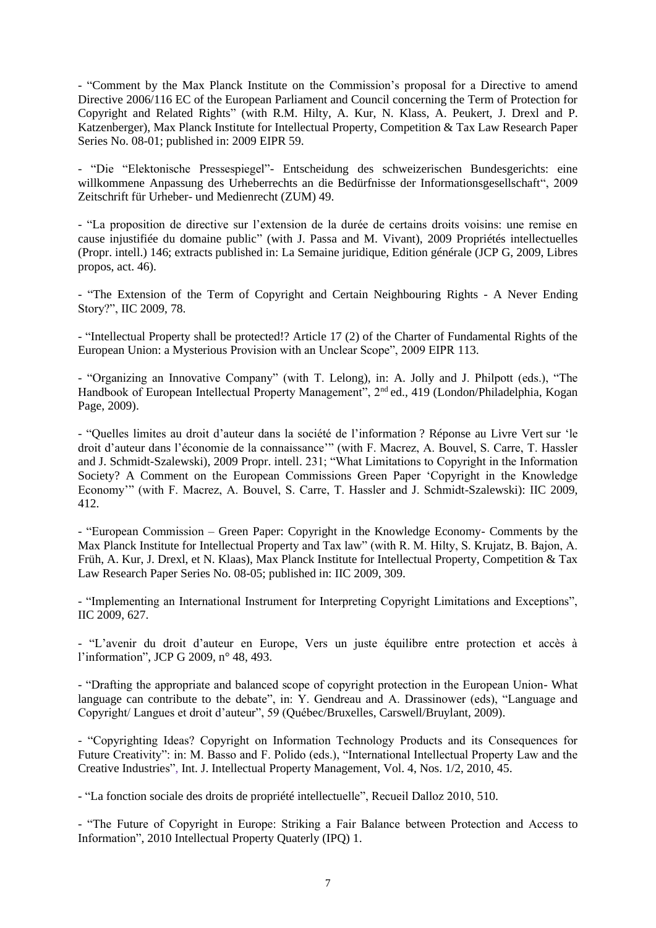- "Comment by the Max Planck Institute on the Commission's proposal for a Directive to amend Directive 2006/116 EC of the European Parliament and Council concerning the Term of Protection for Copyright and Related Rights" (with R.M. Hilty, A. Kur, N. Klass, A. Peukert, J. Drexl and P. Katzenberger), Max Planck Institute for Intellectual Property, Competition & Tax Law Research Paper Series No. 08-01; published in: 2009 EIPR 59.

- "Die "Elektonische Pressespiegel"- Entscheidung des schweizerischen Bundesgerichts: eine willkommene Anpassung des Urheberrechts an die Bedürfnisse der Informationsgesellschaft", 2009 Zeitschrift für Urheber- und Medienrecht (ZUM) 49.

- "La proposition de directive sur l'extension de la durée de certains droits voisins: une remise en cause injustifiée du domaine public" (with J. Passa and M. Vivant), 2009 Propriétés intellectuelles (Propr. intell.) 146; extracts published in: La Semaine juridique, Edition générale (JCP G, 2009, Libres propos, act. 46).

- "The Extension of the Term of Copyright and Certain Neighbouring Rights - A Never Ending Story?", IIC 2009, 78.

- "Intellectual Property shall be protected!? Article 17 (2) of the Charter of Fundamental Rights of the European Union: a Mysterious Provision with an Unclear Scope", 2009 EIPR 113.

- "Organizing an Innovative Company" (with T. Lelong), in: A. Jolly and J. Philpott (eds.), "The Handbook of European Intellectual Property Management", 2<sup>nd</sup> ed., 419 (London/Philadelphia, Kogan Page, 2009).

- "Quelles limites au droit d'auteur dans la société de l'information ? Réponse au Livre Vert sur 'le droit d'auteur dans l'économie de la connaissance'" (with F. Macrez, A. Bouvel, S. Carre, T. Hassler and J. Schmidt-Szalewski), 2009 Propr. intell. 231; "What Limitations to Copyright in the Information Society? A Comment on the European Commissions Green Paper 'Copyright in the Knowledge Economy'" (with F. Macrez, A. Bouvel, S. Carre, T. Hassler and J. Schmidt-Szalewski): IIC 2009, 412.

- "European Commission – Green Paper: Copyright in the Knowledge Economy- Comments by the Max Planck Institute for Intellectual Property and Tax law" (with R. M. Hilty, S. Krujatz, B. Bajon, A. Früh, A. Kur, J. Drexl, et N. Klaas), Max Planck Institute for Intellectual Property, Competition & Tax Law Research Paper Series No. 08-05; published in: IIC 2009, 309.

- "Implementing an International Instrument for Interpreting Copyright Limitations and Exceptions", IIC 2009, 627.

- "L'avenir du droit d'auteur en Europe, Vers un juste équilibre entre protection et accès à l'information", JCP G 2009, n° 48, 493.

- "Drafting the appropriate and balanced scope of copyright protection in the European Union- What language can contribute to the debate", in: Y. Gendreau and A. Drassinower (eds), "Language and Copyright/ Langues et droit d'auteur", 59 (Québec/Bruxelles, Carswell/Bruylant, 2009).

- "Copyrighting Ideas? Copyright on Information Technology Products and its Consequences for Future Creativity": in: M. Basso and F. Polido (eds.), "International Intellectual Property Law and the Creative Industries", Int. J. Intellectual Property Management, Vol. 4, Nos. 1/2, 2010, 45.

- "La fonction sociale des droits de propriété intellectuelle", Recueil Dalloz 2010, 510.

- "The Future of Copyright in Europe: Striking a Fair Balance between Protection and Access to Information", 2010 Intellectual Property Quaterly (IPQ) 1.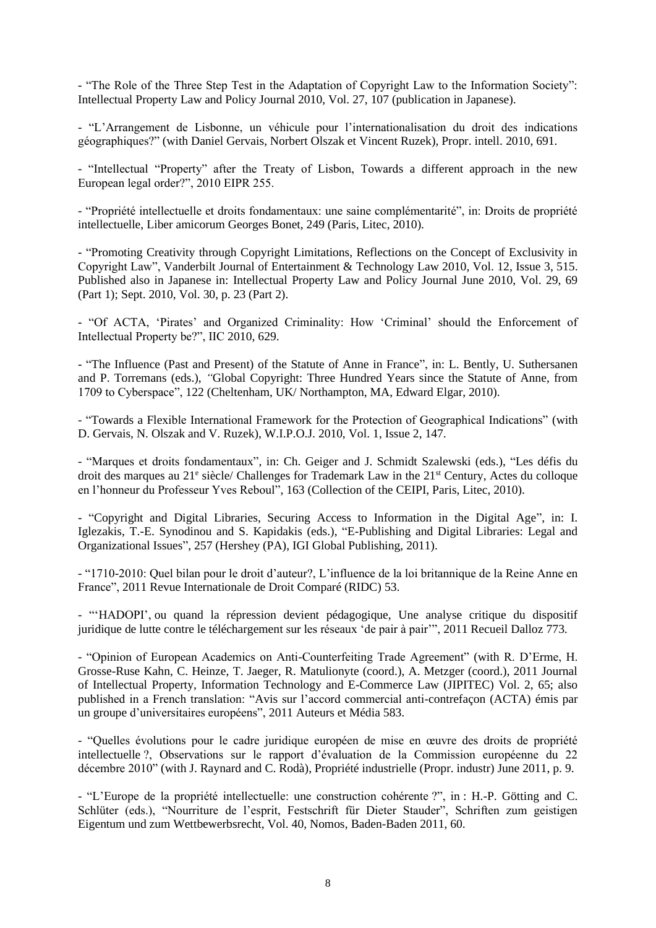- "The Role of the Three Step Test in the Adaptation of Copyright Law to the Information Society": Intellectual Property Law and Policy Journal 2010, Vol. 27, 107 (publication in Japanese).

- "L'Arrangement de Lisbonne, un véhicule pour l'internationalisation du droit des indications géographiques?" (with Daniel Gervais, Norbert Olszak et Vincent Ruzek), Propr. intell. 2010, 691.

- "Intellectual "Property" after the Treaty of Lisbon, Towards a different approach in the new European legal order?", 2010 EIPR 255.

- "Propriété intellectuelle et droits fondamentaux: une saine complémentarité", in: Droits de propriété intellectuelle, Liber amicorum Georges Bonet, 249 (Paris, Litec, 2010).

- "Promoting Creativity through Copyright Limitations, Reflections on the Concept of Exclusivity in Copyright Law", Vanderbilt Journal of Entertainment & Technology Law 2010, Vol. 12, Issue 3, 515. Published also in Japanese in: Intellectual Property Law and Policy Journal June 2010, Vol. 29, 69 (Part 1); Sept. 2010, Vol. 30, p. 23 (Part 2).

- "Of ACTA, 'Pirates' and Organized Criminality: How 'Criminal' should the Enforcement of Intellectual Property be?", IIC 2010, 629.

- "The Influence (Past and Present) of the Statute of Anne in France", in: L. Bently, U. Suthersanen and P. Torremans (eds.), *"*Global Copyright: Three Hundred Years since the Statute of Anne, from 1709 to Cyberspace", 122 (Cheltenham, UK/ Northampton, MA, Edward Elgar, 2010).

- "Towards a Flexible International Framework for the Protection of Geographical Indications" (with D. Gervais, N. Olszak and V. Ruzek), W.I.P.O.J. 2010, Vol. 1, Issue 2, 147.

- "Marques et droits fondamentaux", in: Ch. Geiger and J. Schmidt Szalewski (eds.), "Les défis du droit des marques au 21<sup>e</sup> siècle/ Challenges for Trademark Law in the 21<sup>st</sup> Century, Actes du colloque en l'honneur du Professeur Yves Reboul", 163 (Collection of the CEIPI, Paris, Litec, 2010).

- "Copyright and Digital Libraries, Securing Access to Information in the Digital Age", in: I. Iglezakis, T.-E. Synodinou and S. Kapidakis (eds.), "E-Publishing and Digital Libraries: Legal and Organizational Issues", 257 (Hershey (PA), IGI Global Publishing, 2011).

- "1710-2010: Quel bilan pour le droit d'auteur?, L'influence de la loi britannique de la Reine Anne en France", 2011 Revue Internationale de Droit Comparé (RIDC) 53.

- "'HADOPI', ou quand la répression devient pédagogique, Une analyse critique du dispositif juridique de lutte contre le téléchargement sur les réseaux 'de pair à pair'", 2011 Recueil Dalloz 773.

- "Opinion of European Academics on Anti-Counterfeiting Trade Agreement" (with R. D'Erme, H. Grosse-Ruse Kahn, C. Heinze, T. Jaeger, R. Matulionyte (coord.), A. Metzger (coord.), 2011 Journal of Intellectual Property, Information Technology and E-Commerce Law (JIPITEC) Vol. 2, 65; also published in a French translation: "Avis sur l'accord commercial anti-contrefaçon (ACTA) émis par un groupe d'universitaires européens", 2011 Auteurs et Média 583.

- "Quelles évolutions pour le cadre juridique européen de mise en œuvre des droits de propriété intellectuelle ?, Observations sur le rapport d'évaluation de la Commission européenne du 22 décembre 2010" (with J. Raynard and C. Rodà), Propriété industrielle (Propr. industr) June 2011, p. 9.

- "L'Europe de la propriété intellectuelle: une construction cohérente ?", in : H.-P. Götting and C. Schlüter (eds.), "Nourriture de l'esprit, Festschrift für Dieter Stauder", Schriften zum geistigen Eigentum und zum Wettbewerbsrecht, Vol. 40, Nomos, Baden-Baden 2011, 60.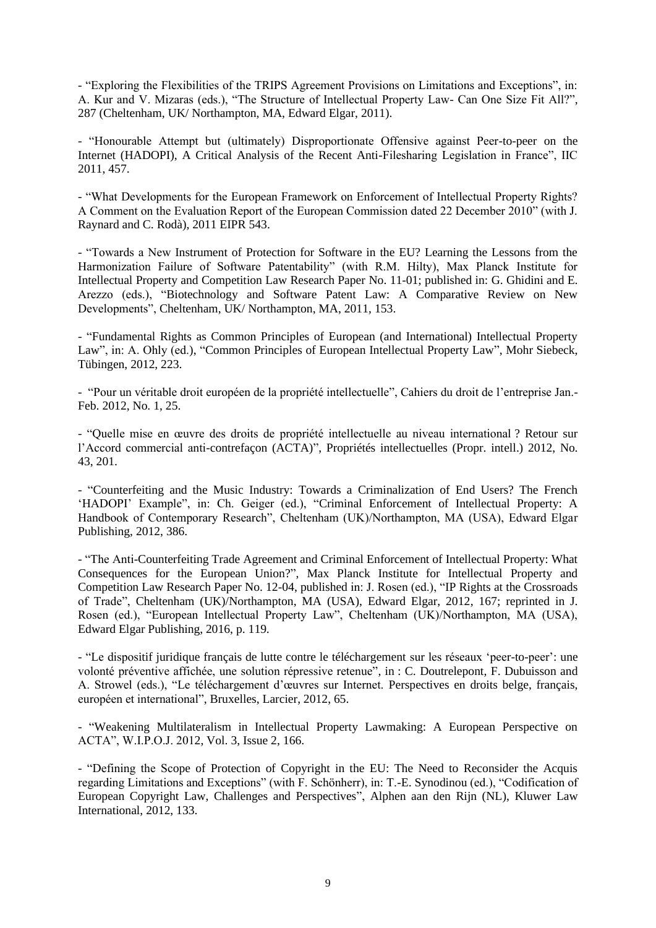- "Exploring the Flexibilities of the TRIPS Agreement Provisions on Limitations and Exceptions", in: A. Kur and V. Mizaras (eds.), "The Structure of Intellectual Property Law- Can One Size Fit All?", 287 (Cheltenham, UK/ Northampton, MA, Edward Elgar, 2011).

- "Honourable Attempt but (ultimately) Disproportionate Offensive against Peer-to-peer on the Internet (HADOPI), A Critical Analysis of the Recent Anti-Filesharing Legislation in France", IIC 2011, 457.

- "What Developments for the European Framework on Enforcement of Intellectual Property Rights? A Comment on the Evaluation Report of the European Commission dated 22 December 2010" (with J. Raynard and C. Rodà), 2011 EIPR 543.

- "Towards a New Instrument of Protection for Software in the EU? Learning the Lessons from the Harmonization Failure of Software Patentability" (with R.M. Hilty), Max Planck Institute for Intellectual Property and Competition Law Research Paper No. 11-01; published in: G. Ghidini and E. Arezzo (eds.), "Biotechnology and Software Patent Law: A Comparative Review on New Developments", Cheltenham, UK/ Northampton, MA, 2011, 153.

- "Fundamental Rights as Common Principles of European (and International) Intellectual Property Law", in: A. Ohly (ed.), "Common Principles of European Intellectual Property Law", Mohr Siebeck, Tübingen, 2012, 223.

- "Pour un véritable droit européen de la propriété intellectuelle", Cahiers du droit de l'entreprise Jan.- Feb. 2012, No. 1, 25.

- "Quelle mise en œuvre des droits de propriété intellectuelle au niveau international ? Retour sur l'Accord commercial anti-contrefaçon (ACTA)", Propriétés intellectuelles (Propr. intell.) 2012, No. 43, 201.

- "Counterfeiting and the Music Industry: Towards a Criminalization of End Users? The French 'HADOPI' Example", in: Ch. Geiger (ed.), "Criminal Enforcement of Intellectual Property: A Handbook of Contemporary Research", Cheltenham (UK)/Northampton, MA (USA), Edward Elgar Publishing, 2012, 386.

- "The Anti-Counterfeiting Trade Agreement and Criminal Enforcement of Intellectual Property: What Consequences for the European Union?", Max Planck Institute for Intellectual Property and Competition Law Research Paper No. 12-04, published in: J. Rosen (ed.), "IP Rights at the Crossroads of Trade", Cheltenham (UK)/Northampton, MA (USA), Edward Elgar, 2012, 167; reprinted in J. Rosen (ed.), "European Intellectual Property Law", Cheltenham (UK)/Northampton, MA (USA), Edward Elgar Publishing, 2016, p. 119.

- "Le dispositif juridique français de lutte contre le téléchargement sur les réseaux 'peer-to-peer': une volonté préventive affichée, une solution répressive retenue", in : C. Doutrelepont, F. Dubuisson and A. Strowel (eds.), "Le téléchargement d'œuvres sur Internet. Perspectives en droits belge, français, européen et international", Bruxelles, Larcier, 2012, 65.

- "Weakening Multilateralism in Intellectual Property Lawmaking: A European Perspective on ACTA", W.I.P.O.J. 2012, Vol. 3, Issue 2, 166.

- "Defining the Scope of Protection of Copyright in the EU: The Need to Reconsider the Acquis regarding Limitations and Exceptions" (with F. Schönherr), in: T.-E. Synodinou (ed.), "Codification of European Copyright Law, Challenges and Perspectives", Alphen aan den Rijn (NL), Kluwer Law International, 2012, 133.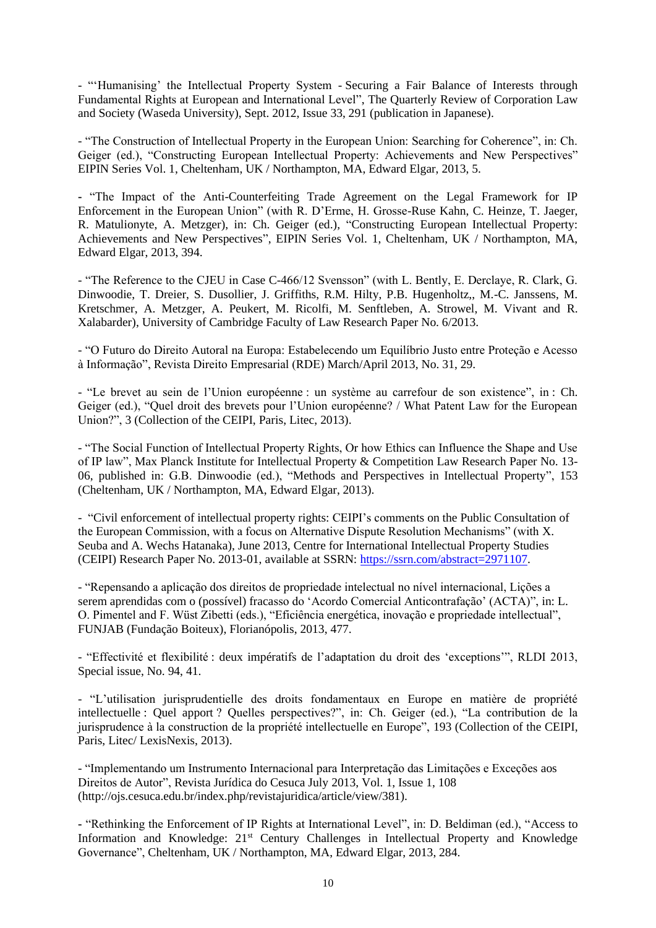- "'Humanising' the Intellectual Property System - Securing a Fair Balance of Interests through Fundamental Rights at European and International Level", The Quarterly Review of Corporation Law and Society (Waseda University), Sept. 2012, Issue 33, 291 (publication in Japanese).

- "The Construction of Intellectual Property in the European Union: Searching for Coherence", in: Ch. Geiger (ed.), "Constructing European Intellectual Property: Achievements and New Perspectives" EIPIN Series Vol. 1, Cheltenham, UK / Northampton, MA, Edward Elgar, 2013, 5.

**-** "The Impact of the Anti-Counterfeiting Trade Agreement on the Legal Framework for IP Enforcement in the European Union" (with R. D'Erme, H. Grosse-Ruse Kahn, C. Heinze, T. Jaeger, R. Matulionyte, A. Metzger), in: Ch. Geiger (ed.), "Constructing European Intellectual Property: Achievements and New Perspectives", EIPIN Series Vol. 1, Cheltenham, UK / Northampton, MA, Edward Elgar, 2013, 394.

- "The Reference to the CJEU in Case C-466/12 Svensson" (with L. Bently, E. Derclaye, R. Clark, G. Dinwoodie, T. Dreier, S. Dusollier, J. Griffiths, R.M. Hilty, P.B. Hugenholtz,, M.-C. Janssens, M. Kretschmer, A. Metzger, A. Peukert, M. Ricolfi, M. Senftleben, A. Strowel, M. Vivant and R. Xalabarder), University of Cambridge Faculty of Law Research Paper No. 6/2013.

- "O Futuro do Direito Autoral na Europa: Estabelecendo um Equilíbrio Justo entre Proteção e Acesso à Informação", Revista Direito Empresarial (RDE) March/April 2013, No. 31, 29.

- "Le brevet au sein de l'Union européenne : un système au carrefour de son existence", in : Ch. Geiger (ed.), "Quel droit des brevets pour l'Union européenne? / What Patent Law for the European Union?", 3 (Collection of the CEIPI, Paris, Litec, 2013).

- "The Social Function of Intellectual Property Rights, Or how Ethics can Influence the Shape and Use of IP law", [Max Planck Institute for Intellectual Property & Competition Law Research Paper No. 13-](http://papers.ssrn.com/sol3/papers.cfm?abstract_id=2228067##) [06,](http://papers.ssrn.com/sol3/papers.cfm?abstract_id=2228067##) published in: G.B. Dinwoodie (ed.), "Methods and Perspectives in Intellectual Property", 153 (Cheltenham, UK / Northampton, MA, Edward Elgar, 2013).

- "Civil enforcement of intellectual property rights: CEIPI's comments on the Public Consultation of the European Commission, with a focus on Alternative Dispute Resolution Mechanisms" (with X. Seuba and A. Wechs Hatanaka), June 2013, Centre for International Intellectual Property Studies (CEIPI) Research Paper No. 2013-01, available at SSRN: [https://ssrn.com/abstract=2971107.](https://ssrn.com/abstract=2971107)

- "Repensando a aplicação dos direitos de propriedade intelectual no nível internacional, Lições a serem aprendidas com o (possível) fracasso do 'Acordo Comercial Anticontrafação' (ACTA)", in: L. O. Pimentel and F. Wüst Zibetti (eds.), "Eficiência energética, inovação e propriedade intellectual", FUNJAB (Fundação Boiteux), Florianópolis, 2013, 477.

- "Effectivité et flexibilité : deux impératifs de l'adaptation du droit des 'exceptions'", RLDI 2013, Special issue, No. 94, 41.

- "L'utilisation jurisprudentielle des droits fondamentaux en Europe en matière de propriété intellectuelle : Quel apport ? Quelles perspectives?", in: Ch. Geiger (ed.), "La contribution de la jurisprudence à la construction de la propriété intellectuelle en Europe", 193 (Collection of the CEIPI, Paris, Litec/ LexisNexis, 2013).

- "Implementando um Instrumento Internacional para Interpretação das Limitações e Exceções aos Direitos de Autor", Revista Jurídica do Cesuca July 2013, Vol. 1, Issue 1, 108 (http://ojs.cesuca.edu.br/index.php/revistajuridica/article/view/381).

**-** "Rethinking the Enforcement of IP Rights at International Level", in: D. Beldiman (ed.), "Access to Information and Knowledge: 21<sup>st</sup> Century Challenges in Intellectual Property and Knowledge Governance", Cheltenham, UK / Northampton, MA, Edward Elgar, 2013, 284.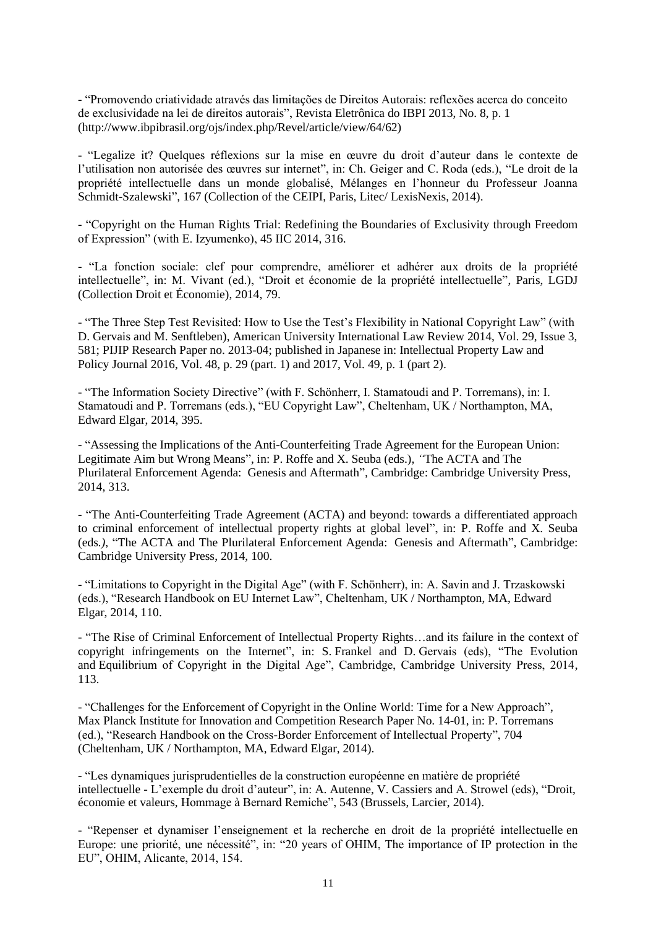- "Promovendo criatividade através das limitações de Direitos Autorais: reflexões acerca do conceito de exclusividade na lei de direitos autorais", Revista Eletrônica do IBPI 2013, No. 8, p. 1 (http://www.ibpibrasil.org/ojs/index.php/Revel/article/view/64/62)

- "Legalize it? Quelques réflexions sur la mise en œuvre du droit d'auteur dans le contexte de l'utilisation non autorisée des œuvres sur internet", in: Ch. Geiger and C. Roda (eds.), "Le droit de la propriété intellectuelle dans un monde globalisé, Mélanges en l'honneur du Professeur Joanna Schmidt-Szalewski", 167 (Collection of the CEIPI, Paris, Litec/ LexisNexis, 2014).

- "Copyright on the Human Rights Trial: Redefining the Boundaries of Exclusivity through Freedom of Expression" (with E. Izyumenko), 45 IIC 2014, 316.

- "La fonction sociale: clef pour comprendre, améliorer et adhérer aux droits de la propriété intellectuelle", in: M. Vivant (ed.), "Droit et économie de la propriété intellectuelle", Paris, LGDJ (Collection Droit et Économie), 2014, 79.

- "The Three Step Test Revisited: How to Use the Test's Flexibility in National Copyright Law" (with D. Gervais and M. Senftleben), American University International Law Review 2014, Vol. 29, Issue 3, 581; PIJIP Research Paper no. 2013-04; published in Japanese in: Intellectual Property Law and Policy Journal 2016, Vol. 48, p. 29 (part. 1) and 2017, Vol. 49, p. 1 (part 2).

- "The Information Society Directive" (with F. Schönherr, I. Stamatoudi and P. Torremans), in: I. Stamatoudi and P. Torremans (eds.), "EU Copyright Law", Cheltenham, UK / Northampton, MA, Edward Elgar, 2014, 395.

- "Assessing the Implications of the Anti-Counterfeiting Trade Agreement for the European Union: Legitimate Aim but Wrong Means", in: P. Roffe and X. Seuba (eds.)*, "*The ACTA and The Plurilateral Enforcement Agenda: Genesis and Aftermath"*,* Cambridge: Cambridge University Press, 2014, 313.

- "The Anti-Counterfeiting Trade Agreement (ACTA) and beyond: towards a differentiated approach to criminal enforcement of intellectual property rights at global level", in: P. Roffe and X. Seuba (eds*.)*, "The ACTA and The Plurilateral Enforcement Agenda: Genesis and Aftermath"*,* Cambridge: Cambridge University Press, 2014, 100.

- "Limitations to Copyright in the Digital Age" (with F. Schönherr), in: A. Savin and J. Trzaskowski (eds.), "Research Handbook on EU Internet Law", Cheltenham, UK / Northampton, MA, Edward Elgar, 2014, 110.

- "The Rise of Criminal Enforcement of Intellectual Property Rights…and its failure in the context of copyright infringements on the Internet", in: S. Frankel and D. Gervais (eds), "The Evolution and Equilibrium of Copyright in the Digital Age", Cambridge, Cambridge University Press, 2014, 113.

- "Challenges for the Enforcement of Copyright in the Online World: Time for a New Approach", Max Planck Institute for Innovation and Competition Research Paper No. 14-01, in: P. Torremans (ed.), "Research Handbook on the Cross-Border Enforcement of Intellectual Property", 704 (Cheltenham, UK / Northampton, MA, Edward Elgar, 2014).

- "Les dynamiques jurisprudentielles de la construction européenne en matière de propriété intellectuelle - L'exemple du droit d'auteur", in: [A. Autenne, V. Cassiers](javascript:void(0)) and A. Strowel (eds), "Droit, économie et valeurs, Hommage à Bernard Remiche", 543 (Brussels, Larcier, 2014).

- "Repenser et dynamiser l'enseignement et la recherche en droit de la propriété intellectuelle en Europe: une priorité, une nécessité", in: "20 years of OHIM, The importance of IP protection in the EU", OHIM, Alicante, 2014, 154.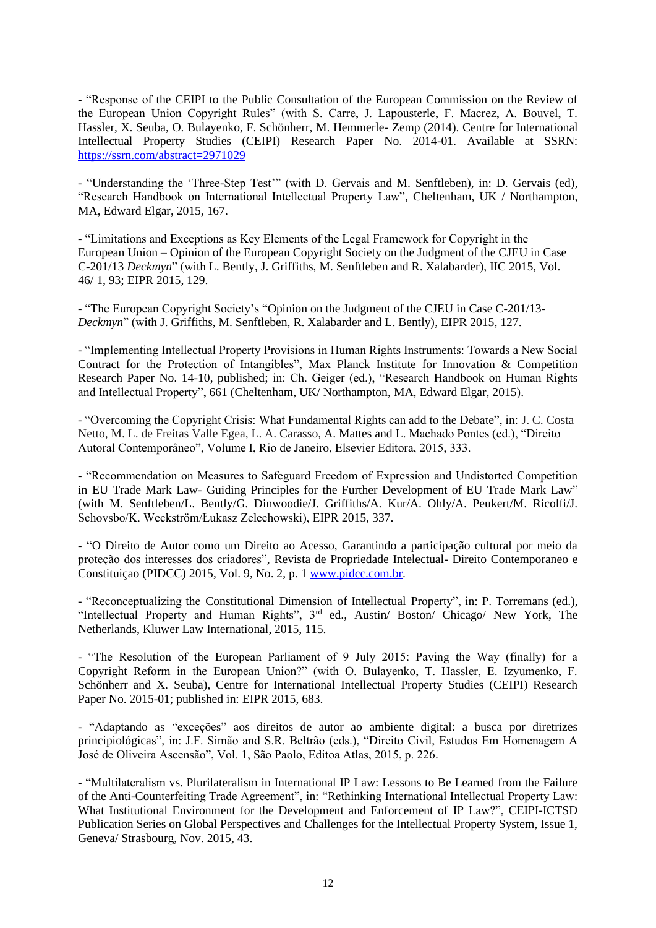- "Response of the CEIPI to the Public Consultation of the European Commission on the Review of the European Union Copyright Rules" (with S. Carre, J. Lapousterle, F. Macrez, A. Bouvel, T. Hassler, X. Seuba, O. Bulayenko, F. Schönherr, M. Hemmerle- Zemp (2014). Centre for International Intellectual Property Studies (CEIPI) Research Paper No. 2014-01. Available at SSRN: <https://ssrn.com/abstract=2971029>

- "Understanding the 'Three-Step Test'" (with D. Gervais and M. Senftleben), in: D. Gervais (ed)*,*  "Research Handbook on International Intellectual Property Law", Cheltenham, UK / Northampton, MA, Edward Elgar, 2015, 167.

- "Limitations and Exceptions as Key Elements of the Legal Framework for Copyright in the European Union – Opinion of the European Copyright Society on the Judgment of the CJEU in Case C-201/13 *Deckmyn*" (with L. Bently, J. Griffiths, M. Senftleben and R. Xalabarder), IIC 2015, Vol. 46/ 1, 93; EIPR 2015, 129.

- "The European Copyright Society's "Opinion on the Judgment of the CJEU in Case C-201/13- *Deckmyn*" (with J. Griffiths, M. Senftleben, R. Xalabarder and L. Bently), EIPR 2015, 127.

- "Implementing Intellectual Property Provisions in Human Rights Instruments: Towards a New Social Contract for the Protection of Intangibles", [Max Planck Institute for Innovation & Competition](https://papers.ssrn.com/sol3/papers.cfm?abstract_id=2459004##)  [Research Paper No. 14-10,](https://papers.ssrn.com/sol3/papers.cfm?abstract_id=2459004##) published; in: Ch. Geiger (ed.), "Research Handbook on Human Rights and Intellectual Property", 661 (Cheltenham, UK/ Northampton, MA, Edward Elgar, 2015).

- "Overcoming the Copyright Crisis: What Fundamental Rights can add to the Debate", in: J. C. Costa Netto, M. L. de Freitas Valle Egea, L. A. Carasso*,* A. Mattes and L. Machado Pontes (ed.), "Direito Autoral Contemporâneo", Volume I, Rio de Janeiro, Elsevier Editora, 2015, 333.

- "Recommendation on Measures to Safeguard Freedom of Expression and Undistorted Competition in EU Trade Mark Law- Guiding Principles for the Further Development of EU Trade Mark Law" (with M. Senftleben/L. Bently/G. Dinwoodie/J. Griffiths/A. Kur/A. Ohly/A. Peukert/M. Ricolfi/J. Schovsbo/K. Weckström/Łukasz Zelechowski), EIPR 2015, 337.

- "O Direito de Autor como um Direito ao Acesso, Garantindo a participação cultural por meio da proteção dos interesses dos criadores", Revista de Propriedade Intelectual- Direito Contemporaneo e Constituiçao (PIDCC) 2015, Vol. 9, No. 2, p. 1 [www.pidcc.com.br.](http://www.pidcc.com.br/)

- "Reconceptualizing the Constitutional Dimension of Intellectual Property", in: P. Torremans (ed.), "Intellectual Property and Human Rights", 3rd ed., Austin/ Boston/ Chicago/ New York, The Netherlands, Kluwer Law International, 2015, 115.

- "The Resolution of the European Parliament of 9 July 2015: Paving the Way (finally) for a Copyright Reform in the European Union?" (with O. Bulayenko, T. Hassler, E. Izyumenko, F. Schönherr and X. Seuba), Centre for International Intellectual Property Studies (CEIPI) Research Paper No. 2015-01; published in: EIPR 2015, 683.

- "Adaptando as "exceções" aos direitos de autor ao ambiente digital: a busca por diretrizes principiológicas", in: J.F. Simão and S.R. Beltrão (eds.), "Direito Civil, Estudos Em Homenagem A José de Oliveira Ascensão", Vol. 1, São Paolo, Editoa Atlas, 2015, p. 226.

- "Multilateralism vs. Plurilateralism in International IP Law: Lessons to Be Learned from the Failure of the Anti-Counterfeiting Trade Agreement", in: "Rethinking International Intellectual Property Law: What Institutional Environment for the Development and Enforcement of IP Law?", CEIPI-ICTSD Publication Series on Global Perspectives and Challenges for the Intellectual Property System, Issue 1, Geneva/ Strasbourg, Nov. 2015, 43.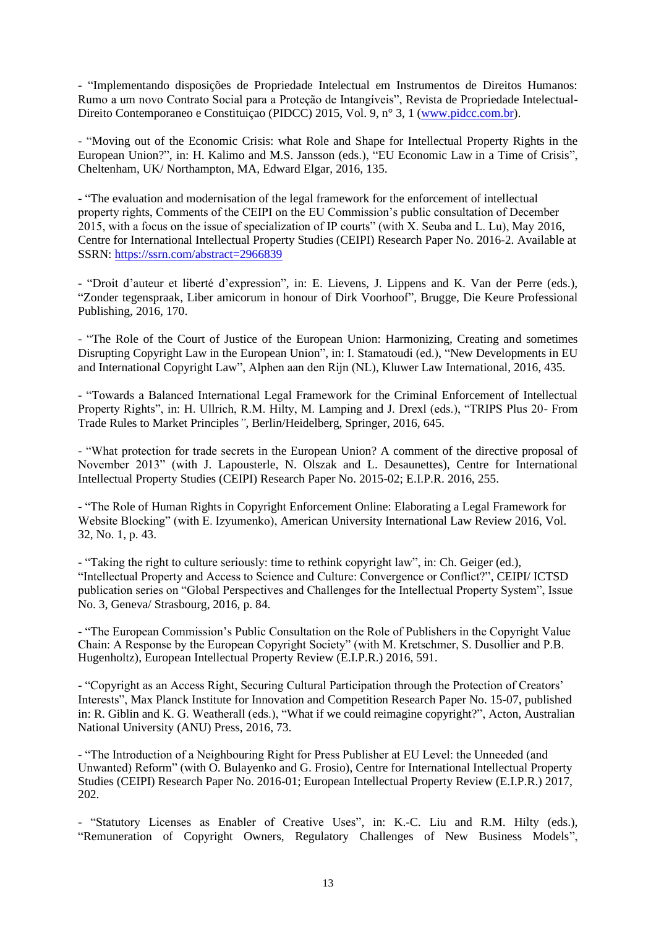- "Implementando disposições de Propriedade Intelectual em Instrumentos de Direitos Humanos: Rumo a um novo Contrato Social para a Proteção de Intangíveis", Revista de Propriedade Intelectual-Direito Contemporaneo e Constituiçao (PIDCC) 2015, Vol. 9, n° 3, 1 [\(www.pidcc.com.br\)](http://www.pidcc.com.br/).

- "Moving out of the Economic Crisis: what Role and Shape for Intellectual Property Rights in the European Union?", in: H. Kalimo and M.S. Jansson (eds.), "EU Economic Law in a Time of Crisis", Cheltenham, UK/ Northampton, MA, Edward Elgar, 2016, 135.

- "The evaluation and modernisation of the legal framework for the enforcement of intellectual property rights, Comments of the CEIPI on the EU Commission's public consultation of December 2015, with a focus on the issue of specialization of IP courts" (with X. Seuba and L. Lu), May 2016, Centre for International Intellectual Property Studies (CEIPI) Research Paper No. 2016-2. Available at SSRN:<https://ssrn.com/abstract=2966839>

- "Droit d'auteur et liberté d'expression", in: E. Lievens, J. Lippens and K. Van der Perre (eds.), "Zonder tegenspraak, Liber amicorum in honour of Dirk Voorhoof", Brugge, Die Keure Professional Publishing, 2016, 170.

- "The Role of the Court of Justice of the European Union: Harmonizing, Creating and sometimes Disrupting Copyright Law in the European Union", in: I. Stamatoudi (ed.), "New Developments in EU and International Copyright Law", Alphen aan den Rijn (NL), Kluwer Law International, 2016, 435.

- "Towards a Balanced International Legal Framework for the Criminal Enforcement of Intellectual Property Rights", in: H. Ullrich, R.M. Hilty, M. Lamping and J. Drexl (eds.), "TRIPS Plus 20- From Trade Rules to Market Principles*"*, Berlin/Heidelberg, Springer, 2016, 645.

- "What protection for trade secrets in the European Union? A comment of the directive proposal of November 2013" (with J. Lapousterle, N. Olszak and L. Desaunettes), Centre for International Intellectual Property Studies (CEIPI) Research Paper No. 2015-02; E.I.P.R. 2016, 255.

- "The Role of Human Rights in Copyright Enforcement Online: Elaborating a Legal Framework for Website Blocking" (with E. Izyumenko), American University International Law Review 2016, Vol. 32, No. 1, p. 43.

- "Taking the right to culture seriously: time to rethink copyright law", in: Ch. Geiger (ed.), "Intellectual Property and Access to Science and Culture: Convergence or Conflict?", CEIPI/ ICTSD publication series on "Global Perspectives and Challenges for the Intellectual Property System", Issue No. 3, Geneva/ Strasbourg, 2016, p. 84.

- "The European Commission's Public Consultation on the Role of Publishers in the Copyright Value Chain: A Response by the European Copyright Society" (with M. Kretschmer, S. Dusollier and P.B. Hugenholtz), European Intellectual Property Review (E.I.P.R.) 2016, 591.

- "Copyright as an Access Right, Securing Cultural Participation through the Protection of Creators' Interests", Max Planck Institute for Innovation and Competition Research Paper No. 15-07, published in: R. Giblin and K. G. Weatherall (eds.), "What if we could reimagine copyright?", Acton, Australian National University (ANU) Press, 2016, 73.

- "The Introduction of a Neighbouring Right for Press Publisher at EU Level: the Unneeded (and Unwanted) Reform" (with O. Bulayenko and G. Frosio), Centre for International Intellectual Property Studies (CEIPI) Research Paper No. 2016-01; European Intellectual Property Review (E.I.P.R.) 2017, 202.

- "Statutory Licenses as Enabler of Creative Uses", in: K.-C. Liu and R.M. Hilty (eds.), "Remuneration of Copyright Owners, Regulatory Challenges of New Business Models",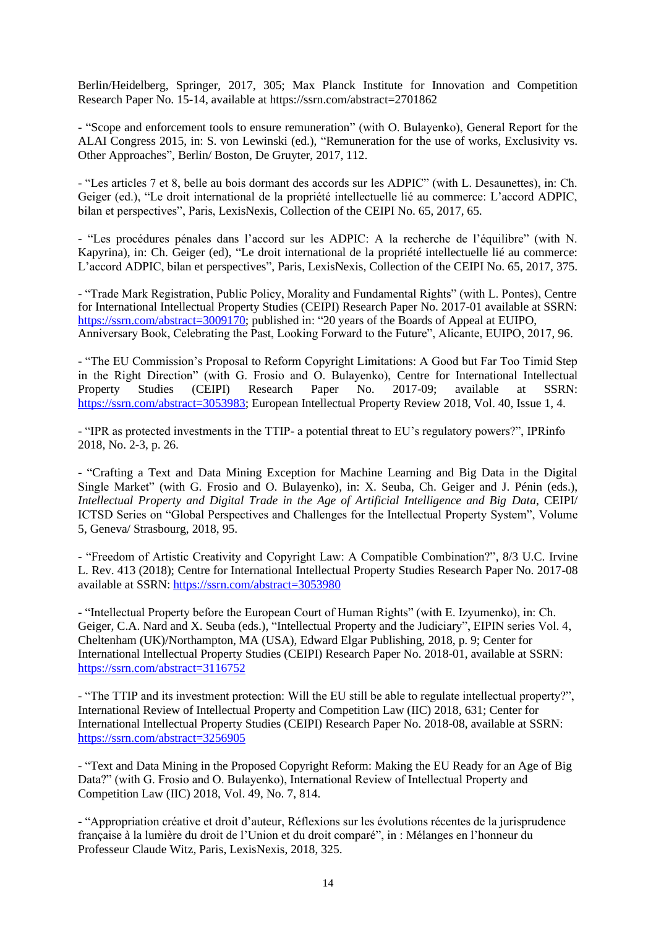Berlin/Heidelberg, Springer, 2017, 305; Max Planck Institute for Innovation and Competition Research Paper No. 15-14, available at https://ssrn.com/abstract=2701862

- "Scope and enforcement tools to ensure remuneration" (with O. Bulayenko), General Report for the ALAI Congress 2015, in: S. von Lewinski (ed.), "Remuneration for the use of works, Exclusivity vs. Other Approaches", Berlin/ Boston, De Gruyter, 2017, 112.

- "Les articles 7 et 8, belle au bois dormant des accords sur les ADPIC" (with L. Desaunettes), in: Ch. Geiger (ed.), "Le droit international de la propriété intellectuelle lié au commerce: L'accord ADPIC, bilan et perspectives", Paris, LexisNexis, Collection of the CEIPI No. 65, 2017, 65.

- "Les procédures pénales dans l'accord sur les ADPIC: A la recherche de l'équilibre" (with N. Kapyrina), in: Ch. Geiger (ed), "Le droit international de la propriété intellectuelle lié au commerce: L'accord ADPIC, bilan et perspectives", Paris, LexisNexis, Collection of the CEIPI No. 65, 2017, 375.

- "Trade Mark Registration, Public Policy, Morality and Fundamental Rights" (with L. Pontes), [Centre](https://papers.ssrn.com/sol3/papers.cfm?abstract_id=3009170##)  [for International Intellectual Property Studies \(CEIPI\) Research Paper No. 2017-01](https://papers.ssrn.com/sol3/papers.cfm?abstract_id=3009170##) available at SSRN: [https://ssrn.com/abstract=3009170;](https://ssrn.com/abstract=3009170) published in: "20 years of the Boards of Appeal at EUIPO, Anniversary Book, Celebrating the Past, Looking Forward to the Future", Alicante, EUIPO, 2017, 96.

- "The EU Commission's Proposal to Reform Copyright Limitations: A Good but Far Too Timid Step in the Right Direction" (with G. Frosio and O. Bulayenko), Centre for International Intellectual Property Studies (CEIPI) Research Paper No. 2017-09; available at SSRN: [https://ssrn.com/abstract=3053983;](https://ssrn.com/abstract=3053983) European Intellectual Property Review 2018, Vol. 40, Issue 1, 4.

- "IPR as protected investments in the TTIP- a potential threat to EU's regulatory powers?", IPRinfo 2018, No. 2-3, p. 26.

- "Crafting a Text and Data Mining Exception for Machine Learning and Big Data in the Digital Single Market" (with G. Frosio and O. Bulayenko), in: X. Seuba, Ch. Geiger and J. Pénin (eds.), *Intellectual Property and Digital Trade in the Age of Artificial Intelligence and Big Data*, CEIPI/ ICTSD Series on "Global Perspectives and Challenges for the Intellectual Property System", Volume 5, Geneva/ Strasbourg, 2018, 95.

- "Freedom of Artistic Creativity and Copyright Law: A Compatible Combination?", 8/3 U.C. Irvine L. Rev. 413 (2018); Centre for International Intellectual Property Studies Research Paper No. 2017-08 available at SSRN:<https://ssrn.com/abstract=3053980>

- "Intellectual Property before the European Court of Human Rights" (with E. Izyumenko), in: Ch. Geiger, C.A. Nard and X. Seuba (eds.), "Intellectual Property and the Judiciary", EIPIN series Vol. 4, Cheltenham (UK)/Northampton, MA (USA), Edward Elgar Publishing, 2018, p. 9; [Center for](https://papers.ssrn.com/sol3/papers.cfm?abstract_id=3116752##)  [International Intellectual Property Studies \(CEIPI\) Research Paper No. 2018-01,](https://papers.ssrn.com/sol3/papers.cfm?abstract_id=3116752##) available at SSRN: <https://ssrn.com/abstract=3116752>

- "The TTIP and its investment protection: Will the EU still be able to regulate intellectual property?", International Review of Intellectual Property and Competition Law (IIC) 2018, 631; Center for International Intellectual Property Studies (CEIPI) Research Paper No. 2018-08, available at SSRN: <https://ssrn.com/abstract=3256905>

- "Text and Data Mining in the Proposed Copyright Reform: Making the EU Ready for an Age of Big Data?" (with G. Frosio and O. Bulayenko), International Review of Intellectual Property and Competition Law (IIC) 2018, Vol. 49, No. 7, 814.

- "Appropriation créative et droit d'auteur, Réflexions sur les évolutions récentes de la jurisprudence française à la lumière du droit de l'Union et du droit comparé", in : Mélanges en l'honneur du Professeur Claude Witz, Paris, LexisNexis, 2018, 325.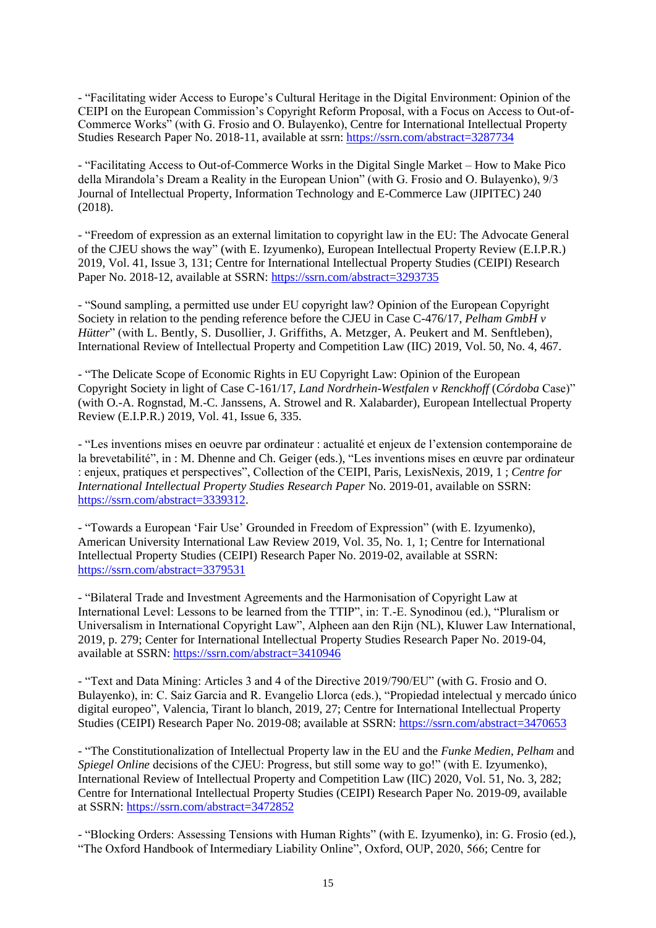- "Facilitating wider Access to Europe's Cultural Heritage in the Digital Environment: Opinion of the CEIPI on the European Commission's Copyright Reform Proposal, with a Focus on Access to Out-of-Commerce Works" (with G. Frosio and O. Bulayenko), Centre for International Intellectual Property Studies Research Paper No. 2018-11, available at ssrn:<https://ssrn.com/abstract=3287734>

- "Facilitating Access to Out-of-Commerce Works in the Digital Single Market – How to Make Pico della Mirandola's Dream a Reality in the European Union" (with G. Frosio and O. Bulayenko), 9/3 Journal of Intellectual Property, Information Technology and E-Commerce Law (JIPITEC) 240 (2018).

- "Freedom of expression as an external limitation to copyright law in the EU: The Advocate General of the CJEU shows the way" (with E. Izyumenko), European Intellectual Property Review (E.I.P.R.) 2019, Vol. 41, Issue 3, 131; Centre for International Intellectual Property Studies (CEIPI) Research Paper No. 2018-12, available at SSRN:<https://ssrn.com/abstract=3293735>

- "Sound sampling, a permitted use under EU copyright law? Opinion of the European Copyright Society in relation to the pending reference before the CJEU in Case C-476/17, *Pelham GmbH v Hütter*" (with L. Bently, S. Dusollier, J. Griffiths, A. Metzger, A. Peukert and M. Senftleben). International Review of Intellectual Property and Competition Law (IIC) 2019, Vol. 50, No. 4, 467.

- "The Delicate Scope of Economic Rights in EU Copyright Law: Opinion of the European Copyright Society in light of Case C-161/17, *Land Nordrhein-Westfalen v Renckhoff* (*Córdoba* Case)" (with O.-A. Rognstad, M.-C. Janssens, A. Strowel and R. Xalabarder), European Intellectual Property Review (E.I.P.R.) 2019, Vol. 41, Issue 6, 335.

- "Les inventions mises en oeuvre par ordinateur : actualité et enjeux de l'extension contemporaine de la brevetabilité", in : M. Dhenne and Ch. Geiger (eds.), "Les inventions mises en œuvre par ordinateur : enjeux, pratiques et perspectives", Collection of the CEIPI, Paris, LexisNexis, 2019, 1 ; *Centre for International Intellectual Property Studies Research Paper* No. 2019-01, available on SSRN: [https://ssrn.com/abstract=3339312.](https://ssrn.com/abstract=3339312)

- "Towards a European 'Fair Use' Grounded in Freedom of Expression" (with E. Izyumenko), American University International Law Review 2019, Vol. 35, No. 1, 1; Centre for International Intellectual Property Studies (CEIPI) Research Paper No. 2019-02, available at SSRN: <https://ssrn.com/abstract=3379531>

- "Bilateral Trade and Investment Agreements and the Harmonisation of Copyright Law at International Level: Lessons to be learned from the TTIP", in: T.-E. Synodinou (ed.), "Pluralism or Universalism in International Copyright Law", Alpheen aan den Rijn (NL), Kluwer Law International, 2019, p. 279; Center for International Intellectual Property Studies Research Paper No. 2019-04, available at SSRN:<https://ssrn.com/abstract=3410946>

- "Text and Data Mining: Articles 3 and 4 of the Directive 2019/790/EU" (with G. Frosio and O. Bulayenko), in: C. Saiz Garcia and R. Evangelio Llorca (eds.), "Propiedad intelectual y mercado único digital europeo", Valencia, Tirant lo blanch, 2019, 27; [Centre for International Intellectual Property](https://papers.ssrn.com/sol3/papers.cfm?abstract_id=3470653##)  [Studies \(CEIPI\) Research Paper No. 2019-08;](https://papers.ssrn.com/sol3/papers.cfm?abstract_id=3470653##) available at SSRN:<https://ssrn.com/abstract=3470653>

- "The Constitutionalization of Intellectual Property law in the EU and the *Funke Medien*, *Pelham* and *Spiegel Online* decisions of the CJEU: Progress, but still some way to go!" (with E. Izyumenko), International Review of Intellectual Property and Competition Law (IIC) 2020, Vol. 51, No. 3, 282; Centre for International Intellectual Property Studies (CEIPI) Research Paper No. 2019-09, available at SSRN:<https://ssrn.com/abstract=3472852>

- "Blocking Orders: Assessing Tensions with Human Rights" (with E. Izyumenko), in: G. Frosio (ed.), "The Oxford Handbook of Intermediary Liability Online", Oxford, OUP, 2020, 566; Centre for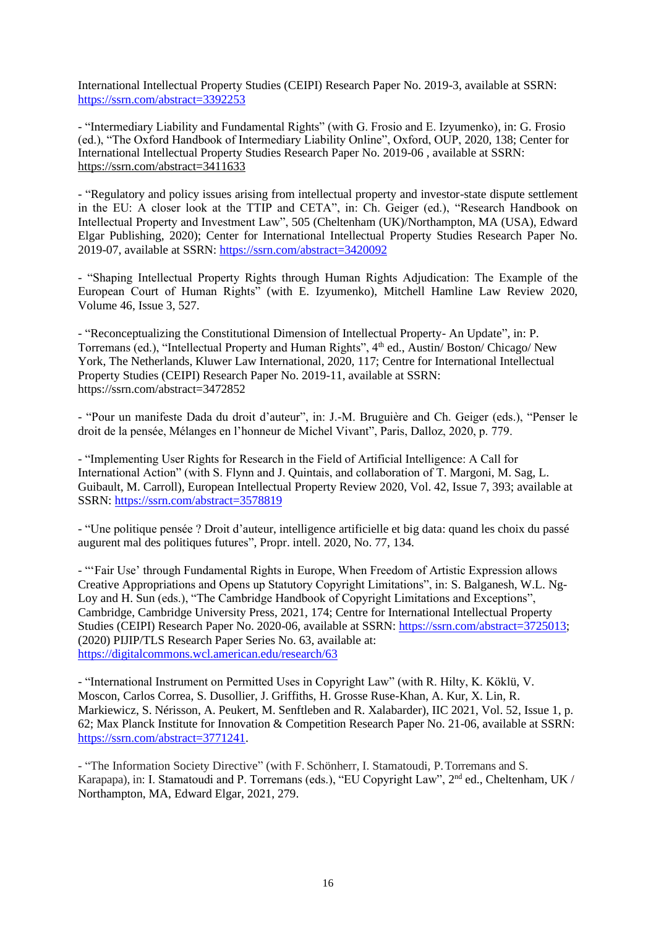International Intellectual Property Studies (CEIPI) Research Paper No. 2019-3, available at SSRN: <https://ssrn.com/abstract=3392253>

- "Intermediary Liability and Fundamental Rights" (with G. Frosio and E. Izyumenko), in: G. Frosio (ed.), "The Oxford Handbook of Intermediary Liability Online", Oxford, OUP, 2020, 138; Center for International Intellectual Property Studies Research Paper No. 2019-06 , available at SSRN: <https://ssrn.com/abstract=3411633>

- "Regulatory and policy issues arising from intellectual property and investor-state dispute settlement in the EU: A closer look at the TTIP and CETA", in: Ch. Geiger (ed.), "Research Handbook on Intellectual Property and Investment Law", 505 (Cheltenham (UK)/Northampton, MA (USA), Edward Elgar Publishing, 2020); Center for International Intellectual Property Studies Research Paper No. 2019-07, available at SSRN:<https://ssrn.com/abstract=3420092>

- "Shaping Intellectual Property Rights through Human Rights Adjudication: The Example of the European Court of Human Rights" (with E. Izyumenko), Mitchell Hamline Law Review 2020, Volume 46, Issue 3, 527.

- "Reconceptualizing the Constitutional Dimension of Intellectual Property- An Update", in: P. Torremans (ed.), "Intellectual Property and Human Rights", 4<sup>th</sup> ed., Austin/ Boston/ Chicago/ New York, The Netherlands, Kluwer Law International, 2020, 117; [Centre for International Intellectual](https://papers.ssrn.com/sol3/papers.cfm?abstract_id=3496779##)  Property Studies [\(CEIPI\) Research Paper No. 2019-11,](https://papers.ssrn.com/sol3/papers.cfm?abstract_id=3496779##) available at SSRN: <https://ssrn.com/abstract=3472852>

- "Pour un manifeste Dada du droit d'auteur", in: J.-M. Bruguière and Ch. Geiger (eds.), "Penser le droit de la pensée, Mélanges en l'honneur de Michel Vivant", Paris, Dalloz, 2020, p. 779.

- "Implementing User Rights for Research in the Field of Artificial Intelligence: A Call for International Action" (with S. Flynn and J. Quintais, and collaboration of T. Margoni, M. Sag, L. Guibault, M. Carroll), European Intellectual Property Review 2020, Vol. 42, Issue 7, 393; available at SSRN:<https://ssrn.com/abstract=3578819>

*-* "Une politique pensée ? Droit d'auteur, intelligence artificielle et big data: quand les choix du passé augurent mal des politiques futures", Propr. intell. 2020, No. 77, 134.

- "'Fair Use' through Fundamental Rights in Europe, When Freedom of Artistic Expression allows Creative Appropriations and Opens up Statutory Copyright Limitations", in: S. Balganesh, W.L. Ng-Loy and H. Sun (eds.), "The Cambridge Handbook of Copyright Limitations and Exceptions", Cambridge, Cambridge University Press, 2021, 174; [Centre for International Intellectual Property](https://papers.ssrn.com/sol3/papers.cfm?abstract_id=3725013)  [Studies \(CEIPI\) Research Paper No. 2020-06,](https://papers.ssrn.com/sol3/papers.cfm?abstract_id=3725013) available at SSRN: [https://ssrn.com/abstract=3725013;](https://ssrn.com/abstract=3725013) (2020) PIJIP/TLS Research Paper Series No. 63, available at: <https://digitalcommons.wcl.american.edu/research/63>

- "International Instrument on Permitted Uses in Copyright Law" (with R. Hilty, K. Köklü, V. Moscon, Carlos Correa, S. Dusollier, J. Griffiths, H. Grosse Ruse-Khan, A. Kur, X. Lin, R. Markiewicz, S. Nérisson, A. Peukert, M. Senftleben and R. Xalabarder), IIC 2021, Vol. 52, Issue 1, p. 62; [Max Planck Institute for Innovation & Competition Research Paper No. 21-06,](https://papers.ssrn.com/sol3/papers.cfm?abstract_id=3771241) available at SSRN: [https://ssrn.com/abstract=3771241.](https://ssrn.com/abstract=3771241)

- "The Information Society Directive" (with F. Schönherr, I. Stamatoudi, P.Torremans and S. Karapapa), in: I. Stamatoudi and P. Torremans (eds.), "EU Copyright Law", 2<sup>nd</sup> ed., Cheltenham, UK / Northampton, MA, Edward Elgar, 2021, 279.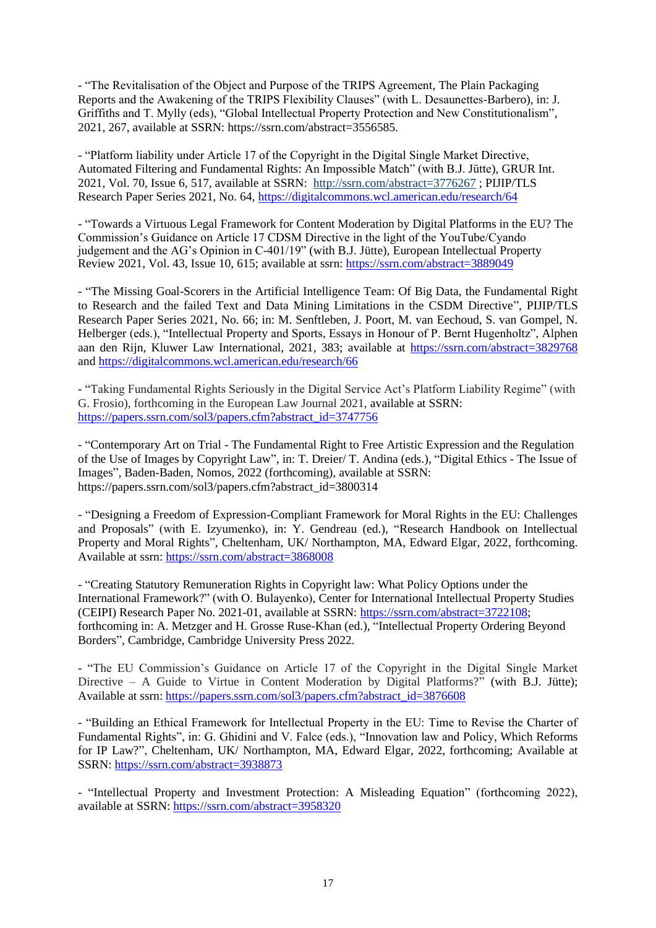- "The Revitalisation of the Object and Purpose of the TRIPS Agreement, The Plain Packaging Reports and the Awakening of the TRIPS Flexibility Clauses" (with L. Desaunettes-Barbero), in: J. Griffiths and T. Mylly (eds), "Global Intellectual Property Protection and New Constitutionalism", 2021, 267, available at SSRN: https://ssrn.com/abstract=3556585.

- "Platform liability under Article 17 of the Copyright in the Digital Single Market Directive, Automated Filtering and Fundamental Rights: An Impossible Match" (with B.J. Jütte), GRUR Int. 2021, Vol. 70, Issue 6, 517, available at SSRN: [http://ssrn.com/abstract=3776267](https://ssrn.com/abstract=3776267) ; PIJIP/TLS Research Paper Series 2021, No. 64, <https://digitalcommons.wcl.american.edu/research/64>

- "Towards a Virtuous Legal Framework for Content Moderation by Digital Platforms in the EU? The Commission's Guidance on Article 17 CDSM Directive in the light of the YouTube/Cyando judgement and the AG's Opinion in C-401/19" (with B.J. Jütte), European Intellectual Property Review 2021, Vol. 43, Issue 10, 615; available at ssrn: <https://ssrn.com/abstract=3889049>

- "The Missing Goal-Scorers in the Artificial Intelligence Team: Of Big Data, the Fundamental Right to Research and the failed Text and Data Mining Limitations in the CSDM Directive", PIJIP/TLS Research Paper Series 2021, No. 66; in: M. Senftleben, J. Poort, M. van Eechoud, S. van Gompel, N. Helberger (eds.), "Intellectual Property and Sports, Essays in Honour of P. Bernt Hugenholtz", Alphen aan den Rijn, Kluwer Law International, 2021, 383; available at<https://ssrn.com/abstract=3829768> and<https://digitalcommons.wcl.american.edu/research/66>

- "Taking Fundamental Rights Seriously in the Digital Service Act's Platform Liability Regime" (with G. Frosio), forthcoming in the European Law Journal 2021, available at SSRN: [https://papers.ssrn.com/sol3/papers.cfm?abstract\\_id=3747756](https://papers.ssrn.com/sol3/papers.cfm?abstract_id=3747756)

- "Contemporary Art on Trial - The Fundamental Right to Free Artistic Expression and the Regulation of the Use of Images by Copyright Law", in: T. Dreier/ T. Andina (eds.), "Digital Ethics - The Issue of Images", Baden-Baden, Nomos, 2022 (forthcoming), available at SSRN: https://papers.ssrn.com/sol3/papers.cfm?abstract\_id=3800314

- "Designing a Freedom of Expression-Compliant Framework for Moral Rights in the EU: Challenges and Proposals" (with E. Izyumenko), in: Y. Gendreau (ed.), "Research Handbook on Intellectual Property and Moral Rights"*,* Cheltenham, UK/ Northampton, MA, Edward Elgar, 2022, forthcoming. Available at ssrn:<https://ssrn.com/abstract=3868008>

- "Creating Statutory Remuneration Rights in Copyright law: What Policy Options under the International Framework?" (with O. Bulayenko), Center for International Intellectual Property Studies (CEIPI) Research Paper No. 2021-01, available at SSRN: [https://ssrn.com/abstract=3722108;](https://ssrn.com/abstract=3722108) forthcoming in: A. Metzger and H. Grosse Ruse-Khan (ed.), "Intellectual Property Ordering Beyond Borders", Cambridge, Cambridge University Press 2022.

- "The EU Commission's Guidance on Article 17 of the Copyright in the Digital Single Market Directive – A Guide to Virtue in Content Moderation by Digital Platforms?" (with B.J. Jütte); Available at ssrn: [https://papers.ssrn.com/sol3/papers.cfm?abstract\\_id=3876608](https://papers.ssrn.com/sol3/papers.cfm?abstract_id=3876608)

- "Building an Ethical Framework for Intellectual Property in the EU: Time to Revise the Charter of Fundamental Rights", in: G. Ghidini and V. Falce (eds.), "Innovation law and Policy, Which Reforms for IP Law?", Cheltenham, UK/ Northampton, MA, Edward Elgar, 2022, forthcoming; Available at SSRN:<https://ssrn.com/abstract=3938873>

- "Intellectual Property and Investment Protection: A Misleading Equation" (forthcoming 2022), available at SSRN:<https://ssrn.com/abstract=3958320>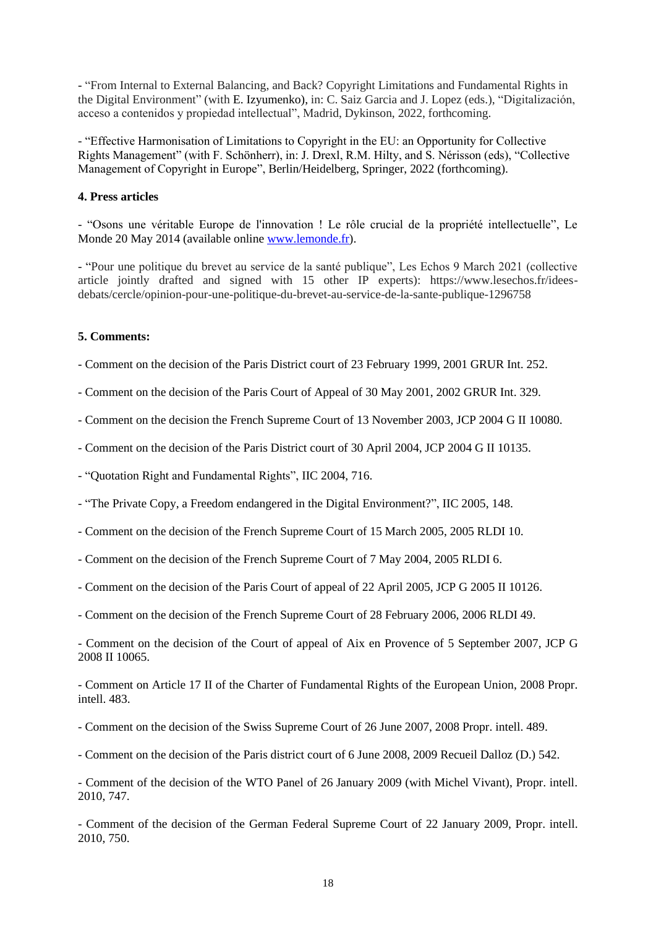- "From Internal to External Balancing, and Back? Copyright Limitations and Fundamental Rights in the Digital Environment" (with E. Izyumenko), in: C. Saiz Garcia and J. Lopez (eds.), "Digitalización, acceso a contenidos y propiedad intellectual", Madrid, Dykinson, 2022, forthcoming.

- "Effective Harmonisation of Limitations to Copyright in the EU: an Opportunity for Collective Rights Management" (with F. Schönherr), in: J. Drexl, R.M. Hilty, and S. Nérisson (eds), "Collective Management of Copyright in Europe", Berlin/Heidelberg, Springer, 2022 (forthcoming).

#### **4. Press articles**

- "Osons une véritable Europe de l'innovation ! Le rôle crucial de la propriété intellectuelle", Le Monde 20 May 2014 (available online [www.lemonde.fr\)](http://www.lemonde.fr/).

- "Pour une politique du brevet au service de la santé publique", Les Echos 9 March 2021 (collective article jointly drafted and signed with 15 other IP experts): https://www.lesechos.fr/ideesdebats/cercle/opinion-pour-une-politique-du-brevet-au-service-de-la-sante-publique-1296758

#### **5. Comments:**

- Comment on the decision of the Paris District court of 23 February 1999, 2001 GRUR Int. 252.
- Comment on the decision of the Paris Court of Appeal of 30 May 2001, 2002 GRUR Int. 329.
- Comment on the decision the French Supreme Court of 13 November 2003, JCP 2004 G II 10080.
- Comment on the decision of the Paris District court of 30 April 2004, JCP 2004 G II 10135.
- "Quotation Right and Fundamental Rights", IIC 2004, 716.
- "The Private Copy, a Freedom endangered in the Digital Environment?", IIC 2005, 148.
- Comment on the decision of the French Supreme Court of 15 March 2005, 2005 RLDI 10.
- Comment on the decision of the French Supreme Court of 7 May 2004, 2005 RLDI 6.
- Comment on the decision of the Paris Court of appeal of 22 April 2005, JCP G 2005 II 10126.
- Comment on the decision of the French Supreme Court of 28 February 2006, 2006 RLDI 49.

- Comment on the decision of the Court of appeal of Aix en Provence of 5 September 2007, JCP G 2008 II 10065.

- Comment on Article 17 II of the Charter of Fundamental Rights of the European Union, 2008 Propr. intell. 483.

- Comment on the decision of the Swiss Supreme Court of 26 June 2007, 2008 Propr. intell. 489.
- Comment on the decision of the Paris district court of 6 June 2008, 2009 Recueil Dalloz (D.) 542.

- Comment of the decision of the WTO Panel of 26 January 2009 (with Michel Vivant), Propr. intell. 2010, 747.

- Comment of the decision of the German Federal Supreme Court of 22 January 2009, Propr. intell. 2010, 750.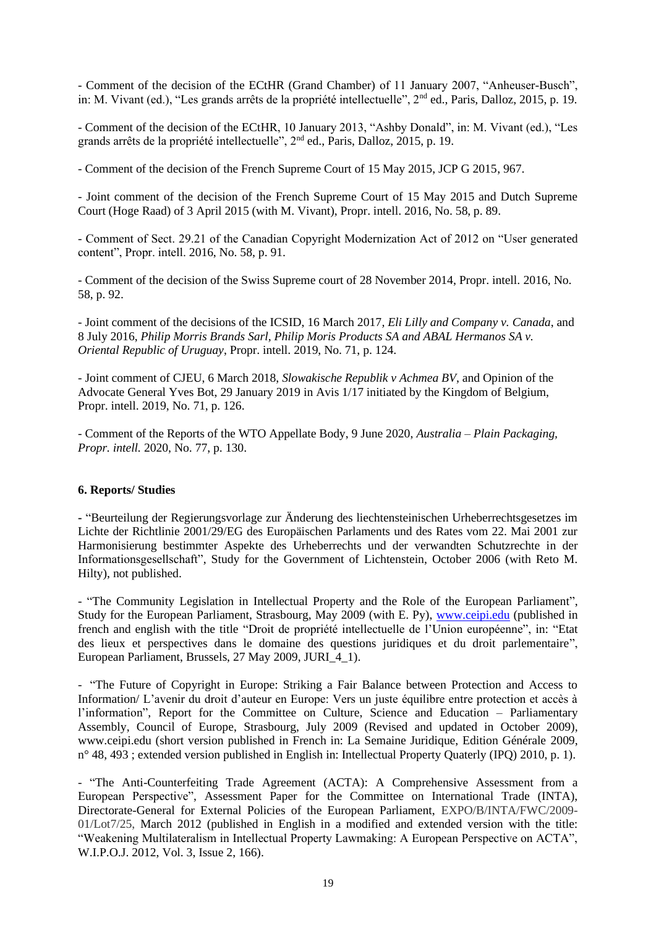- Comment of the decision of the ECtHR (Grand Chamber) of 11 January 2007, "Anheuser-Busch", in: M. Vivant (ed.), "Les grands arrêts de la propriété intellectuelle", 2nd ed., Paris, Dalloz, 2015, p. 19.

- Comment of the decision of the ECtHR, 10 January 2013, "Ashby Donald", in: M. Vivant (ed.), "Les grands arrêts de la propriété intellectuelle", 2nd ed., Paris, Dalloz, 2015, p. 19.

- Comment of the decision of the French Supreme Court of 15 May 2015, JCP G 2015, 967.

- Joint comment of the decision of the French Supreme Court of 15 May 2015 and Dutch Supreme Court (Hoge Raad) of 3 April 2015 (with M. Vivant), Propr. intell. 2016, No. 58, p. 89.

- Comment of Sect. 29.21 of the Canadian Copyright Modernization Act of 2012 on "User generated content", Propr. intell. 2016, No. 58, p. 91.

- Comment of the decision of the Swiss Supreme court of 28 November 2014, Propr. intell. 2016, No. 58, p. 92.

- Joint comment of the decisions of the ICSID, 16 March 2017*, Eli Lilly and Company v. Canada*, and 8 July 2016, *Philip Morris Brands Sarl, Philip Moris Products SA and ABAL Hermanos SA v. Oriental Republic of Uruguay*, Propr. intell. 2019, No. 71, p. 124.

- Joint comment of CJEU, 6 March 2018, *Slowakische Republik v Achmea BV*, and Opinion of the Advocate General Yves Bot, 29 January 2019 in Avis 1/17 initiated by the Kingdom of Belgium, Propr. intell. 2019, No. 71, p. 126.

- Comment of the Reports of the WTO Appellate Body, 9 June 2020, *Australia – Plain Packaging, Propr. intell.* 2020, No. 77, p. 130.

#### **6. Reports/ Studies**

**-** "Beurteilung der Regierungsvorlage zur Änderung des liechtensteinischen Urheberrechtsgesetzes im Lichte der Richtlinie 2001/29/EG des Europäischen Parlaments und des Rates vom 22. Mai 2001 zur Harmonisierung bestimmter Aspekte des Urheberrechts und der verwandten Schutzrechte in der Informationsgesellschaft", Study for the Government of Lichtenstein, October 2006 (with Reto M. Hilty), not published.

- "The Community Legislation in Intellectual Property and the Role of the European Parliament", Study for the European Parliament, Strasbourg, May 2009 (with E. Py), [www.ceipi.edu](http://www.ceipi.edu/) (published in french and english with the title "Droit de propriété intellectuelle de l'Union européenne", in: "Etat des lieux et perspectives dans le domaine des questions juridiques et du droit parlementaire", European Parliament, Brussels, 27 May 2009, JURI\_4\_1).

- "The Future of Copyright in Europe: Striking a Fair Balance between Protection and Access to Information/ L'avenir du droit d'auteur en Europe: Vers un juste équilibre entre protection et accès à l'information", Report for the Committee on Culture, Science and Education – Parliamentary Assembly, Council of Europe, Strasbourg, July 2009 (Revised and updated in October 2009), www.ceipi.edu (short version published in French in: La Semaine Juridique, Edition Générale 2009, n° 48, 493 ; extended version published in English in: Intellectual Property Quaterly (IPQ) 2010, p. 1).

<sup>-</sup> "The Anti-Counterfeiting Trade Agreement (ACTA): A Comprehensive Assessment from a European Perspective", Assessment Paper for the Committee on International Trade (INTA), Directorate-General for External Policies of the European Parliament, EXPO/B/INTA/FWC/2009- 01/Lot7/25, March 2012 (published in English in a modified and extended version with the title: "Weakening Multilateralism in Intellectual Property Lawmaking: A European Perspective on ACTA", W.I.P.O.J. 2012, Vol. 3, Issue 2, 166).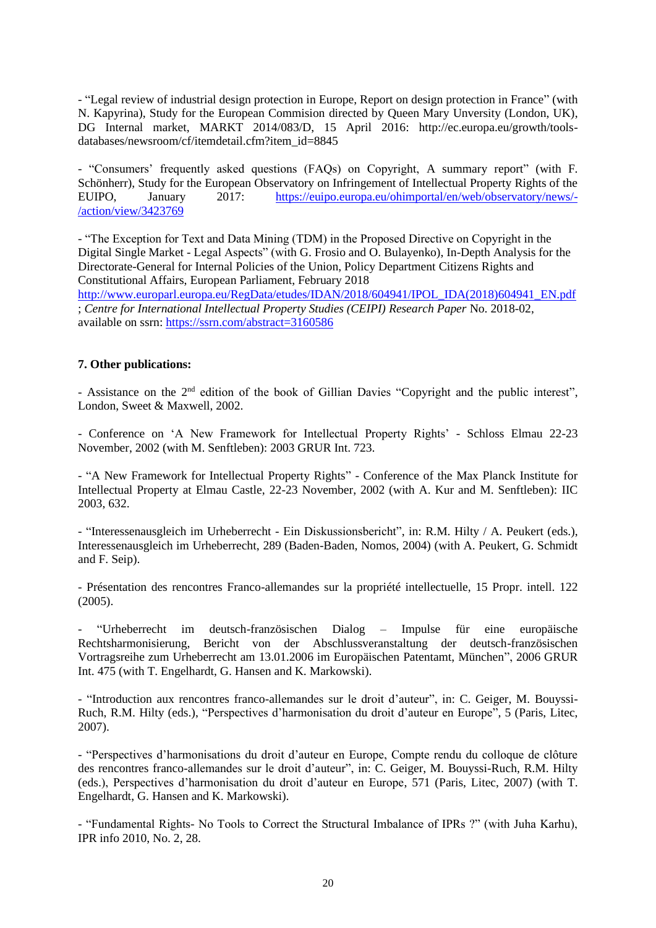- "Legal review of industrial design protection in Europe, Report on design protection in France" (with N. Kapyrina), Study for the European Commision directed by Queen Mary Unversity (London, UK), DG Internal market, MARKT 2014/083/D, 15 April 2016: http://ec.europa.eu/growth/toolsdatabases/newsroom/cf/itemdetail.cfm?item\_id=8845

- "Consumers' frequently asked questions (FAQs) on Copyright, A summary report" (with F. Schönherr), Study for the European Observatory on Infringement of Intellectual Property Rights of the EUIPO, January 2017: [https://euipo.europa.eu/ohimportal/en/web/observatory/news/-](https://euipo.europa.eu/ohimportal/en/web/observatory/news/-/action/view/3423769) [/action/view/3423769](https://euipo.europa.eu/ohimportal/en/web/observatory/news/-/action/view/3423769)

- "The Exception for Text and Data Mining (TDM) in the Proposed Directive on Copyright in the Digital Single Market - Legal Aspects" (with G. Frosio and O. Bulayenko), In-Depth Analysis for the Directorate-General for Internal Policies of the Union, Policy Department Citizens Rights and Constitutional Affairs, European Parliament, February 2018 [http://www.europarl.europa.eu/RegData/etudes/IDAN/2018/604941/IPOL\\_IDA\(2018\)604941\\_EN.pdf](http://www.europarl.europa.eu/RegData/etudes/IDAN/2018/604941/IPOL_IDA(2018)604941_EN.pdf) ; *[Centre for International Intellectual Property Studies \(CEIPI\) Research Paper](https://papers.ssrn.com/sol3/papers.cfm?abstract_id=3160586##)* No. 2018-02, available on ssrn:<https://ssrn.com/abstract=3160586>

## **7. Other publications:**

- Assistance on the 2<sup>nd</sup> edition of the book of Gillian Davies "Copyright and the public interest", London, Sweet & Maxwell, 2002.

- Conference on 'A New Framework for Intellectual Property Rights' - Schloss Elmau 22-23 November, 2002 (with M. Senftleben): 2003 GRUR Int. 723.

- "A New Framework for Intellectual Property Rights" - Conference of the Max Planck Institute for Intellectual Property at Elmau Castle, 22-23 November, 2002 (with A. Kur and M. Senftleben): IIC 2003, 632.

- "Interessenausgleich im Urheberrecht - Ein Diskussionsbericht", in: R.M. Hilty / A. Peukert (eds.), Interessenausgleich im Urheberrecht, 289 (Baden-Baden, Nomos, 2004) (with A. Peukert, G. Schmidt and F. Seip).

- Présentation des rencontres Franco-allemandes sur la propriété intellectuelle, 15 Propr. intell. 122 (2005).

- "Urheberrecht im deutsch-französischen Dialog – Impulse für eine europäische Rechtsharmonisierung, Bericht von der Abschlussveranstaltung der deutsch-französischen Vortragsreihe zum Urheberrecht am 13.01.2006 im Europäischen Patentamt, München", 2006 GRUR Int. 475 (with T. Engelhardt, G. Hansen and K. Markowski).

- "Introduction aux rencontres franco-allemandes sur le droit d'auteur", in: C. Geiger, M. Bouyssi-Ruch, R.M. Hilty (eds.), "Perspectives d'harmonisation du droit d'auteur en Europe", 5 (Paris, Litec, 2007).

- "Perspectives d'harmonisations du droit d'auteur en Europe, Compte rendu du colloque de clôture des rencontres franco-allemandes sur le droit d'auteur", in: C. Geiger, M. Bouyssi-Ruch, R.M. Hilty (eds.), Perspectives d'harmonisation du droit d'auteur en Europe, 571 (Paris, Litec, 2007) (with T. Engelhardt, G. Hansen and K. Markowski).

- "Fundamental Rights- No Tools to Correct the Structural Imbalance of IPRs ?" (with Juha Karhu), IPR info 2010, No. 2, 28.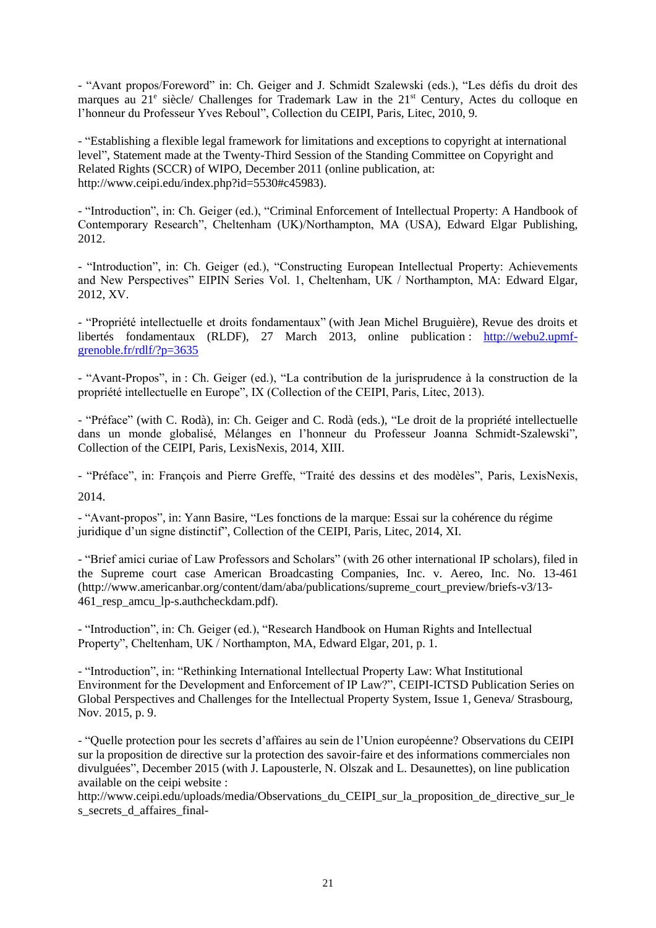- "Avant propos/Foreword" in: Ch. Geiger and J. Schmidt Szalewski (eds.), "Les défis du droit des marques au 21<sup>e</sup> siècle/ Challenges for Trademark Law in the 21<sup>st</sup> Century, Actes du colloque en l'honneur du Professeur Yves Reboul", Collection du CEIPI, Paris, Litec, 2010, 9.

- "Establishing a flexible legal framework for limitations and exceptions to copyright at international level", Statement made at the Twenty-Third Session of the Standing Committee on Copyright and Related Rights (SCCR) of WIPO, December 2011 (online publication, at: http://www.ceipi.edu/index.php?id=5530#c45983).

- "Introduction", in: Ch. Geiger (ed.), "Criminal Enforcement of Intellectual Property: A Handbook of Contemporary Research", Cheltenham (UK)/Northampton, MA (USA), Edward Elgar Publishing, 2012.

- "Introduction", in: Ch. Geiger (ed.), "Constructing European Intellectual Property: Achievements and New Perspectives" EIPIN Series Vol. 1, Cheltenham, UK / Northampton, MA: Edward Elgar, 2012, XV.

- "Propriété intellectuelle et droits fondamentaux" (with Jean Michel Bruguière), Revue des droits et libertés fondamentaux (RLDF), 27 March 2013, online publication : [http://webu2.upmf](http://webu2.upmf-grenoble.fr/rdlf/?p=3635)[grenoble.fr/rdlf/?p=3635](http://webu2.upmf-grenoble.fr/rdlf/?p=3635)

- "Avant-Propos", in : Ch. Geiger (ed.), "La contribution de la jurisprudence à la construction de la propriété intellectuelle en Europe", IX (Collection of the CEIPI, Paris, Litec, 2013).

- "Préface" (with C. Rodà), in: Ch. Geiger and C. Rodà (eds.), "Le droit de la propriété intellectuelle dans un monde globalisé, Mélanges en l'honneur du Professeur Joanna Schmidt-Szalewski", Collection of the CEIPI, Paris, LexisNexis, 2014, XIII.

- "Préface", in: François and Pierre Greffe, "Traité des dessins et des modèles", Paris, LexisNexis, 2014.

- "Avant-propos", in: Yann Basire, "Les fonctions de la marque: Essai sur la cohérence du régime juridique d'un signe distinctif", Collection of the CEIPI, Paris, Litec, 2014, XI.

- "Brief amici curiae of Law Professors and Scholars" (with 26 other international IP scholars), filed in the Supreme court case American Broadcasting Companies, Inc. v. Aereo, Inc. No. 13-461 (http://www.americanbar.org/content/dam/aba/publications/supreme\_court\_preview/briefs-v3/13- 461\_resp\_amcu\_lp-s.authcheckdam.pdf).

- "Introduction", in: Ch. Geiger (ed.), "Research Handbook on Human Rights and Intellectual Property", Cheltenham, UK / Northampton, MA, Edward Elgar, 201, p. 1.

- "Introduction", in: "Rethinking International Intellectual Property Law: What Institutional Environment for the Development and Enforcement of IP Law?", CEIPI-ICTSD Publication Series on Global Perspectives and Challenges for the Intellectual Property System, Issue 1, Geneva/ Strasbourg, Nov. 2015, p. 9.

- "Quelle protection pour les secrets d'affaires au sein de l'Union européenne? Observations du CEIPI sur la proposition de directive sur la protection des savoir-faire et des informations commerciales non divulguées", December 2015 (with J. Lapousterle, N. Olszak and L. Desaunettes), on line publication available on the ceipi website :

http://www.ceipi.edu/uploads/media/Observations\_du\_CEIPI\_sur\_la\_proposition\_de\_directive\_sur\_le s\_secrets\_d\_affaires\_final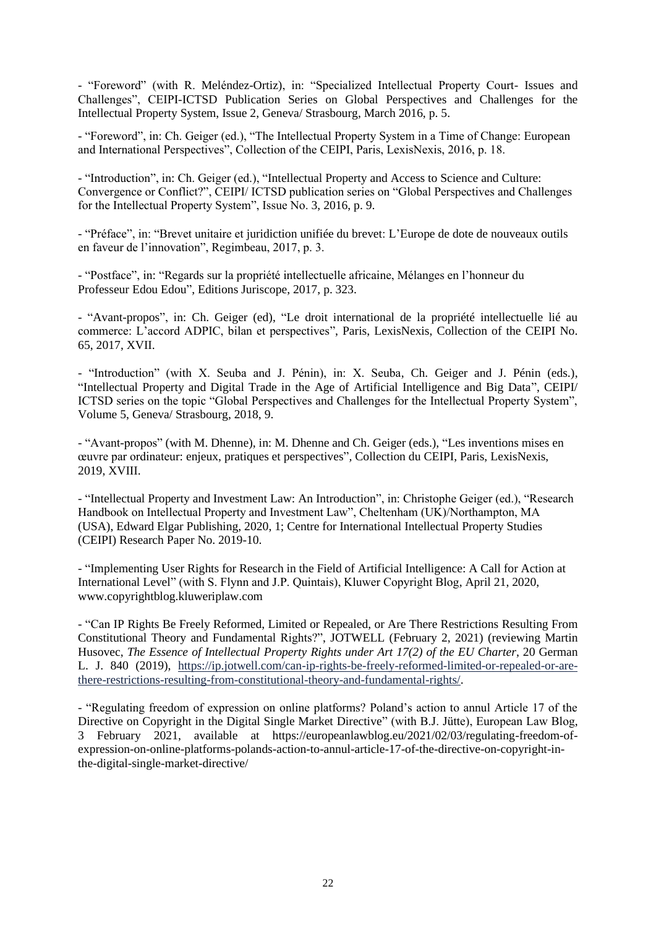- "Foreword" (with R. Meléndez-Ortiz), in: "Specialized Intellectual Property Court- Issues and Challenges", CEIPI-ICTSD Publication Series on Global Perspectives and Challenges for the Intellectual Property System, Issue 2, Geneva/ Strasbourg, March 2016, p. 5.

- "Foreword", in: Ch. Geiger (ed.), "The Intellectual Property System in a Time of Change: European and International Perspectives", Collection of the CEIPI, Paris, LexisNexis, 2016, p. 18.

- "Introduction", in: Ch. Geiger (ed.), "Intellectual Property and Access to Science and Culture: Convergence or Conflict?", CEIPI/ ICTSD publication series on "Global Perspectives and Challenges for the Intellectual Property System", Issue No. 3, 2016, p. 9.

- "Préface", in: "Brevet unitaire et juridiction unifiée du brevet: L'Europe de dote de nouveaux outils en faveur de l'innovation", Regimbeau, 2017, p. 3.

- "Postface", in: "Regards sur la propriété intellectuelle africaine, Mélanges en l'honneur du Professeur Edou Edou", Editions Juriscope, 2017, p. 323.

- "Avant-propos", in: Ch. Geiger (ed), "Le droit international de la propriété intellectuelle lié au commerce: L'accord ADPIC, bilan et perspectives", Paris, LexisNexis, Collection of the CEIPI No. 65, 2017, XVII.

- "Introduction" (with X. Seuba and J. Pénin), in: X. Seuba, Ch. Geiger and J. Pénin (eds.), "Intellectual Property and Digital Trade in the Age of Artificial Intelligence and Big Data", CEIPI/ ICTSD series on the topic "Global Perspectives and Challenges for the Intellectual Property System", Volume 5, Geneva/ Strasbourg, 2018, 9.

- "Avant-propos" (with M. Dhenne), in: M. Dhenne and Ch. Geiger (eds.), "Les inventions mises en œuvre par ordinateur: enjeux, pratiques et perspectives"*,* Collection du CEIPI, Paris, LexisNexis, 2019, XVIII.

- "Intellectual Property and Investment Law: An Introduction", in: Christophe Geiger (ed.), "Research Handbook on Intellectual Property and Investment Law", Cheltenham (UK)/Northampton, MA (USA), Edward Elgar Publishing, 2020, 1; [Centre for International Intellectual Property Studies](https://papers.ssrn.com/sol3/papers.cfm?abstract_id=3486879##)  [\(CEIPI\) Research Paper No. 2019-10.](https://papers.ssrn.com/sol3/papers.cfm?abstract_id=3486879##)

- ["Implementing User Rights for Research in the Field of Artificial Intelligence: A Call for Action at](http://copyrightblog.kluweriplaw.com/2020/04/21/implementing-user-rights-for-research-in-the-field-of-artificial-intelligence-a-call-for-action-at-international-level/)  [International Level"](http://copyrightblog.kluweriplaw.com/2020/04/21/implementing-user-rights-for-research-in-the-field-of-artificial-intelligence-a-call-for-action-at-international-level/) (with S. Flynn and J.P. Quintais), Kluwer Copyright Blog, April 21, 2020, www.copyrightblog.kluweriplaw.com

- "Can IP Rights Be Freely Reformed, Limited or Repealed, or Are There Restrictions Resulting From Constitutional Theory and Fundamental Rights?", JOTWELL (February 2, 2021) (reviewing Martin Husovec, *The Essence of Intellectual Property Rights under Art 17(2) of the EU Charter*, 20 German L. J. 840 (2019), [https://ip.jotwell.com/can-ip-rights-be-freely-reformed-limited-or-repealed-or-are](https://ip.jotwell.com/can-ip-rights-be-freely-reformed-limited-or-repealed-or-are-there-restrictions-resulting-from-constitutional-theory-and-fundamental-rights/)[there-restrictions-resulting-from-constitutional-theory-and-fundamental-rights/.](https://ip.jotwell.com/can-ip-rights-be-freely-reformed-limited-or-repealed-or-are-there-restrictions-resulting-from-constitutional-theory-and-fundamental-rights/)

- ["Regulating freedom of expression on online platforms? Poland's action to annul Article 17 of the](https://europeanlawblog.eu/2021/02/03/regulating-freedom-of-expression-on-online-platforms-polands-action-to-annul-article-17-of-the-directive-on-copyright-in-the-digital-single-market-directive/)  [Directive on Copyright in the Digital Single Market Directive"](https://europeanlawblog.eu/2021/02/03/regulating-freedom-of-expression-on-online-platforms-polands-action-to-annul-article-17-of-the-directive-on-copyright-in-the-digital-single-market-directive/) (with B.J. Jütte), European Law Blog, 3 February 2021, available at https://europeanlawblog.eu/2021/02/03/regulating-freedom-ofexpression-on-online-platforms-polands-action-to-annul-article-17-of-the-directive-on-copyright-inthe-digital-single-market-directive/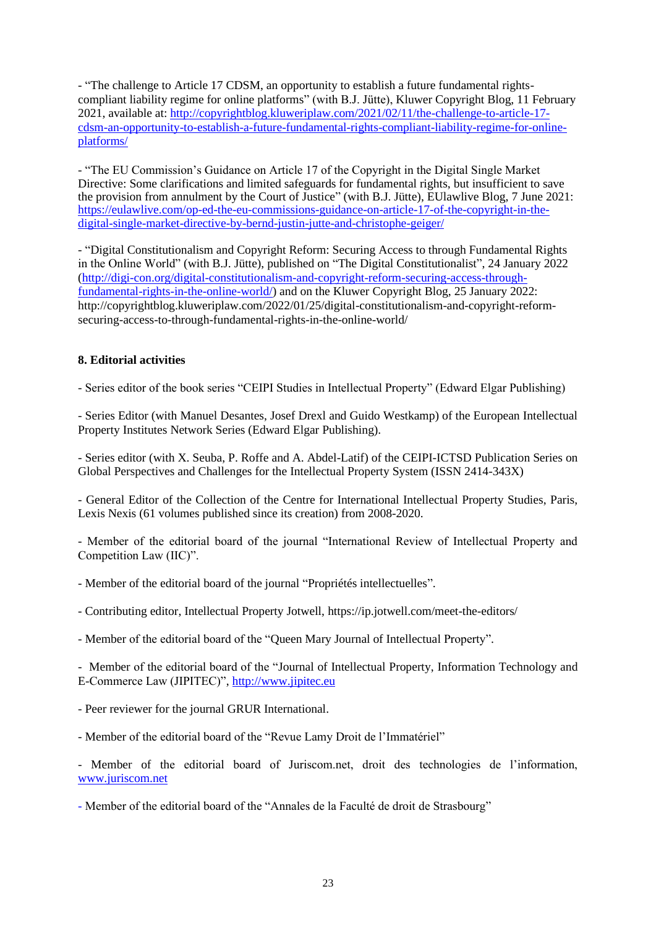*-* ["The challenge to Article 17 CDSM, an opportunity to establish a future fundamental rights](http://copyrightblog.kluweriplaw.com/2021/02/11/the-challenge-to-article-17-cdsm-an-opportunity-to-establish-a-future-fundamental-rights-compliant-liability-regime-for-online-platforms/)[compliant liability regime for online platforms"](http://copyrightblog.kluweriplaw.com/2021/02/11/the-challenge-to-article-17-cdsm-an-opportunity-to-establish-a-future-fundamental-rights-compliant-liability-regime-for-online-platforms/) (with B.J. Jütte), Kluwer Copyright Blog, 11 February 2021, available at: [http://copyrightblog.kluweriplaw.com/2021/02/11/the-challenge-to-article-17](http://copyrightblog.kluweriplaw.com/2021/02/11/the-challenge-to-article-17-cdsm-an-opportunity-to-establish-a-future-fundamental-rights-compliant-liability-regime-for-online-platforms/) [cdsm-an-opportunity-to-establish-a-future-fundamental-rights-compliant-liability-regime-for-online](http://copyrightblog.kluweriplaw.com/2021/02/11/the-challenge-to-article-17-cdsm-an-opportunity-to-establish-a-future-fundamental-rights-compliant-liability-regime-for-online-platforms/)[platforms/](http://copyrightblog.kluweriplaw.com/2021/02/11/the-challenge-to-article-17-cdsm-an-opportunity-to-establish-a-future-fundamental-rights-compliant-liability-regime-for-online-platforms/)

- "The EU Commission's Guidance on Article 17 of the Copyright in the Digital Single Market Directive: Some clarifications and limited safeguards for fundamental rights, but insufficient to save the provision from annulment by the Court of Justice" (with B.J. Jütte), EUlawlive Blog, 7 June 2021: [https://eulawlive.com/op-ed-the-eu-commissions-guidance-on-article-17-of-the-copyright-in-the](https://eulawlive.com/op-ed-the-eu-commissions-guidance-on-article-17-of-the-copyright-in-the-digital-single-market-directive-by-bernd-justin-jutte-and-christophe-geiger/)[digital-single-market-directive-by-bernd-justin-jutte-and-christophe-geiger/](https://eulawlive.com/op-ed-the-eu-commissions-guidance-on-article-17-of-the-copyright-in-the-digital-single-market-directive-by-bernd-justin-jutte-and-christophe-geiger/)

- "Digital Constitutionalism and Copyright Reform: Securing Access to through Fundamental Rights in the Online World" (with B.J. Jütte), published on "The Digital Constitutionalist", 24 January 2022 [\(http://digi-con.org/digital-constitutionalism-and-copyright-reform-securing-access-through](http://digi-con.org/digital-constitutionalism-and-copyright-reform-securing-access-through-fundamental-rights-in-the-online-world/)[fundamental-rights-in-the-online-world/\)](http://digi-con.org/digital-constitutionalism-and-copyright-reform-securing-access-through-fundamental-rights-in-the-online-world/) and on the Kluwer Copyright Blog, 25 January 2022: http://copyrightblog.kluweriplaw.com/2022/01/25/digital-constitutionalism-and-copyright-reformsecuring-access-to-through-fundamental-rights-in-the-online-world/

# **8. Editorial activities**

- Series editor of the book series "CEIPI Studies in Intellectual Property" (Edward Elgar Publishing)

- Series Editor (with Manuel Desantes, Josef Drexl and Guido Westkamp) of the European Intellectual Property Institutes Network Series (Edward Elgar Publishing).

- Series editor (with X. Seuba, P. Roffe and A. Abdel-Latif) of the CEIPI-ICTSD Publication Series on Global Perspectives and Challenges for the Intellectual Property System (ISSN 2414-343X)

- General Editor of the Collection of the Centre for International Intellectual Property Studies, Paris, Lexis Nexis (61 volumes published since its creation) from 2008-2020.

- Member of the editorial board of the journal "International Review of Intellectual Property and Competition Law (IIC)".

- Member of the editorial board of the journal "Propriétés intellectuelles".

- Contributing editor, Intellectual Property Jotwell, https://ip.jotwell.com/meet-the-editors/

- Member of the editorial board of the "Queen Mary Journal of Intellectual Property".

- Member of the editorial board of the "Journal of Intellectual Property, Information Technology and E-Commerce Law (JIPITEC)"[, http://www.jipitec.eu](http://www.jipitec.eu/)

- Peer reviewer for the journal GRUR International.

- Member of the editorial board of the "Revue Lamy Droit de l'Immatériel"

- Member of the editorial board of Juriscom.net, droit des technologies de l'information, [www.juriscom.net](http://www.juriscom.net/)

- Member of the editorial board of the "Annales de la Faculté de droit de Strasbourg"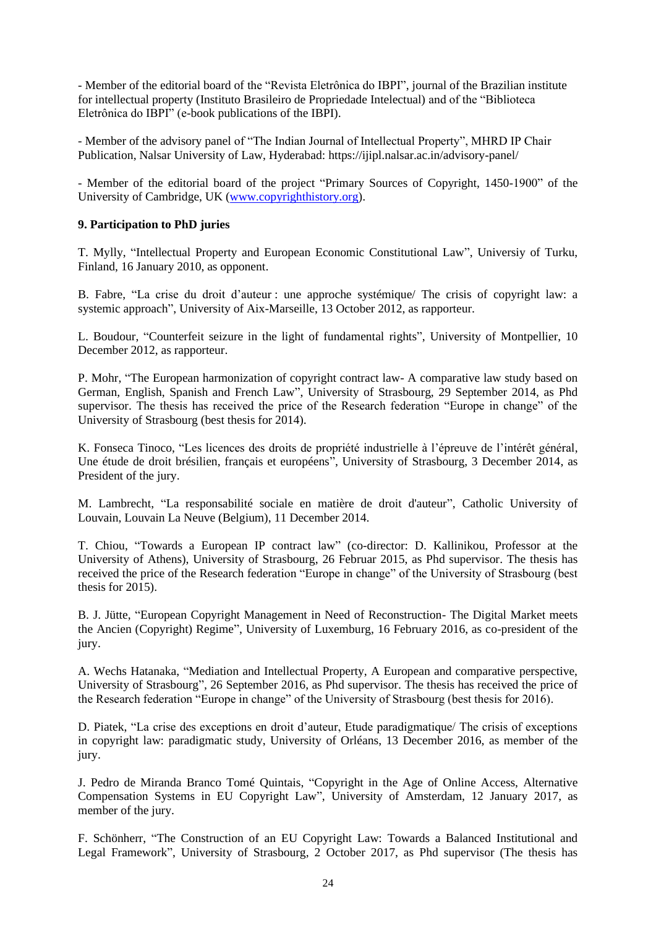- Member of the editorial board of the "Revista Eletrônica do IBPI", journal of the Brazilian institute for intellectual property (Instituto Brasileiro de Propriedade Intelectual) and of the "Biblioteca Eletrônica do IBPI" (e-book publications of the IBPI).

- Member of the advisory panel of "The Indian Journal of Intellectual Property", MHRD IP Chair Publication, Nalsar University of Law, Hyderabad: https://ijipl.nalsar.ac.in/advisory-panel/

- Member of the editorial board of the project "Primary Sources of Copyright, 1450-1900" of the University of Cambridge, UK [\(www.copyrighthistory.org\)](http://www.copyrighthistory.org/).

# **9. Participation to PhD juries**

T. Mylly, "Intellectual Property and European Economic Constitutional Law", Universiy of Turku, Finland, 16 January 2010, as opponent.

B. Fabre, "La crise du droit d'auteur : une approche systémique/ The crisis of copyright law: a systemic approach", University of Aix-Marseille, 13 October 2012, as rapporteur.

L. Boudour, "Counterfeit seizure in the light of fundamental rights", University of Montpellier, 10 December 2012, as rapporteur.

P. Mohr, "The European harmonization of copyright contract law- A comparative law study based on German, English, Spanish and French Law", University of Strasbourg, 29 September 2014, as Phd supervisor. The thesis has received the price of the Research federation "Europe in change" of the University of Strasbourg (best thesis for 2014).

K. Fonseca Tinoco, "Les licences des droits de propriété industrielle à l'épreuve de l'intérêt général, Une étude de droit brésilien, français et européens", University of Strasbourg, 3 December 2014, as President of the jury.

M. Lambrecht, "La responsabilité sociale en matière de droit d'auteur", Catholic University of Louvain, Louvain La Neuve (Belgium), 11 December 2014.

T. Chiou, "Towards a European IP contract law" (co-director: D. Kallinikou, Professor at the University of Athens), University of Strasbourg, 26 Februar 2015, as Phd supervisor. The thesis has received the price of the Research federation "Europe in change" of the University of Strasbourg (best thesis for 2015).

B. J. Jütte, "European Copyright Management in Need of Reconstruction- The Digital Market meets the Ancien (Copyright) Regime", University of Luxemburg, 16 February 2016, as co-president of the jury.

A. Wechs Hatanaka, "Mediation and Intellectual Property, A European and comparative perspective, University of Strasbourg", 26 September 2016, as Phd supervisor. The thesis has received the price of the Research federation "Europe in change" of the University of Strasbourg (best thesis for 2016).

D. Piatek, "La crise des exceptions en droit d'auteur, Etude paradigmatique/ The crisis of exceptions in copyright law: paradigmatic study, University of Orléans, 13 December 2016, as member of the jury.

J. Pedro de Miranda Branco Tomé Quintais, "Copyright in the Age of Online Access, Alternative Compensation Systems in EU Copyright Law", University of Amsterdam, 12 January 2017, as member of the jury.

F. Schönherr, "The Construction of an EU Copyright Law: Towards a Balanced Institutional and Legal Framework", University of Strasbourg, 2 October 2017, as Phd supervisor (The thesis has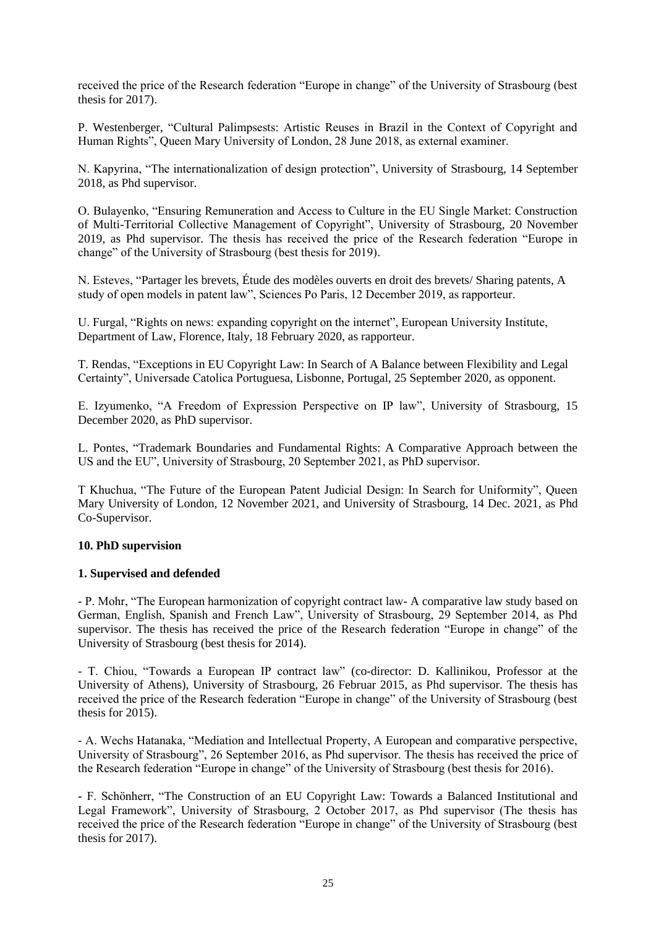received the price of the Research federation "Europe in change" of the University of Strasbourg (best thesis for 2017).

P. Westenberger, "Cultural Palimpsests: Artistic Reuses in Brazil in the Context of Copyright and Human Rights", Queen Mary University of London, 28 June 2018, as external examiner.

N. Kapyrina, "The internationalization of design protection", University of Strasbourg, 14 September 2018, as Phd supervisor.

O. Bulayenko, "Ensuring Remuneration and Access to Culture in the EU Single Market: Construction of Multi-Territorial Collective Management of Copyright", University of Strasbourg, 20 November 2019, as Phd supervisor. The thesis has received the price of the Research federation "Europe in change" of the University of Strasbourg (best thesis for 2019).

N. Esteves, "Partager les brevets, Étude des modèles ouverts en droit des brevets/ Sharing patents, A study of open models in patent law", Sciences Po Paris, 12 December 2019, as rapporteur.

U. Furgal, "Rights on news: expanding copyright on the internet", European University Institute, Department of Law, Florence, Italy, 18 February 2020, as rapporteur.

T. Rendas, "Exceptions in EU Copyright Law: In Search of A Balance between Flexibility and Legal Certainty", Universade Catolica Portuguesa, Lisbonne, Portugal, 25 September 2020, as opponent.

E. Izyumenko, "A Freedom of Expression Perspective on IP law", University of Strasbourg, 15 December 2020, as PhD supervisor.

L. Pontes, "Trademark Boundaries and Fundamental Rights: A Comparative Approach between the US and the EU", University of Strasbourg, 20 September 2021, as PhD supervisor.

T Khuchua, "The Future of the European Patent Judicial Design: In Search for Uniformity", Queen Mary University of London, 12 November 2021, and University of Strasbourg, 14 Dec. 2021, as Phd Co-Supervisor.

## **10. PhD supervision**

## **1. Supervised and defended**

- P. Mohr, "The European harmonization of copyright contract law- A comparative law study based on German, English, Spanish and French Law", University of Strasbourg, 29 September 2014, as Phd supervisor. The thesis has received the price of the Research federation "Europe in change" of the University of Strasbourg (best thesis for 2014).

- T. Chiou, "Towards a European IP contract law" (co-director: D. Kallinikou, Professor at the University of Athens), University of Strasbourg, 26 Februar 2015, as Phd supervisor. The thesis has received the price of the Research federation "Europe in change" of the University of Strasbourg (best thesis for 2015).

- A. Wechs Hatanaka, "Mediation and Intellectual Property, A European and comparative perspective, University of Strasbourg", 26 September 2016, as Phd supervisor. The thesis has received the price of the Research federation "Europe in change" of the University of Strasbourg (best thesis for 2016).

**-** F. Schönherr, "The Construction of an EU Copyright Law: Towards a Balanced Institutional and Legal Framework", University of Strasbourg, 2 October 2017, as Phd supervisor (The thesis has received the price of the Research federation "Europe in change" of the University of Strasbourg (best thesis for 2017).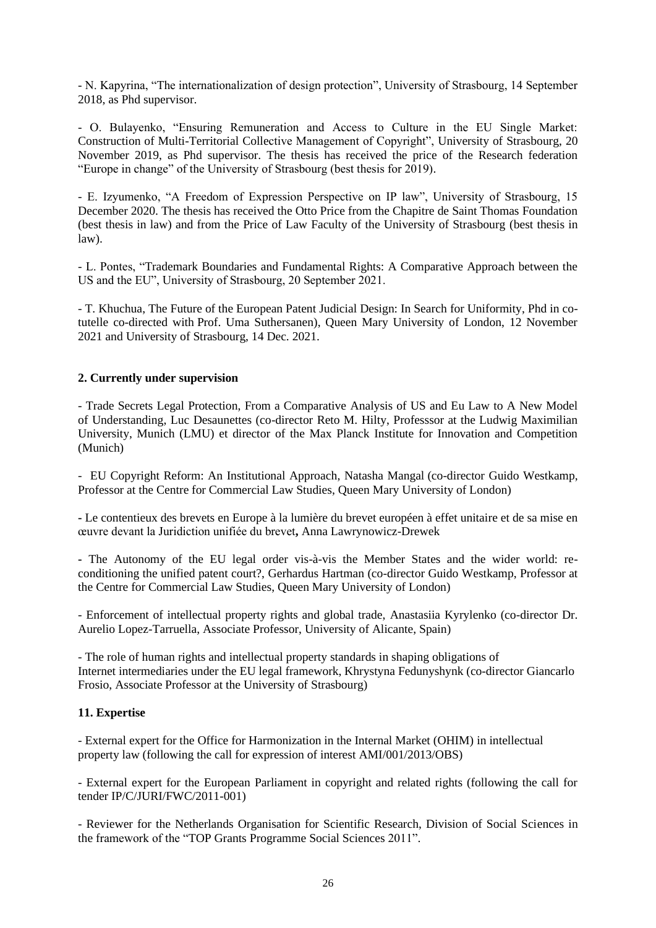- N. Kapyrina, "The internationalization of design protection", University of Strasbourg, 14 September 2018, as Phd supervisor.

- O. Bulayenko, "Ensuring Remuneration and Access to Culture in the EU Single Market: Construction of Multi-Territorial Collective Management of Copyright", University of Strasbourg, 20 November 2019, as Phd supervisor. The thesis has received the price of the Research federation "Europe in change" of the University of Strasbourg (best thesis for 2019).

- E. Izyumenko, "A Freedom of Expression Perspective on IP law", University of Strasbourg, 15 December 2020. The thesis has received the Otto Price from the Chapitre de Saint Thomas Foundation (best thesis in law) and from the Price of Law Faculty of the University of Strasbourg (best thesis in law).

- L. Pontes, "Trademark Boundaries and Fundamental Rights: A Comparative Approach between the US and the EU", University of Strasbourg, 20 September 2021.

- T. Khuchua, The Future of the European Patent Judicial Design: In Search for Uniformity, Phd in cotutelle co-directed with Prof. Uma Suthersanen), Queen Mary University of London, 12 November 2021 and University of Strasbourg, 14 Dec. 2021.

# **2. Currently under supervision**

- Trade Secrets Legal Protection, From a Comparative Analysis of US and Eu Law to A New Model of Understanding, Luc Desaunettes (co-director Reto M. Hilty, Professsor at the Ludwig Maximilian University, Munich (LMU) et director of the Max Planck Institute for Innovation and Competition (Munich)

- EU Copyright Reform: An Institutional Approach, Natasha Mangal (co-director Guido Westkamp, Professor at the Centre for Commercial Law Studies, Queen Mary University of London)

**-** Le contentieux des brevets en Europe à la lumière du brevet européen à effet unitaire et de sa mise en œuvre devant la Juridiction unifiée du brevet**,** Anna Lawrynowicz-Drewek

**-** The Autonomy of the EU legal order vis-à-vis the Member States and the wider world: reconditioning the unified patent court?, Gerhardus Hartman (co-director Guido Westkamp, Professor at the Centre for Commercial Law Studies, Queen Mary University of London)

- Enforcement of intellectual property rights and global trade, Anastasiia Kyrylenko (co-director [Dr.](http://www.ml.ua.es/en/aurelio-lopez)  [Aurelio Lopez-Tarruella,](http://www.ml.ua.es/en/aurelio-lopez) Associate Professor, University of Alicante, Spain)

- The role of human rights and intellectual property standards in shaping obligations of Internet intermediaries under the EU legal framework, Khrystyna Fedunyshynk (co-director Giancarlo Frosio, Associate Professor at the University of Strasbourg)

## **11. Expertise**

- External expert for the Office for Harmonization in the Internal Market (OHIM) in intellectual property law (following the call for expression of interest AMI/001/2013/OBS)

- External expert for the European Parliament in copyright and related rights (following the call for tender IP/C/JURI/FWC/2011-001)

- Reviewer for the Netherlands Organisation for Scientific Research, Division of Social Sciences in the framework of the "TOP Grants Programme Social Sciences 2011".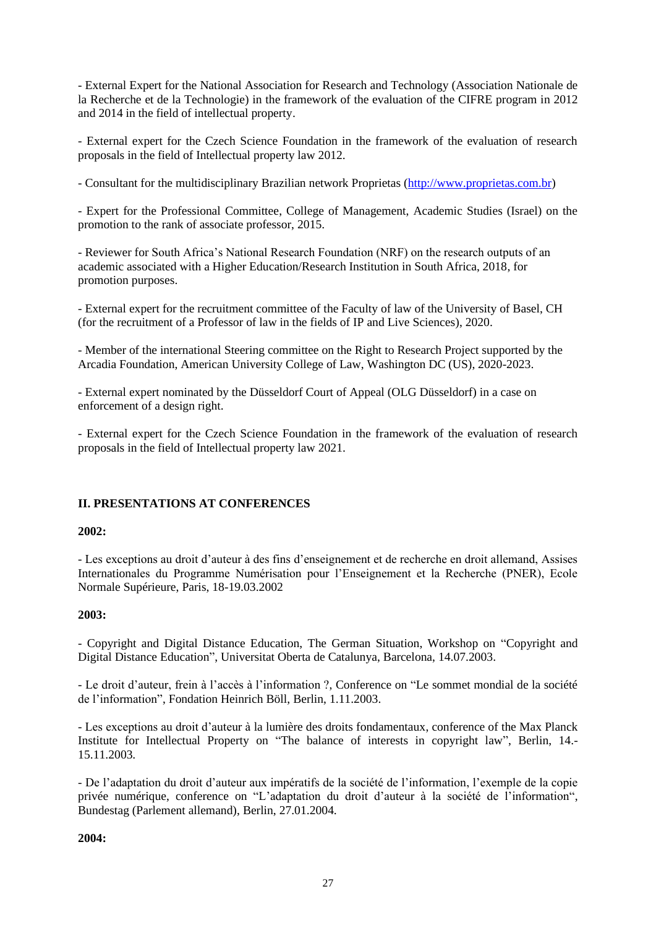- External Expert for the National Association for Research and Technology (Association Nationale de la Recherche et de la Technologie) in the framework of the evaluation of the CIFRE program in 2012 and 2014 in the field of intellectual property.

- External expert for the Czech Science Foundation in the framework of the evaluation of research proposals in the field of Intellectual property law 2012.

- Consultant for the multidisciplinary Brazilian network Proprietas [\(http://www.proprietas.com.br\)](http://www.proprietas.com.br/)

- Expert for the Professional Committee, College of Management, Academic Studies (Israel) on the promotion to the rank of associate professor, 2015.

- Reviewer for South Africa's National Research Foundation (NRF) on the research outputs of an academic associated with a Higher Education/Research Institution in South Africa, 2018, for promotion purposes.

- External expert for the recruitment committee of the Faculty of law of the University of Basel, CH (for the recruitment of a Professor of law in the fields of IP and Live Sciences), 2020.

- Member of the international Steering committee on the Right to Research Project supported by the Arcadia Foundation, American University College of Law, Washington DC (US), 2020-2023.

- External expert nominated by the Düsseldorf Court of Appeal (OLG Düsseldorf) in a case on enforcement of a design right.

- External expert for the Czech Science Foundation in the framework of the evaluation of research proposals in the field of Intellectual property law 2021.

## **II. PRESENTATIONS AT CONFERENCES**

## **2002:**

- Les exceptions au droit d'auteur à des fins d'enseignement et de recherche en droit allemand, Assises Internationales du Programme Numérisation pour l'Enseignement et la Recherche (PNER), Ecole Normale Supérieure, Paris, 18-19.03.2002

## **2003:**

- Copyright and Digital Distance Education, The German Situation, Workshop on "Copyright and Digital Distance Education", Universitat Oberta de Catalunya, Barcelona, 14.07.2003.

- Le droit d'auteur, frein à l'accès à l'information ?, Conference on "Le sommet mondial de la société de l'information", Fondation Heinrich Böll, Berlin, 1.11.2003.

- Les exceptions au droit d'auteur à la lumière des droits fondamentaux, conference of the Max Planck Institute for Intellectual Property on "The balance of interests in copyright law", Berlin, 14.- 15.11.2003.

- De l'adaptation du droit d'auteur aux impératifs de la société de l'information, l'exemple de la copie privée numérique, conference on "L'adaptation du droit d'auteur à la société de l'information", Bundestag (Parlement allemand), Berlin, 27.01.2004.

## **2004:**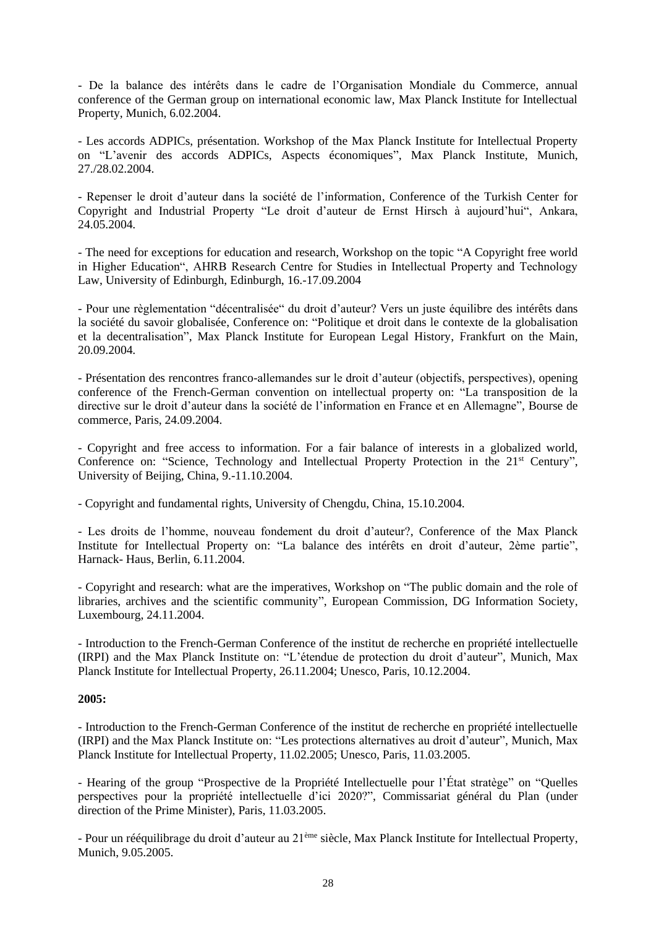- De la balance des intérêts dans le cadre de l'Organisation Mondiale du Commerce, annual conference of the German group on international economic law, Max Planck Institute for Intellectual Property, Munich, 6.02.2004.

- Les accords ADPICs, présentation. Workshop of the Max Planck Institute for Intellectual Property on "L'avenir des accords ADPICs, Aspects économiques", Max Planck Institute, Munich, 27./28.02.2004.

- Repenser le droit d'auteur dans la société de l'information, Conference of the Turkish Center for Copyright and Industrial Property "Le droit d'auteur de Ernst Hirsch à aujourd'hui", Ankara, 24.05.2004.

- The need for exceptions for education and research, Workshop on the topic "A Copyright free world in Higher Education", AHRB Research Centre for Studies in Intellectual Property and Technology Law, University of Edinburgh, Edinburgh, 16.-17.09.2004

- Pour une règlementation "décentralisée" du droit d'auteur? Vers un juste équilibre des intérêts dans la société du savoir globalisée, Conference on: "Politique et droit dans le contexte de la globalisation et la decentralisation", Max Planck Institute for European Legal History, Frankfurt on the Main, 20.09.2004.

- Présentation des rencontres franco-allemandes sur le droit d'auteur (objectifs, perspectives), opening conference of the French-German convention on intellectual property on: "La transposition de la directive sur le droit d'auteur dans la société de l'information en France et en Allemagne", Bourse de commerce, Paris, 24.09.2004.

- Copyright and free access to information. For a fair balance of interests in a globalized world, Conference on: "Science, Technology and Intellectual Property Protection in the 21<sup>st</sup> Century", University of Beijing, China, 9.-11.10.2004.

- Copyright and fundamental rights, University of Chengdu, China, 15.10.2004.

- Les droits de l'homme, nouveau fondement du droit d'auteur?, Conference of the Max Planck Institute for Intellectual Property on: "La balance des intérêts en droit d'auteur, 2ème partie", Harnack- Haus, Berlin, 6.11.2004.

- Copyright and research: what are the imperatives, Workshop on "The public domain and the role of libraries, archives and the scientific community", European Commission, DG Information Society, Luxembourg, 24.11.2004.

- Introduction to the French-German Conference of the institut de recherche en propriété intellectuelle (IRPI) and the Max Planck Institute on: "L'étendue de protection du droit d'auteur", Munich, Max Planck Institute for Intellectual Property, 26.11.2004; Unesco, Paris, 10.12.2004.

## **2005:**

- Introduction to the French-German Conference of the institut de recherche en propriété intellectuelle (IRPI) and the Max Planck Institute on: "Les protections alternatives au droit d'auteur", Munich, Max Planck Institute for Intellectual Property, 11.02.2005; Unesco, Paris, 11.03.2005.

- Hearing of the group "Prospective de la Propriété Intellectuelle pour l'État stratège" on "Quelles perspectives pour la propriété intellectuelle d'ici 2020?", Commissariat général du Plan (under direction of the Prime Minister), Paris, 11.03.2005.

- Pour un rééquilibrage du droit d'auteur au 21<sup>ème</sup> siècle, Max Planck Institute for Intellectual Property, Munich, 9.05.2005.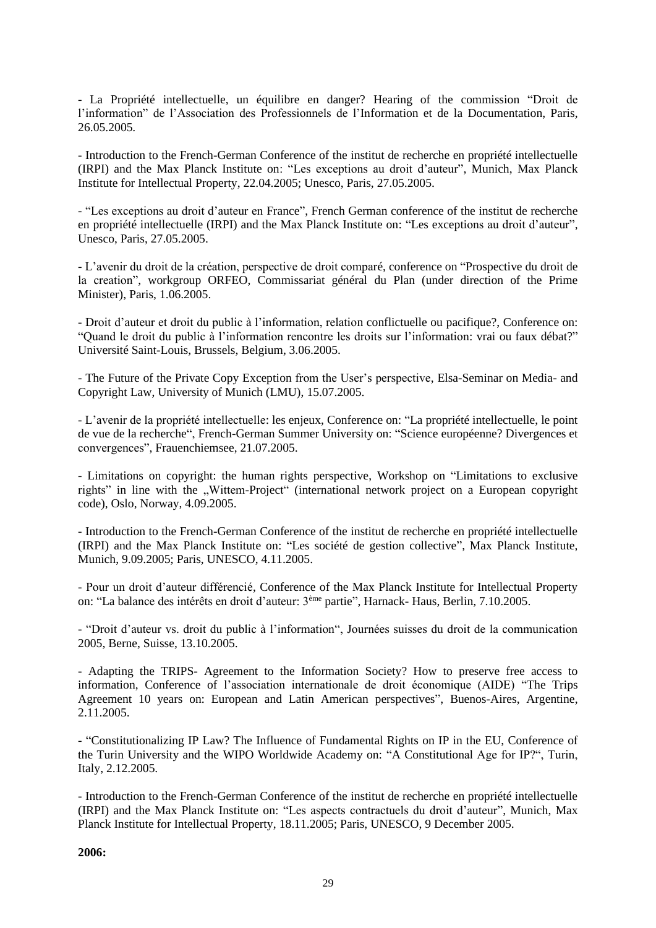- La Propriété intellectuelle, un équilibre en danger? Hearing of the commission "Droit de l'information" de l'Association des Professionnels de l'Information et de la Documentation, Paris, 26.05.2005.

- Introduction to the French-German Conference of the institut de recherche en propriété intellectuelle (IRPI) and the Max Planck Institute on: "Les exceptions au droit d'auteur", Munich, Max Planck Institute for Intellectual Property, 22.04.2005; Unesco, Paris, 27.05.2005.

- "Les exceptions au droit d'auteur en France", French German conference of the institut de recherche en propriété intellectuelle (IRPI) and the Max Planck Institute on: "Les exceptions au droit d'auteur", Unesco, Paris, 27.05.2005.

- L'avenir du droit de la création, perspective de droit comparé, conference on "Prospective du droit de la creation", workgroup ORFEO, Commissariat général du Plan (under direction of the Prime Minister), Paris, 1.06.2005.

- Droit d'auteur et droit du public à l'information, relation conflictuelle ou pacifique?, Conference on: "Quand le droit du public à l'information rencontre les droits sur l'information: vrai ou faux débat?" Université Saint-Louis, Brussels, Belgium, 3.06.2005.

- The Future of the Private Copy Exception from the User's perspective, Elsa-Seminar on Media- and Copyright Law, University of Munich (LMU), 15.07.2005.

- L'avenir de la propriété intellectuelle: les enjeux, Conference on: "La propriété intellectuelle, le point de vue de la recherche", French-German Summer University on: "Science européenne? Divergences et convergences", Frauenchiemsee, 21.07.2005.

- Limitations on copyright: the human rights perspective, Workshop on "Limitations to exclusive rights" in line with the "Wittem-Project" (international network project on a European copyright code), Oslo, Norway, 4.09.2005.

- Introduction to the French-German Conference of the institut de recherche en propriété intellectuelle (IRPI) and the Max Planck Institute on: "Les société de gestion collective", Max Planck Institute, Munich, 9.09.2005; Paris, UNESCO, 4.11.2005.

- Pour un droit d'auteur différencié, Conference of the Max Planck Institute for Intellectual Property on: "La balance des intérêts en droit d'auteur: 3ème partie", Harnack- Haus, Berlin, 7.10.2005.

- "Droit d'auteur vs. droit du public à l'information", Journées suisses du droit de la communication 2005, Berne, Suisse, 13.10.2005.

- Adapting the TRIPS- Agreement to the Information Society? How to preserve free access to information, Conference of l'association internationale de droit économique (AIDE) "The Trips Agreement 10 years on: European and Latin American perspectives", Buenos-Aires, Argentine, 2.11.2005.

- "Constitutionalizing IP Law? The Influence of Fundamental Rights on IP in the EU, Conference of the Turin University and the WIPO Worldwide Academy on: "A Constitutional Age for IP?", Turin, Italy, 2.12.2005.

- Introduction to the French-German Conference of the institut de recherche en propriété intellectuelle (IRPI) and the Max Planck Institute on: "Les aspects contractuels du droit d'auteur", Munich, Max Planck Institute for Intellectual Property, 18.11.2005; Paris, UNESCO, 9 December 2005.

**2006:**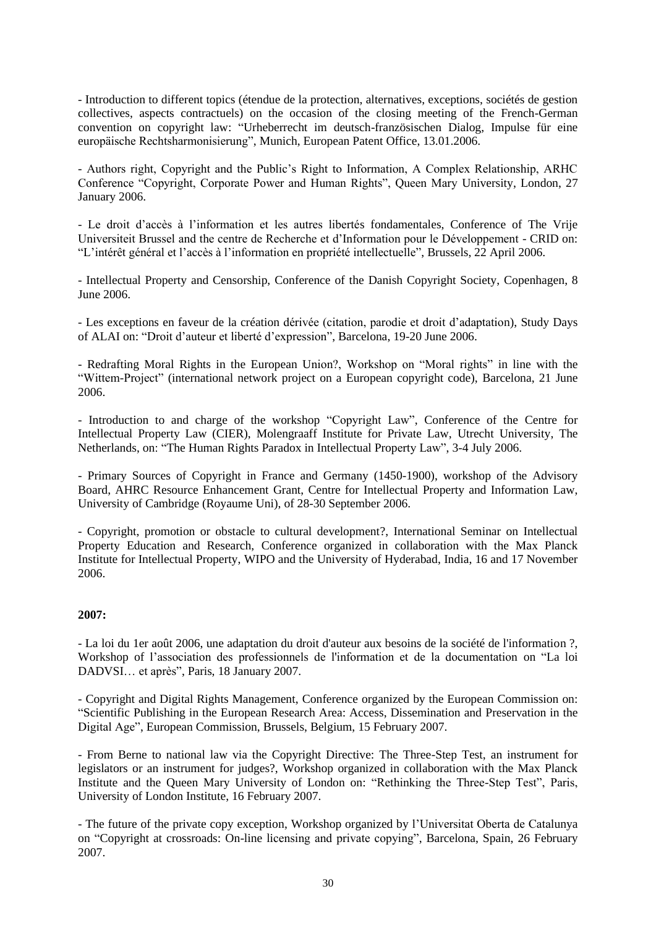- Introduction to different topics (étendue de la protection, alternatives, exceptions, sociétés de gestion collectives, aspects contractuels) on the occasion of the closing meeting of the French-German convention on copyright law: "Urheberrecht im deutsch-französischen Dialog, Impulse für eine europäische Rechtsharmonisierung", Munich, European Patent Office, 13.01.2006.

- Authors right, Copyright and the Public's Right to Information, A Complex Relationship, ARHC Conference "Copyright, Corporate Power and Human Rights", Queen Mary University, London, 27 January 2006.

- Le droit d'accès à l'information et les autres libertés fondamentales, Conference of The Vrije Universiteit Brussel and the centre de Recherche et d'Information pour le Développement - CRID on: "L'intérêt général et l'accès à l'information en propriété intellectuelle", Brussels, 22 April 2006.

- Intellectual Property and Censorship, Conference of the Danish Copyright Society, Copenhagen, 8 June 2006.

- Les exceptions en faveur de la création dérivée (citation, parodie et droit d'adaptation), Study Days of ALAI on: "Droit d'auteur et liberté d'expression", Barcelona, 19-20 June 2006.

- Redrafting Moral Rights in the European Union?, Workshop on "Moral rights" in line with the "Wittem-Project" (international network project on a European copyright code), Barcelona, 21 June 2006.

- Introduction to and charge of the workshop "Copyright Law", Conference of the Centre for Intellectual Property Law (CIER), Molengraaff Institute for Private Law, Utrecht University, The Netherlands, on: "The Human Rights Paradox in Intellectual Property Law", 3-4 July 2006.

- Primary Sources of Copyright in France and Germany (1450-1900), workshop of the Advisory Board, AHRC Resource Enhancement Grant, Centre for Intellectual Property and Information Law, University of Cambridge (Royaume Uni), of 28-30 September 2006.

- Copyright, promotion or obstacle to cultural development?, International Seminar on Intellectual Property Education and Research, Conference organized in collaboration with the Max Planck Institute for Intellectual Property, WIPO and the University of Hyderabad, India, 16 and 17 November 2006.

## **2007:**

- La loi du 1er août 2006, une adaptation du droit d'auteur aux besoins de la société de l'information ?, Workshop of l'association des professionnels de l'information et de la documentation on "La loi DADVSI… et après", Paris, 18 January 2007.

- Copyright and Digital Rights Management, Conference organized by the European Commission on: "Scientific Publishing in the European Research Area: Access, Dissemination and Preservation in the Digital Age", European Commission, Brussels, Belgium, 15 February 2007.

- From Berne to national law via the Copyright Directive: The Three-Step Test, an instrument for legislators or an instrument for judges?, Workshop organized in collaboration with the Max Planck Institute and the Queen Mary University of London on: "Rethinking the Three-Step Test", Paris, University of London Institute, 16 February 2007.

- [The future of the private copy exception,](http://www.intellecprop.mpg.de/ww/de/pub/organisation/wissenschaftlicher_bereich/wiss__mitarbeiter/content9392.cfm) Workshop organized by l'Universitat Oberta de Catalunya on "Copyright at crossroads: On-line licensing and private copying", Barcelona, Spain, 26 February 2007.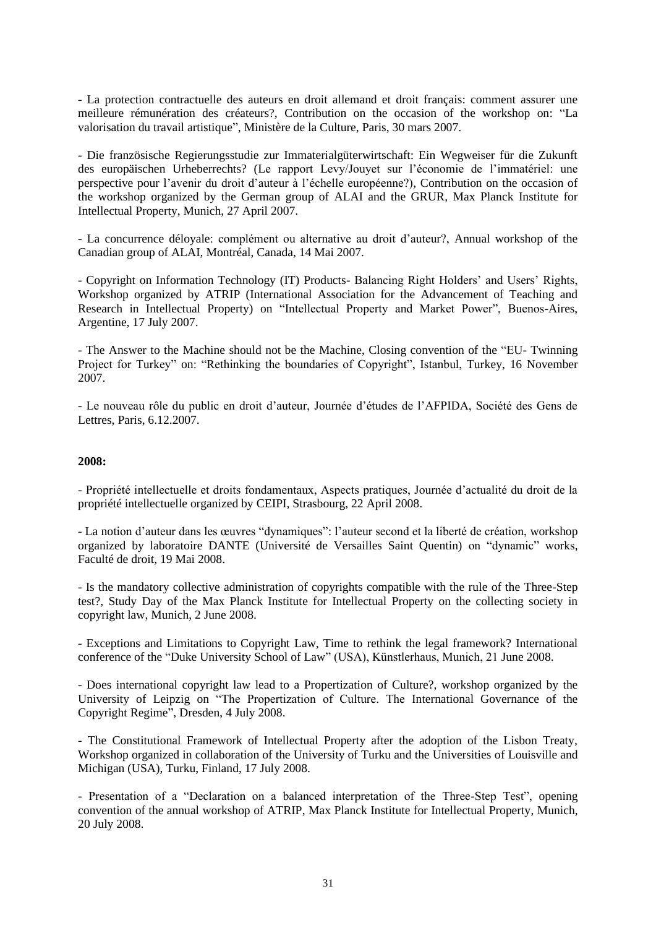- La protection contractuelle des auteurs en droit allemand et droit français: comment assurer une meilleure rémunération des créateurs?, Contribution on the occasion of the workshop on: "La valorisation du travail artistique", Ministère de la Culture, Paris, 30 mars 2007.

- Die französische Regierungsstudie zur Immaterialgüterwirtschaft: Ein Wegweiser für die Zukunft des europäischen Urheberrechts? (Le rapport Levy/Jouyet sur l'économie de l'immatériel: une perspective pour l'avenir du droit d'auteur à l'échelle européenne?), Contribution on the occasion of the workshop organized by the German group of ALAI and the GRUR, Max Planck Institute for Intellectual Property, Munich, 27 April 2007.

- La concurrence déloyale: complément ou alternative au droit d'auteur?, Annual workshop of the Canadian group of ALAI, Montréal, Canada, 14 Mai 2007.

- Copyright on Information Technology (IT) Products- Balancing Right Holders' and Users' Rights, Workshop organized by ATRIP (International Association for the Advancement of Teaching and Research in Intellectual Property) on "Intellectual Property and Market Power", Buenos-Aires, Argentine, 17 July 2007.

- The Answer to the Machine should not be the Machine, Closing convention of the "EU- Twinning Project for Turkey" on: "Rethinking the boundaries of Copyright", Istanbul, Turkey, 16 November 2007.

- Le nouveau rôle du public en droit d'auteur, Journée d'études de l'AFPIDA, Société des Gens de Lettres, Paris, 6.12.2007.

#### **2008:**

- Propriété intellectuelle et droits fondamentaux, Aspects pratiques, Journée d'actualité du droit de la propriété intellectuelle organized by CEIPI, Strasbourg, 22 April 2008.

- La notion d'auteur dans les œuvres "dynamiques": l'auteur second et la liberté de création, workshop organized by laboratoire DANTE (Université de Versailles Saint Quentin) on "dynamic" works, Faculté de droit, 19 Mai 2008.

- Is the mandatory collective administration of copyrights compatible with the rule of the Three-Step test?, Study Day of the Max Planck Institute for Intellectual Property on the collecting society in copyright law, Munich, 2 June 2008.

- Exceptions and Limitations to Copyright Law, Time to rethink the legal framework? International conference of the "Duke University School of Law" (USA), Künstlerhaus, Munich, 21 June 2008.

- Does international copyright law lead to a Propertization of Culture?, workshop organized by the University of Leipzig on "The Propertization of Culture. The International Governance of the Copyright Regime", Dresden, 4 July 2008.

- The Constitutional Framework of Intellectual Property after the adoption of the Lisbon Treaty, Workshop organized in collaboration of the University of Turku and the Universities of Louisville and Michigan (USA), Turku, Finland, 17 July 2008.

- Presentation of a "Declaration on a balanced interpretation of the Three-Step Test", opening convention of the annual workshop of ATRIP, Max Planck Institute for Intellectual Property, Munich, 20 July 2008.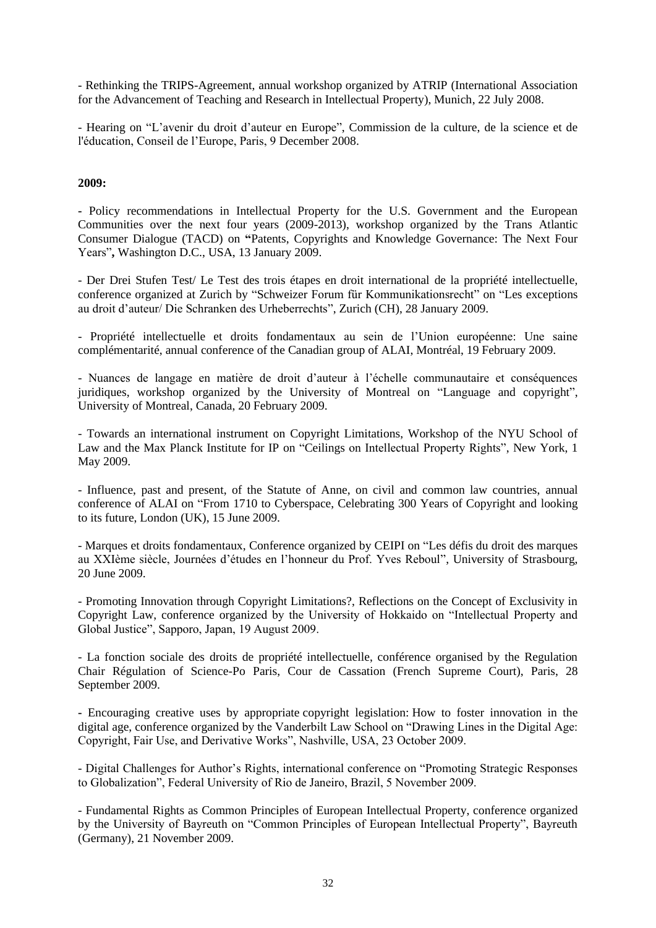- Rethinking the TRIPS-Agreement, annual workshop organized by ATRIP (International Association for the Advancement of Teaching and Research in Intellectual Property), Munich, 22 July 2008.

- Hearing on "L'avenir du droit d'auteur en Europe", Commission de la culture, de la science et de l'éducation, Conseil de l'Europe, Paris, 9 December 2008.

#### **2009:**

**-** Policy recommendations in Intellectual Property for the U.S. Government and the European Communities over the next four years (2009-2013), workshop organized by the Trans Atlantic Consumer Dialogue (TACD) on **"**Patents, Copyrights and Knowledge Governance: The Next Four Years"**,** Washington D.C., USA, 13 January 2009.

- Der Drei Stufen Test/ Le Test des trois étapes en droit international de la propriété intellectuelle, conference organized at Zurich by "Schweizer Forum für Kommunikationsrecht" on "Les exceptions au droit d'auteur/ Die Schranken des Urheberrechts", Zurich (CH), 28 January 2009.

- Propriété intellectuelle et droits fondamentaux au sein de l'Union européenne: Une saine complémentarité, annual conference of the Canadian group of ALAI, Montréal, 19 February 2009.

- Nuances de langage en matière de droit d'auteur à l'échelle communautaire et conséquences juridiques, workshop organized by the University of Montreal on "Language and copyright", University of Montreal, Canada, 20 February 2009.

- Towards an international instrument on Copyright Limitations, Workshop of the NYU School of Law and the Max Planck Institute for IP on "Ceilings on Intellectual Property Rights", New York, 1 May 2009.

- Influence, past and present, of the Statute of Anne, on civil and common law countries, annual conference of ALAI on "From 1710 to Cyberspace, Celebrating 300 Years of Copyright and looking to its future, London (UK), 15 June 2009.

- Marques et droits fondamentaux, Conference organized by CEIPI on "Les défis du droit des marques au XXIème siècle, Journées d'études en l'honneur du Prof. Yves Reboul", University of Strasbourg, 20 June 2009.

- Promoting Innovation through Copyright Limitations?, Reflections on the Concept of Exclusivity in Copyright Law, conference organized by the University of Hokkaido on "Intellectual Property and Global Justice", Sapporo, Japan, 19 August 2009.

- La fonction sociale des droits de propriété intellectuelle, conférence organised by the Regulation Chair Régulation of Science-Po Paris, Cour de Cassation (French Supreme Court), Paris, 28 September 2009.

**-** Encouraging creative uses by appropriate copyright legislation: How to foster innovation in the digital age, conference organized by the Vanderbilt Law School on "Drawing Lines in the Digital Age: Copyright, Fair Use, and Derivative Works", Nashville, USA, 23 October 2009.

- Digital Challenges for Author's Rights, international conference on "Promoting Strategic Responses to Globalization", Federal University of Rio de Janeiro, Brazil, 5 November 2009.

- Fundamental Rights as Common Principles of European Intellectual Property, conference organized by the University of Bayreuth on "Common Principles of European Intellectual Property", Bayreuth (Germany), 21 November 2009.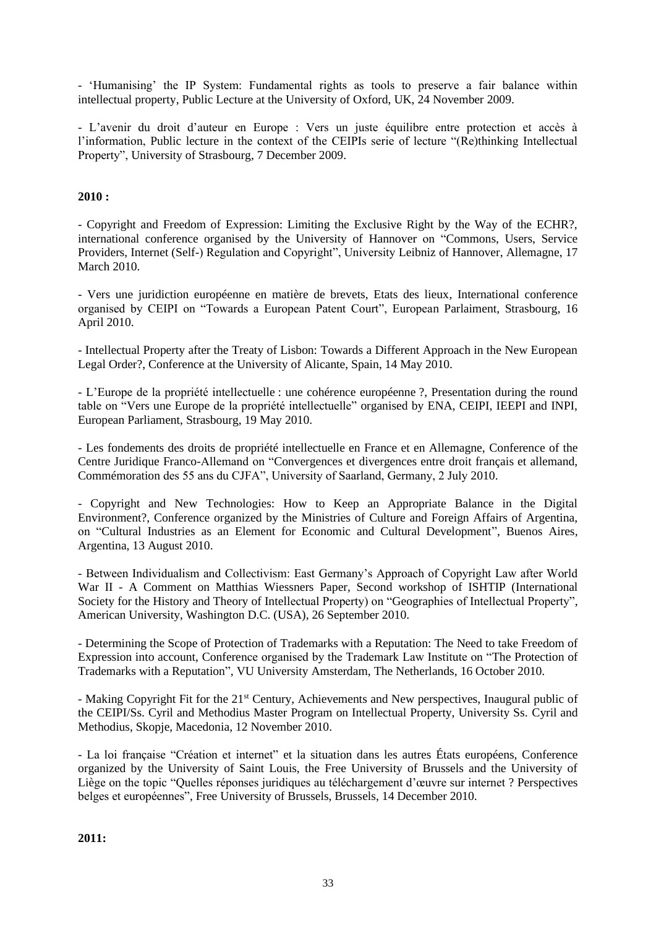- 'Humanising' the IP System: Fundamental rights as tools to preserve a fair balance within intellectual property, Public Lecture at the University of Oxford, UK, 24 November 2009.

- L'avenir du droit d'auteur en Europe : Vers un juste équilibre entre protection et accès à l'information, Public lecture in the context of the CEIPIs serie of lecture "(Re)thinking Intellectual Property", University of Strasbourg, 7 December 2009.

## **2010 :**

- Copyright and Freedom of Expression: Limiting the Exclusive Right by the Way of the ECHR?, international conference organised by the University of Hannover on "Commons, Users, Service Providers, Internet (Self-) Regulation and Copyright", University Leibniz of Hannover, Allemagne, 17 March 2010.

- Vers une juridiction européenne en matière de brevets, Etats des lieux, International conference organised by CEIPI on "Towards a European Patent Court", European Parlaiment, Strasbourg, 16 April 2010.

- Intellectual Property after the Treaty of Lisbon: Towards a Different Approach in the New European Legal Order?, Conference at the University of Alicante, Spain, 14 May 2010.

- L'Europe de la propriété intellectuelle : une cohérence européenne ?, Presentation during the round table on "Vers une Europe de la propriété intellectuelle" organised by ENA, CEIPI, IEEPI and INPI, European Parliament, Strasbourg, 19 May 2010.

- Les fondements des droits de propriété intellectuelle en France et en Allemagne, Conference of the Centre Juridique Franco-Allemand on "Convergences et divergences entre droit français et allemand, Commémoration des 55 ans du CJFA", University of Saarland, Germany, 2 July 2010.

- Copyright and New Technologies: How to Keep an Appropriate Balance in the Digital Environment?, Conference organized by the Ministries of Culture and Foreign Affairs of Argentina, on "Cultural Industries as an Element for Economic and Cultural Development", Buenos Aires, Argentina, 13 August 2010.

- Between Individualism and Collectivism: East Germany's Approach of Copyright Law after World War II - A Comment on Matthias Wiessners Paper, Second workshop of ISHTIP (International Society for the History and Theory of Intellectual Property) on "Geographies of Intellectual Property", American University, Washington D.C. (USA), 26 September 2010.

- Determining the Scope of Protection of Trademarks with a Reputation: The Need to take Freedom of Expression into account, Conference organised by the Trademark Law Institute on "The Protection of Trademarks with a Reputation", VU University Amsterdam, The Netherlands, 16 October 2010.

- Making Copyright Fit for the 21<sup>st</sup> Century, Achievements and New perspectives, Inaugural public of the CEIPI/Ss. Cyril and Methodius Master Program on Intellectual Property, University Ss. Cyril and Methodius, Skopje, Macedonia, 12 November 2010.

- La loi française "Création et internet" et la situation dans les autres États européens, Conference organized by the University of Saint Louis, the Free University of Brussels and the University of Liège on the topic "Quelles réponses juridiques au téléchargement d'œuvre sur internet ? Perspectives belges et européennes", Free University of Brussels, Brussels, 14 December 2010.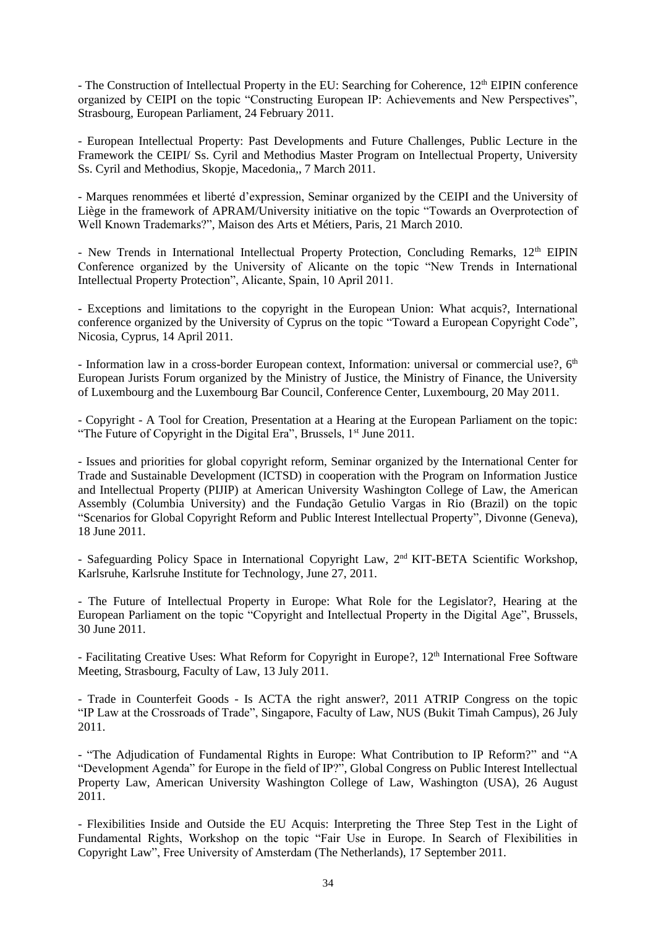- The Construction of Intellectual Property in the EU: Searching for Coherence, 12<sup>th</sup> EIPIN conference organized by CEIPI on the topic "Constructing European IP: Achievements and New Perspectives", Strasbourg, European Parliament, 24 February 2011.

- European Intellectual Property: Past Developments and Future Challenges, Public Lecture in the Framework the CEIPI/ Ss. Cyril and Methodius Master Program on Intellectual Property, University Ss. Cyril and Methodius, Skopje, Macedonia,, 7 March 2011.

- Marques renommées et liberté d'expression, Seminar organized by the CEIPI and the University of Liège in the framework of APRAM/University initiative on the topic "Towards an Overprotection of Well Known Trademarks?", Maison des Arts et Métiers, Paris, 21 March 2010.

- New Trends in International Intellectual Property Protection, Concluding Remarks, 12<sup>th</sup> EIPIN Conference organized by the University of Alicante on the topic "New Trends in International Intellectual Property Protection", Alicante, Spain, 10 April 2011.

- Exceptions and limitations to the copyright in the European Union: What acquis?, International conference organized by the University of Cyprus on the topic "Toward a European Copyright Code", Nicosia, Cyprus, 14 April 2011.

- Information law in a cross-border European context, Information: universal or commercial use?, 6<sup>th</sup> European Jurists Forum organized by the Ministry of Justice, the Ministry of Finance, the University of Luxembourg and the Luxembourg Bar Council, Conference Center, Luxembourg, 20 May 2011.

- Copyright - A Tool for Creation, Presentation at a Hearing at the European Parliament on the topic: "The Future of Copyright in the Digital Era", Brussels, 1<sup>st</sup> June 2011.

- Issues and priorities for global copyright reform, Seminar organized by the International Center for Trade and Sustainable Development (ICTSD) in cooperation with the Program on Information Justice and Intellectual Property (PIJIP) at American University Washington College of Law, the American Assembly (Columbia University) and the Fundação Getulio Vargas in Rio (Brazil) on the topic "Scenarios for Global Copyright Reform and Public Interest Intellectual Property", Divonne (Geneva), 18 June 2011.

- Safeguarding Policy Space in International Copyright Law, 2<sup>nd</sup> KIT-BETA Scientific Workshop, Karlsruhe, Karlsruhe Institute for Technology, June 27, 2011.

- The Future of Intellectual Property in Europe: What Role for the Legislator?, Hearing at the European Parliament on the topic "Copyright and Intellectual Property in the Digital Age", Brussels, 30 June 2011.

- Facilitating Creative Uses: What Reform for Copyright in Europe?, 12<sup>th</sup> International Free Software Meeting, Strasbourg, Faculty of Law, 13 July 2011.

- Trade in Counterfeit Goods - Is ACTA the right answer?, 2011 ATRIP Congress on the topic "IP Law at the Crossroads of Trade", Singapore, Faculty of Law, NUS (Bukit Timah Campus), 26 July 2011.

- "The Adjudication of Fundamental Rights in Europe: What Contribution to IP Reform?" and "A "Development Agenda" for Europe in the field of IP?", Global Congress on Public Interest Intellectual Property Law, American University Washington College of Law, Washington (USA), 26 August 2011.

- Flexibilities Inside and Outside the EU Acquis: Interpreting the Three Step Test in the Light of Fundamental Rights, Workshop on the topic "Fair Use in Europe. In Search of Flexibilities in Copyright Law", Free University of Amsterdam (The Netherlands), 17 September 2011.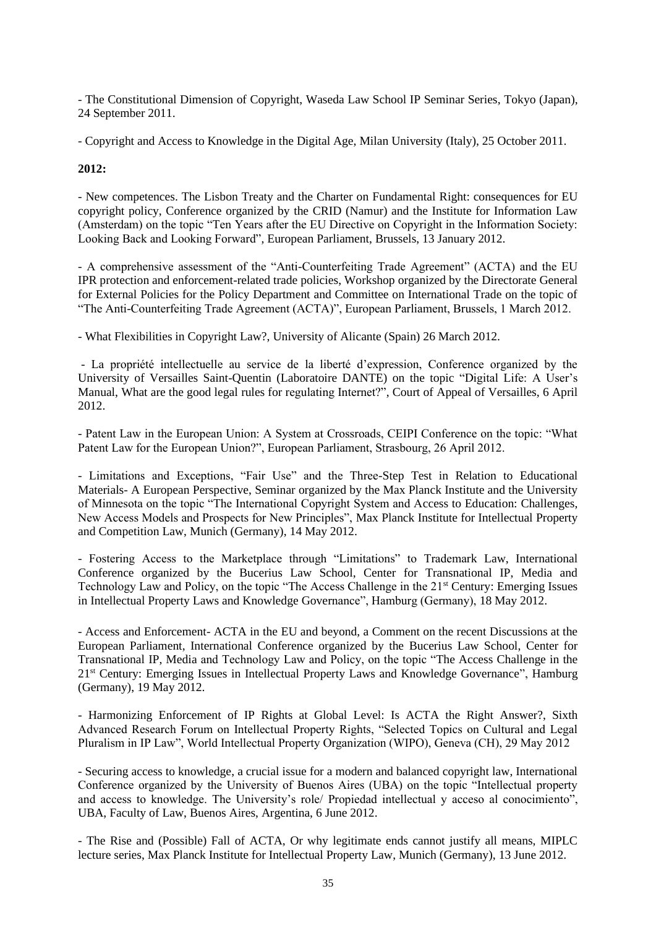- The Constitutional Dimension of Copyright, Waseda Law School IP Seminar Series, Tokyo (Japan), 24 September 2011.

- Copyright and Access to Knowledge in the Digital Age, Milan University (Italy), 25 October 2011.

# **2012:**

- New competences. The Lisbon Treaty and the Charter on Fundamental Right: consequences for EU copyright policy, Conference organized by the CRID (Namur) and the Institute for Information Law (Amsterdam) on the topic "Ten Years after the EU Directive on Copyright in the Information Society: Looking Back and Looking Forward", European Parliament, Brussels, 13 January 2012.

- A comprehensive assessment of the "Anti-Counterfeiting Trade Agreement" (ACTA) and the EU IPR protection and enforcement-related trade policies, Workshop organized by the Directorate General for External Policies for the Policy Department and Committee on International Trade on the topic of "The Anti-Counterfeiting Trade Agreement (ACTA)", European Parliament, Brussels, 1 March 2012.

- What Flexibilities in Copyright Law?, University of Alicante (Spain) 26 March 2012.

- La propriété intellectuelle au service de la liberté d'expression, Conference organized by the University of Versailles Saint-Quentin (Laboratoire DANTE) on the topic "Digital Life: A User's Manual, What are the good legal rules for regulating Internet?", Court of Appeal of Versailles, 6 April 2012.

- Patent Law in the European Union: A System at Crossroads, CEIPI Conference on the topic: "What Patent Law for the European Union?", European Parliament, Strasbourg, 26 April 2012.

- Limitations and Exceptions, "Fair Use" and the Three-Step Test in Relation to Educational Materials- A European Perspective, Seminar organized by the Max Planck Institute and the University of Minnesota on the topic "The International Copyright System and Access to Education: Challenges, New Access Models and Prospects for New Principles", Max Planck Institute for Intellectual Property and Competition Law, Munich (Germany), 14 May 2012.

- Fostering Access to the Marketplace through "Limitations" to Trademark Law, International Conference organized by the Bucerius Law School, Center for Transnational IP, Media and Technology Law and Policy, on the topic "The Access Challenge in the 21<sup>st</sup> Century: Emerging Issues in Intellectual Property Laws and Knowledge Governance", Hamburg (Germany), 18 May 2012.

- Access and Enforcement- ACTA in the EU and beyond, a Comment on the recent Discussions at the European Parliament, International Conference organized by the Bucerius Law School, Center for Transnational IP, Media and Technology Law and Policy, on the topic "The Access Challenge in the 21<sup>st</sup> Century: Emerging Issues in Intellectual Property Laws and Knowledge Governance", Hamburg (Germany), 19 May 2012.

- Harmonizing Enforcement of IP Rights at Global Level: Is ACTA the Right Answer?, Sixth Advanced Research Forum on Intellectual Property Rights, "Selected Topics on Cultural and Legal Pluralism in IP Law", World Intellectual Property Organization (WIPO), Geneva (CH), 29 May 2012

- Securing access to knowledge, a crucial issue for a modern and balanced copyright law, International Conference organized by the University of Buenos Aires (UBA) on the topic "Intellectual property and access to knowledge. The University's role/ Propiedad intellectual y acceso al conocimiento", UBA, Faculty of Law, Buenos Aires, Argentina, 6 June 2012.

- The Rise and (Possible) Fall of ACTA, Or why legitimate ends cannot justify all means, MIPLC lecture series, Max Planck Institute for Intellectual Property Law, Munich (Germany), 13 June 2012.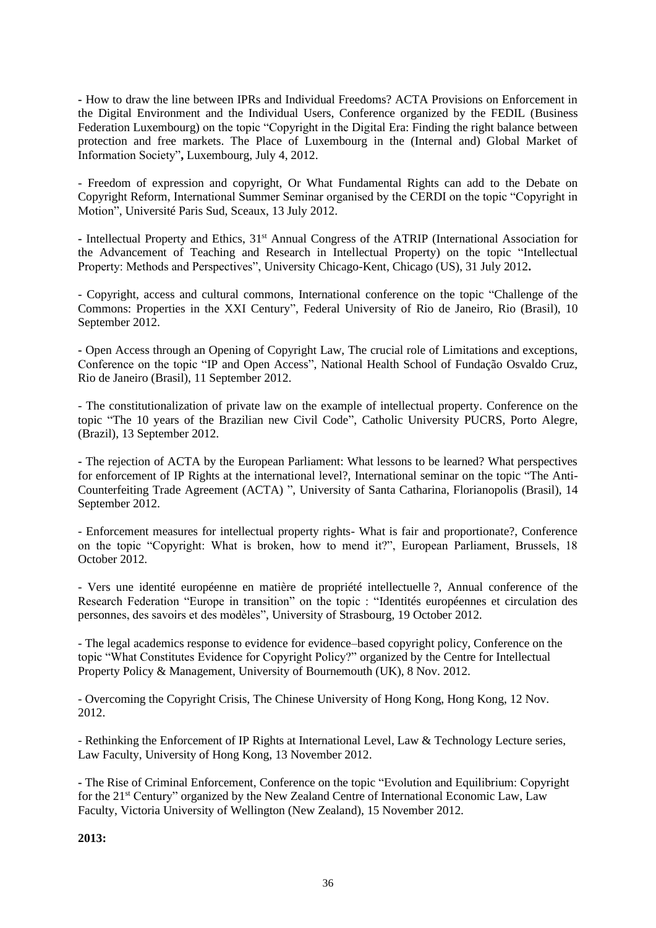**-** How to draw the line between IPRs and Individual Freedoms? ACTA Provisions on Enforcement in the Digital Environment and the Individual Users, Conference organized by the FEDIL (Business Federation Luxembourg) on the topic "Copyright in the Digital Era: Finding the right balance between protection and free markets. The Place of Luxembourg in the (Internal and) Global Market of Information Society"**,** Luxembourg, July 4, 2012.

- Freedom of expression and copyright, Or What Fundamental Rights can add to the Debate on Copyright Reform, International Summer Seminar organised by the CERDI on the topic "Copyright in Motion", Université Paris Sud, Sceaux, 13 July 2012.

**-** Intellectual Property and Ethics, 31st Annual Congress of the ATRIP (International Association for the Advancement of Teaching and Research in Intellectual Property) on the topic "Intellectual Property: Methods and Perspectives", University Chicago-Kent, Chicago (US), 31 July 2012**.**

- Copyright, access and cultural commons, International conference on the topic ["Challenge of the](http://www.ceipi.edu/fileadmin/upload/DUN/CEIPI/Documents/Colloques/Autres/Bresil/Programa_Final_commons_set_2012_Rio_de_Janeiro.pdf)  [Commons: Properties in the XXI Century",](http://www.ceipi.edu/fileadmin/upload/DUN/CEIPI/Documents/Colloques/Autres/Bresil/Programa_Final_commons_set_2012_Rio_de_Janeiro.pdf) Federal University of Rio de Janeiro, Rio (Brasil), 10 September 2012.

**-** Open Access through an Opening of Copyright Law, The crucial role of Limitations and exceptions, Conference on the topic "IP and Open Access", National Health School of Fundação Osvaldo Cruz, Rio de Janeiro (Brasil), 11 September 2012.

- The constitutionalization of private law on the example of intellectual property. Conference on the topic ["The 10 years of the Brazilian new Civil Code",](http://www.pucrs.br/eventos/codigocivil/?p=programacao) Catholic University PUCRS, Porto Alegre, (Brazil), 13 September 2012.

**-** The rejection of ACTA by the European Parliament: What lessons to be learned? What perspectives for enforcement of IP Rights at the international level?, International seminar on the topic ["The Anti-](http://www.ceipi.edu/fileadmin/upload/DUN/CEIPI/Documents/Colloques/Autres/Bresil/Seminario_ACTA-UFSC-CEIPI_14set2012_rev.pdf)[Counterfeiting Trade Agreement \(ACTA\)](http://www.ceipi.edu/fileadmin/upload/DUN/CEIPI/Documents/Colloques/Autres/Bresil/Seminario_ACTA-UFSC-CEIPI_14set2012_rev.pdf) ", University of Santa Catharina, Florianopolis (Brasil), 14 September 2012.

- Enforcement measures for intellectual property rights- What is fair and proportionate?, Conference on the topic "Copyright: What is broken, how to mend it?", European Parliament, Brussels, 18 October 2012.

- Vers une identité européenne en matière de propriété intellectuelle ?, Annual conference of the Research Federation "Europe in transition" on the topic : "Identités européennes et circulation des personnes, des savoirs et des modèles", University of Strasbourg, 19 October 2012.

- The legal academics response to evidence for evidence–based copyright policy, Conference on the topic "What Constitutes Evidence for Copyright Policy?" organized by the Centre for Intellectual Property Policy & Management, University of Bournemouth (UK), 8 Nov. 2012.

- Overcoming the Copyright Crisis, The Chinese University of Hong Kong, Hong Kong, 12 Nov. 2012.

- Rethinking the Enforcement of IP Rights at International Level, Law & Technology Lecture series, Law Faculty, University of Hong Kong, 13 November 2012.

**-** The Rise of Criminal Enforcement, Conference on the topic "Evolution and Equilibrium: Copyright for the 21<sup>st</sup> Century" organized by the New Zealand Centre of International Economic Law, Law Faculty, Victoria University of Wellington (New Zealand), 15 November 2012.

**2013:**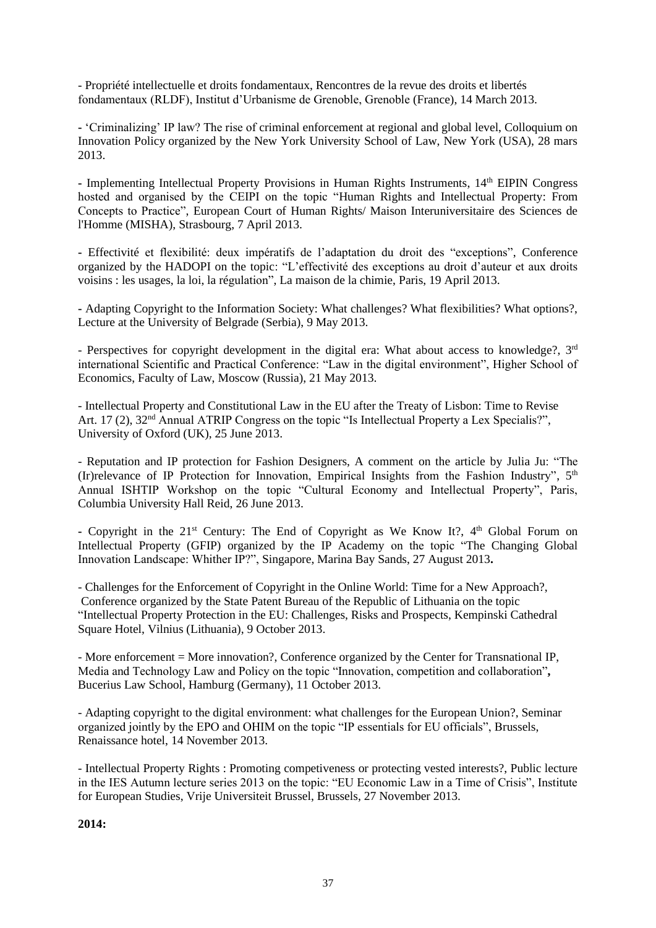- Propriété intellectuelle et droits fondamentaux, Rencontres de la revue des droits et libertés fondamentaux (RLDF), Institut d'Urbanisme de Grenoble, Grenoble (France), 14 March 2013.

**-** 'Criminalizing' IP law? The rise of criminal enforcement at regional and global level, Colloquium on Innovation Policy organized by the New York University School of Law, New York (USA), 28 mars 2013.

- Implementing Intellectual Property Provisions in Human Rights Instruments, 14<sup>th</sup> EIPIN Congress hosted and organised by the CEIPI on the topic "Human Rights and Intellectual Property: From Concepts to Practice", European Court of Human Rights/ Maison Interuniversitaire des Sciences de l'Homme (MISHA), Strasbourg, 7 April 2013.

**-** Effectivité et flexibilité: deux impératifs de l'adaptation du droit des "exceptions", Conference organized by the HADOPI on the topic: "L'effectivité des exceptions au droit d'auteur et aux droits voisins : les usages, la loi, la régulation", La maison de la chimie, Paris, 19 April 2013.

**-** Adapting Copyright to the Information Society: What challenges? What flexibilities? What options?, Lecture at the University of Belgrade (Serbia), 9 May 2013.

- Perspectives for copyright development in the digital era: What about access to knowledge?,  $3<sup>rd</sup>$ international Scientific and Practical Conference: "Law in the digital environment", Higher School of Economics, Faculty of Law, Moscow (Russia), 21 May 2013.

- Intellectual Property and Constitutional Law in the EU after the Treaty of Lisbon: Time to Revise Art. 17 (2),  $32<sup>nd</sup>$  Annual ATRIP Congress on the topic "Is Intellectual Property a Lex Specialis?", University of Oxford (UK), 25 June 2013.

- Reputation and IP protection for Fashion Designers, A comment on the article by Julia Ju: "The (Ir)relevance of IP Protection for Innovation, Empirical Insights from the Fashion Industry",  $5<sup>th</sup>$ Annual ISHTIP Workshop on the topic "Cultural Economy and Intellectual Property", Paris, Columbia University Hall Reid, 26 June 2013.

- Copyright in the 21<sup>st</sup> Century: The End of Copyright as We Know It?, 4<sup>th</sup> Global Forum on Intellectual Property (GFIP) organized by the IP Academy on the topic "The Changing Global Innovation Landscape: Whither IP?", Singapore, Marina Bay Sands, 27 August 2013**.**

- Challenges for the Enforcement of Copyright in the Online World: Time for a New Approach?, Conference organized by the State Patent Bureau of the Republic of Lithuania on the topic "Intellectual Property Protection in the EU: Challenges, Risks and Prospects, Kempinski Cathedral Square Hotel, Vilnius (Lithuania), 9 October 2013.

- More enforcement = More innovation?, Conference organized by the Center for Transnational IP, Media and Technology Law and Policy on the topic "Innovation, competition and collaboration"**,** Bucerius Law School, Hamburg (Germany), 11 October 2013.

- Adapting copyright to the digital environment: what challenges for the European Union?, Seminar organized jointly by the EPO and OHIM on the topic "IP essentials for EU officials", Brussels, Renaissance hotel, 14 November 2013.

- Intellectual Property Rights : Promoting competiveness or protecting vested interests?, Public lecture in the IES Autumn lecture series 2013 on the topic: "EU Economic Law in a Time of Crisis", Institute for European Studies, Vrije Universiteit Brussel, Brussels, 27 November 2013.

**2014:**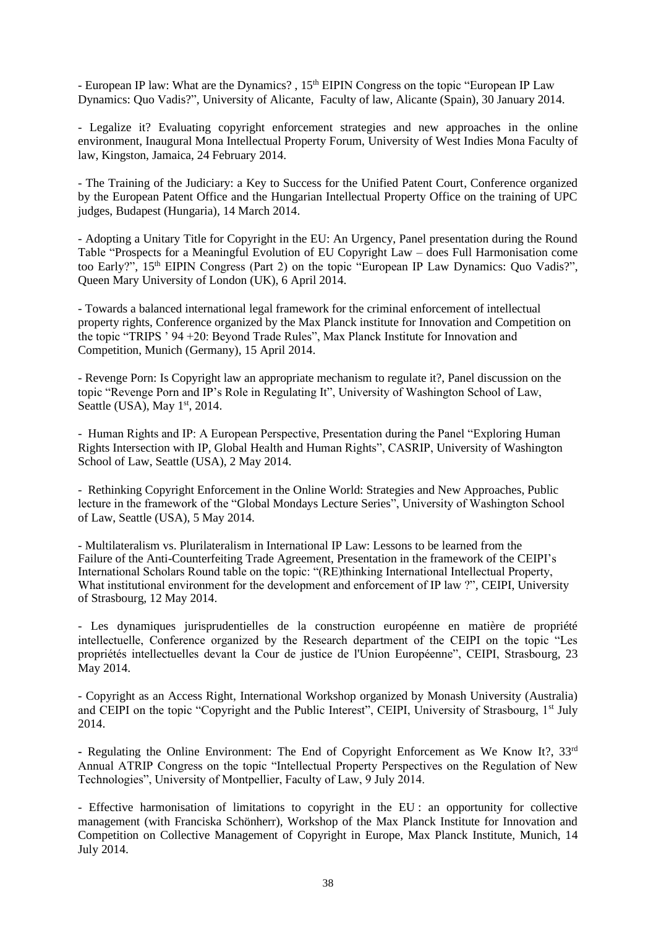- European IP law: What are the Dynamics?, 15<sup>th</sup> EIPIN Congress on the topic "European IP Law Dynamics: Quo Vadis?", University of Alicante, Faculty of law, Alicante (Spain), 30 January 2014.

- Legalize it? Evaluating copyright enforcement strategies and new approaches in the online environment, Inaugural Mona Intellectual Property Forum, University of West Indies Mona Faculty of law, Kingston, Jamaica, 24 February 2014.

- The Training of the Judiciary: a Key to Success for the Unified Patent Court, Conference organized by the European Patent Office and the Hungarian Intellectual Property Office on the training of UPC judges, Budapest (Hungaria), 14 March 2014.

*-* Adopting a Unitary Title for Copyright in the EU: An Urgency, Panel presentation during the Round Table "Prospects for a Meaningful Evolution of EU Copyright Law – does Full Harmonisation come too Early?", 15<sup>th</sup> EIPIN Congress (Part 2) on the topic "European IP Law Dynamics: Quo Vadis?", Queen Mary University of London (UK), 6 April 2014.

- Towards a balanced international legal framework for the criminal enforcement of intellectual property rights, Conference organized by the Max Planck institute for Innovation and Competition on the topic "TRIPS ' 94 +20: Beyond Trade Rules", Max Planck Institute for Innovation and Competition, Munich (Germany), 15 April 2014.

- Revenge Porn: Is Copyright law an appropriate mechanism to regulate it?, Panel discussion on the topic "Revenge Porn and IP's Role in Regulating It", University of Washington School of Law, Seattle (USA), May  $1<sup>st</sup>$ , 2014.

- Human Rights and IP: A European Perspective, Presentation during the Panel "Exploring Human Rights Intersection with IP, Global Health and Human Rights", CASRIP, University of Washington School of Law, Seattle (USA), 2 May 2014.

- Rethinking Copyright Enforcement in the Online World: Strategies and New Approaches, Public lecture in the framework of the "Global Mondays Lecture Series", University of Washington School of Law, Seattle (USA), 5 May 2014.

- Multilateralism vs. Plurilateralism in International IP Law: Lessons to be learned from the Failure of the Anti-Counterfeiting Trade Agreement, Presentation in the framework of the CEIPI's International Scholars Round table on the topic: "(RE)thinking International Intellectual Property, What institutional environment for the development and enforcement of IP law ?"*,* CEIPI, University of Strasbourg, 12 May 2014.

- Les dynamiques jurisprudentielles de la construction européenne en matière de propriété intellectuelle, Conference organized by the Research department of the CEIPI on the topic "Les propriétés intellectuelles devant la Cour de justice de l'Union Européenne", CEIPI, Strasbourg, 23 May 2014.

- Copyright as an Access Right, International Workshop organized by Monash University (Australia) and CEIPI on the topic "Copyright and the Public Interest", CEIPI, University of Strasbourg, 1<sup>st</sup> July 2014.

**-** Regulating the Online Environment: The End of Copyright Enforcement as We Know It?, 33rd Annual ATRIP Congress on the topic "Intellectual Property Perspectives on the Regulation of New Technologies", University of Montpellier, Faculty of Law, 9 July 2014.

- Effective harmonisation of limitations to copyright in the EU : an opportunity for collective management (with Franciska Schönherr), Workshop of the Max Planck Institute for Innovation and Competition on Collective Management of Copyright in Europe, Max Planck Institute, Munich, 14 July 2014.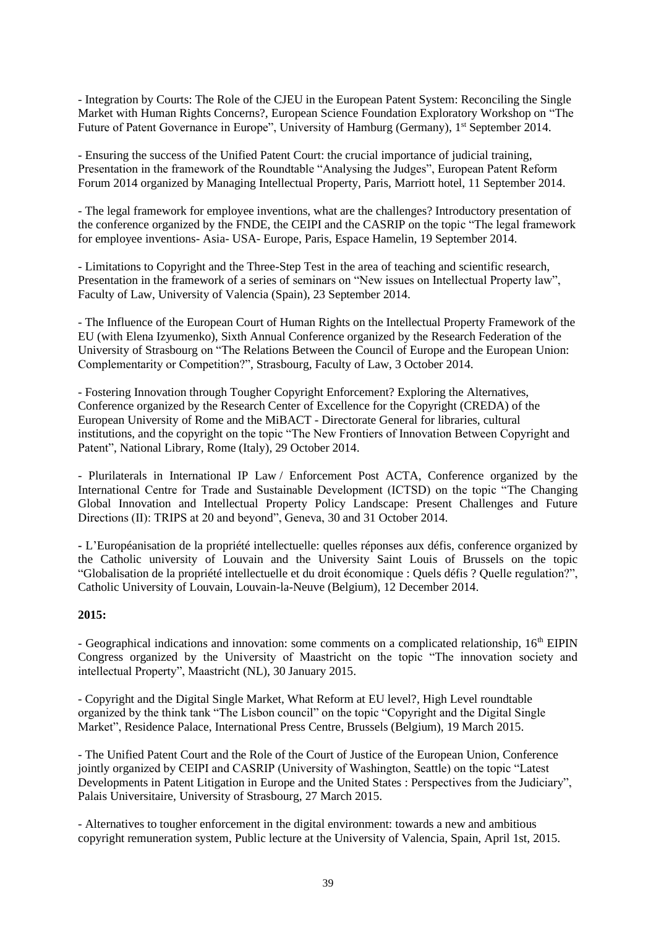- Integration by Courts: The Role of the CJEU in the European Patent System: Reconciling the Single Market with Human Rights Concerns?, European Science Foundation Exploratory Workshop on "The Future of Patent Governance in Europe", University of Hamburg (Germany), 1<sup>st</sup> September 2014.

- Ensuring the success of the Unified Patent Court: the crucial importance of judicial training, Presentation in the framework of the Roundtable "Analysing the Judges", European Patent Reform Forum 2014 organized by Managing Intellectual Property, Paris, Marriott hotel, 11 September 2014.

- The legal framework for employee inventions, what are the challenges? Introductory presentation of the conference organized by the FNDE, the CEIPI and the CASRIP on the topic "The legal framework for employee inventions- Asia- USA- Europe, Paris, Espace Hamelin, 19 September 2014.

- Limitations to Copyright and the Three-Step Test in the area of teaching and scientific research, Presentation in the framework of a series of seminars on "New issues on Intellectual Property law", Faculty of Law, University of Valencia (Spain), 23 September 2014.

- The Influence of the European Court of Human Rights on the Intellectual Property Framework of the EU (with Elena Izyumenko), Sixth Annual Conference organized by the Research Federation of the University of Strasbourg on "The Relations Between the Council of Europe and the European Union: Complementarity or Competition?", Strasbourg, Faculty of Law, 3 October 2014.

- Fostering Innovation through Tougher Copyright Enforcement? Exploring the Alternatives, Conference organized by the Research Center of Excellence for the Copyright (CREDA) of the European University of Rome and the MiBACT - Directorate General for libraries, cultural institutions, and the copyright on the topic "The New Frontiers of Innovation Between Copyright and Patent", National Library, Rome (Italy), 29 October 2014.

- Plurilaterals in International IP Law / Enforcement Post ACTA, Conference organized by the International Centre for Trade and Sustainable Development (ICTSD) on the topic "The Changing Global Innovation and Intellectual Property Policy Landscape: Present Challenges and Future Directions (II): TRIPS at 20 and beyond", Geneva, 30 and 31 October 2014.

**-** L'Européanisation de la propriété intellectuelle: quelles réponses aux défis, conference organized by the Catholic university of Louvain and the University Saint Louis of Brussels on the topic "Globalisation de la propriété intellectuelle et du droit économique : Quels défis ? Quelle regulation?", Catholic University of Louvain, Louvain-la-Neuve (Belgium), 12 December 2014.

## **2015:**

- Geographical indications and innovation: some comments on a complicated relationship, 16<sup>th</sup> EIPIN Congress organized by the University of Maastricht on the topic "The innovation society and intellectual Property", Maastricht (NL), 30 January 2015.

- Copyright and the Digital Single Market, What Reform at EU level?, High Level roundtable organized by the think tank "The Lisbon council" on the topic "Copyright and the Digital Single Market", Residence Palace, International Press Centre, Brussels (Belgium), 19 March 2015.

- The Unified Patent Court and the Role of the Court of Justice of the European Union, Conference jointly organized by CEIPI and CASRIP (University of Washington, Seattle) on the topic "Latest Developments in Patent Litigation in Europe and the United States : Perspectives from the Judiciary", Palais Universitaire, University of Strasbourg, 27 March 2015.

- Alternatives to tougher enforcement in the digital environment: towards a new and ambitious copyright remuneration system, Public lecture at the University of Valencia, Spain, April 1st, 2015.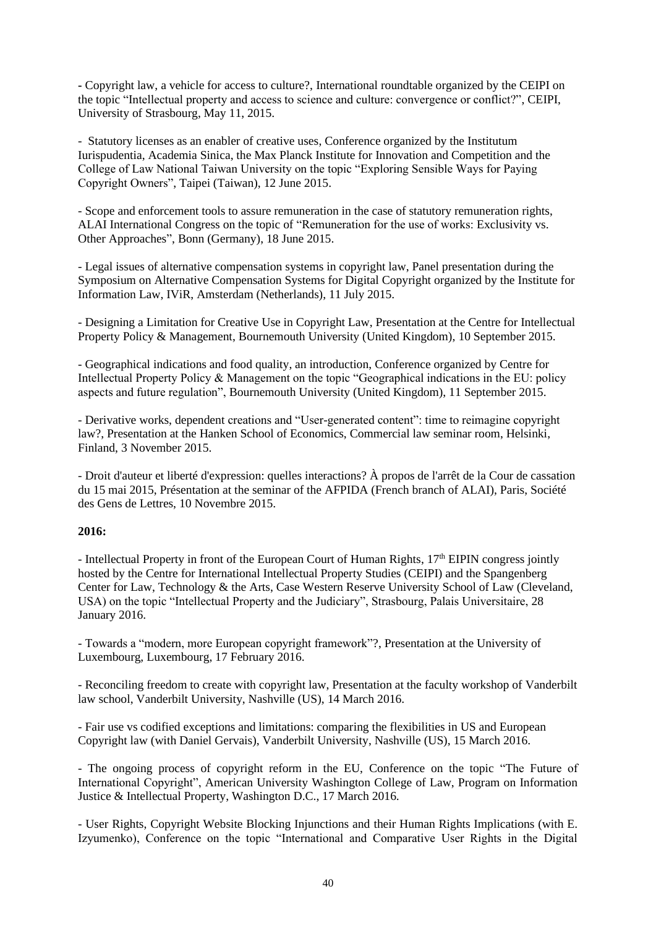**-** Copyright law, a vehicle for access to culture?, International roundtable organized by the CEIPI on the topic "Intellectual property and access to science and culture: convergence or conflict?", CEIPI, University of Strasbourg, May 11, 2015.

- Statutory licenses as an enabler of creative uses, Conference organized by the Institutum Iurispudentia, Academia Sinica, the Max Planck Institute for Innovation and Competition and the College of Law National Taiwan University on the topic "Exploring Sensible Ways for Paying Copyright Owners", Taipei (Taiwan), 12 June 2015.

- Scope and enforcement tools to assure remuneration in the case of statutory remuneration rights, ALAI International Congress on the topic of "Remuneration for the use of works: Exclusivity vs. Other Approaches", Bonn (Germany), 18 June 2015.

- Legal issues of alternative compensation systems in copyright law, Panel presentation during the Symposium on Alternative Compensation Systems for Digital Copyright organized by the Institute for Information Law, IViR, Amsterdam (Netherlands), 11 July 2015.

- Designing a Limitation for Creative Use in Copyright Law, Presentation at the Centre for Intellectual Property Policy & Management, Bournemouth University (United Kingdom), 10 September 2015.

- Geographical indications and food quality, an introduction, Conference organized by Centre for Intellectual Property Policy & Management on the topic "Geographical indications in the EU: policy aspects and future regulation", Bournemouth University (United Kingdom), 11 September 2015.

- Derivative works, dependent creations and "User-generated content": time to reimagine copyright law?, Presentation at the Hanken School of Economics, Commercial law seminar room, Helsinki, Finland, 3 November 2015.

- Droit d'auteur et liberté d'expression: quelles interactions? À propos de l'arrêt de la Cour de cassation du 15 mai 2015, Présentation at the seminar of the AFPIDA (French branch of ALAI), Paris, Société des Gens de Lettres, 10 Novembre 2015.

## **2016:**

- Intellectual Property in front of the European Court of Human Rights, 17<sup>th</sup> EIPIN congress jointly hosted by the Centre for International Intellectual Property Studies (CEIPI) and the Spangenberg Center for Law, Technology & the Arts, Case Western Reserve University School of Law (Cleveland, USA) on the topic "Intellectual Property and the Judiciary", Strasbourg, Palais Universitaire, 28 January 2016.

- Towards a "modern, more European copyright framework"?, Presentation at the University of Luxembourg, Luxembourg, 17 February 2016.

- Reconciling freedom to create with copyright law, Presentation at the faculty workshop of Vanderbilt law school, Vanderbilt University, Nashville (US), 14 March 2016.

- Fair use vs codified exceptions and limitations: comparing the flexibilities in US and European Copyright law (with Daniel Gervais), Vanderbilt University, Nashville (US), 15 March 2016.

- The ongoing process of copyright reform in the EU, Conference on the topic "The Future of International Copyright", American University Washington College of Law, Program on Information Justice & Intellectual Property, Washington D.C., 17 March 2016.

- User Rights, Copyright Website Blocking Injunctions and their Human Rights Implications (with E. Izyumenko), Conference on the topic "International and Comparative User Rights in the Digital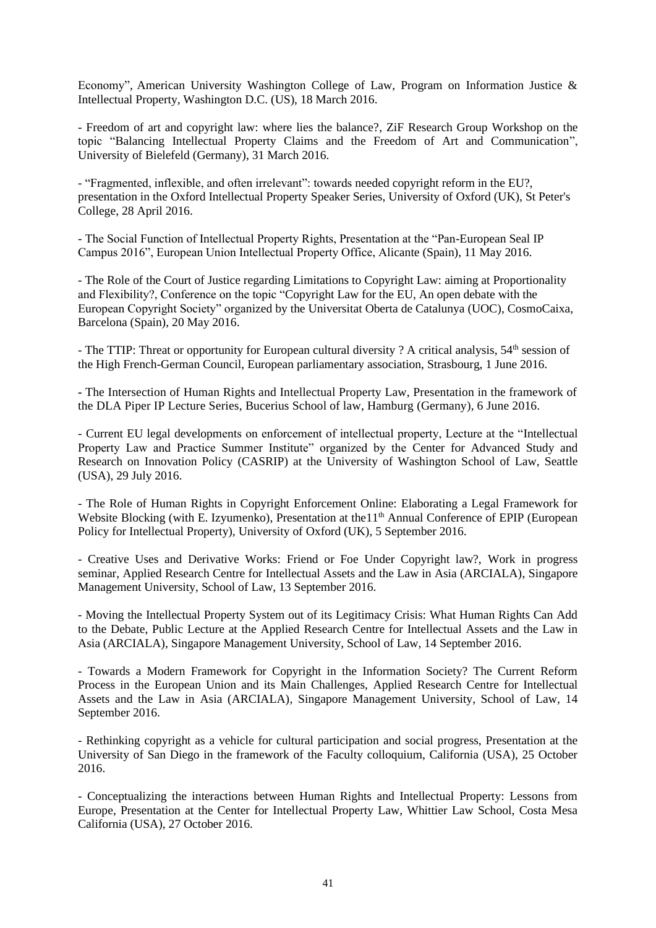Economy", American University Washington College of Law, Program on Information Justice & Intellectual Property, Washington D.C. (US), 18 March 2016.

- Freedom of art and copyright law: where lies the balance?, ZiF Research Group Workshop on the topic "Balancing Intellectual Property Claims and the Freedom of Art and Communication", University of Bielefeld (Germany), 31 March 2016.

- "Fragmented, inflexible, and often irrelevant": towards needed copyright reform in the EU?, presentation in the Oxford Intellectual Property Speaker Series, University of Oxford (UK), St Peter's College, 28 April 2016.

- The Social Function of Intellectual Property Rights, Presentation at the "Pan-European Seal IP Campus 2016", European Union Intellectual Property Office, Alicante (Spain), 11 May 2016.

- The Role of the Court of Justice regarding Limitations to Copyright Law: aiming at Proportionality and Flexibility?, Conference on the topic "Copyright Law for the EU, An open debate with the European Copyright Society" organized by the Universitat Oberta de Catalunya (UOC), CosmoCaixa, Barcelona (Spain), 20 May 2016.

- The TTIP: Threat or opportunity for European cultural diversity ? A critical analysis, 54<sup>th</sup> session of the High French-German Council, European parliamentary association, Strasbourg, 1 June 2016.

**-** The Intersection of Human Rights and Intellectual Property Law, Presentation in the framework of the DLA Piper IP Lecture Series, Bucerius School of law, Hamburg (Germany), 6 June 2016.

- Current EU legal developments on enforcement of intellectual property, Lecture at the "Intellectual Property Law and Practice Summer Institute" organized by the Center for Advanced Study and Research on Innovation Policy (CASRIP) at the University of Washington School of Law, Seattle (USA), 29 July 2016.

- The Role of Human Rights in Copyright Enforcement Online: Elaborating a Legal Framework for Website Blocking (with E. Izyumenko), Presentation at the 1<sup>th</sup> Annual Conference of EPIP (European Policy for Intellectual Property), University of Oxford (UK), 5 September 2016.

- [Creative Uses and Derivative Works: Friend or Foe Under Copyright law?,](http://arciala.smu.edu.sg/events/2016/09/13/seminar-copyright-private-censorship) Work in progress seminar, Applied Research Centre for Intellectual Assets and the Law in Asia (ARCIALA), Singapore Management University, School of Law, 13 September 2016.

- Moving the Intellectual Property System out of its Legitimacy Crisis: What Human Rights Can Add to the Debate, Public Lecture at the Applied Research Centre for Intellectual Assets and the Law in Asia (ARCIALA), Singapore Management University, School of Law, 14 September 2016.

- Towards a Modern Framework for Copyright in the Information Society? The Current Reform Process in the European Union and its Main Challenges, Applied Research Centre for Intellectual Assets and the Law in Asia (ARCIALA), Singapore Management University, School of Law, 14 September 2016.

- Rethinking copyright as a vehicle for cultural participation and social progress, Presentation at the University of San Diego in the framework of the Faculty colloquium, California (USA), 25 October 2016.

- Conceptualizing the interactions between Human Rights and Intellectual Property: Lessons from Europe, Presentation at the Center for Intellectual Property Law, Whittier Law School, Costa Mesa California (USA), 27 October 2016.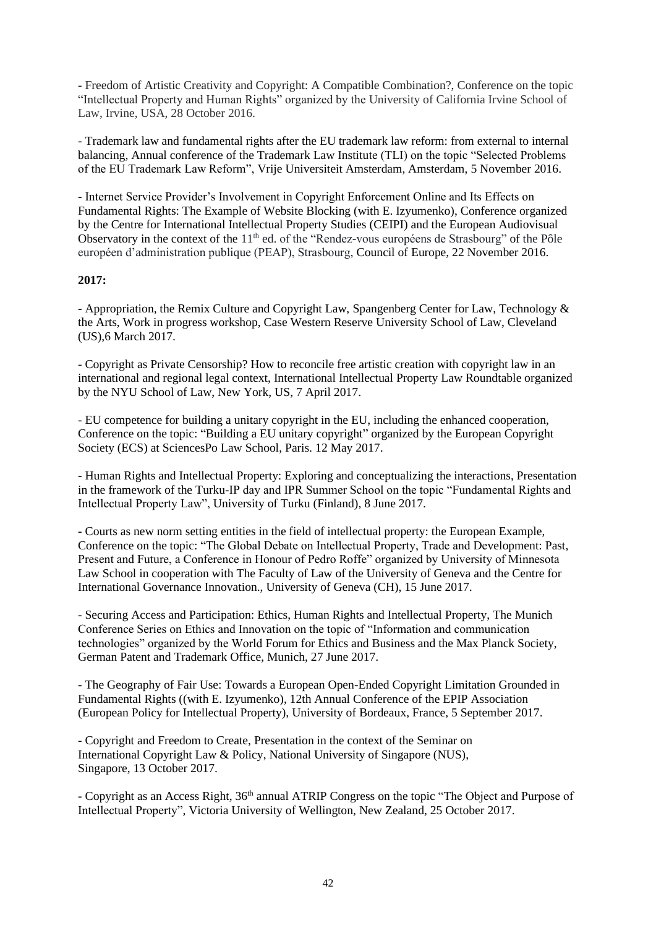- Freedom of Artistic Creativity and Copyright: A Compatible Combination?, Conference on the topic "Intellectual Property and Human Rights" organized by the University of California Irvine School of Law, Irvine, USA, 28 October 2016.

- Trademark law and fundamental rights after the EU trademark law reform: from external to internal balancing, Annual conference of the Trademark Law Institute (TLI) on the topic "Selected Problems of the EU Trademark Law Reform", Vrije Universiteit Amsterdam, Amsterdam, 5 November 2016.

- Internet Service Provider's Involvement in Copyright Enforcement Online and Its Effects on Fundamental Rights: The Example of Website Blocking (with E. Izyumenko), Conference organized by the Centre for International Intellectual Property Studies (CEIPI) and the European Audiovisual Observatory in the context of the 11<sup>th</sup> ed. of the "Rendez-vous européens de Strasbourg" of the Pôle européen d'administration publique (PEAP), Strasbourg, Council of Europe, 22 November 2016.

## **2017:**

- Appropriation, the Remix Culture and Copyright Law, Spangenberg Center for Law, Technology & the Arts, Work in progress workshop, Case Western Reserve University School of Law, Cleveland (US),6 March 2017.

- Copyright as Private Censorship? How to reconcile free artistic creation with copyright law in an international and regional legal context, International Intellectual Property Law Roundtable organized by the NYU School of Law, New York, US, 7 April 2017.

- EU competence for building a unitary copyright in the EU, including the enhanced cooperation, Conference on the topic: "Building a EU unitary copyright" organized by the European Copyright Society (ECS) at SciencesPo Law School, Paris. 12 May 2017.

- Human Rights and Intellectual Property: Exploring and conceptualizing the interactions, Presentation in the framework of the Turku-IP day and IPR Summer School on the topic "Fundamental Rights and Intellectual Property Law", University of Turku (Finland), 8 June 2017.

**-** Courts as new norm setting entities in the field of intellectual property: the European Example, Conference on the topic: "The Global Debate on Intellectual Property, Trade and Development: Past, Present and Future, a Conference in Honour of Pedro Roffe" organized by University of Minnesota Law School in cooperation with The Faculty of Law of the University of Geneva and the Centre for International Governance Innovation., University of Geneva (CH), 15 June 2017.

- Securing Access and Participation: Ethics, Human Rights and Intellectual Property, The Munich Conference Series on Ethics and Innovation on the topic of "Information and communication technologies" organized by the World Forum for Ethics and Business and the Max Planck Society, German Patent and Trademark Office, Munich, 27 June 2017.

**-** The Geography of Fair Use: Towards a European Open-Ended Copyright Limitation Grounded in Fundamental Rights ((with E. Izyumenko), 12th Annual Conference of the EPIP Association (European Policy for Intellectual Property), University of Bordeaux, France, 5 September 2017.

- Copyright and Freedom to Create, Presentation in the context of the Seminar on International Copyright Law & Policy, National University of Singapore (NUS), Singapore, 13 October 2017.

**-** Copyright as an Access Right, 36th annual ATRIP Congress on the topic "The Object and Purpose of Intellectual Property", Victoria University of Wellington, New Zealand, 25 October 2017.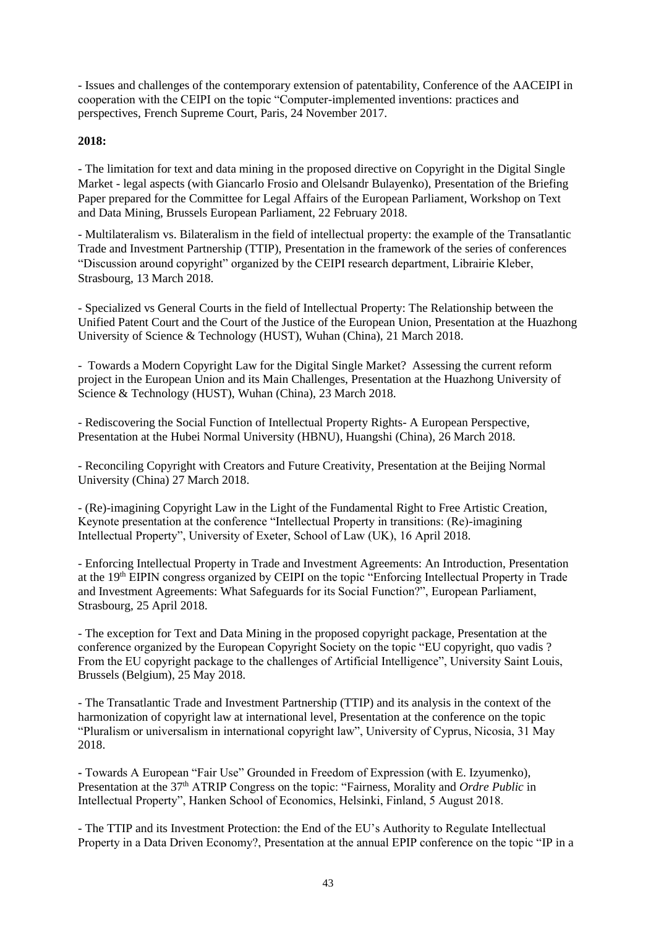- Issues and challenges of the contemporary extension of patentability, Conference of the AACEIPI in cooperation with the CEIPI on the topic "Computer-implemented inventions: practices and perspectives, French Supreme Court, Paris, 24 November 2017.

# **2018:**

- The limitation for text and data mining in the proposed directive on Copyright in the Digital Single Market - legal aspects (with Giancarlo Frosio and Olelsandr Bulayenko), Presentation of the Briefing Paper prepared for the Committee for Legal Affairs of the European Parliament, Workshop on Text and Data Mining, Brussels European Parliament, 22 February 2018.

- Multilateralism vs. Bilateralism in the field of intellectual property: the example of the Transatlantic Trade and Investment Partnership (TTIP), Presentation in the framework of the series of conferences "Discussion around copyright" organized by the CEIPI research department, Librairie Kleber, Strasbourg, 13 March 2018.

- Specialized vs General Courts in the field of Intellectual Property: The Relationship between the Unified Patent Court and the Court of the Justice of the European Union, Presentation at the Huazhong University of Science & Technology (HUST), Wuhan (China), 21 March 2018.

- Towards a Modern Copyright Law for the Digital Single Market? Assessing the current reform project in the European Union and its Main Challenges, Presentation at the Huazhong University of Science & Technology (HUST), Wuhan (China), 23 March 2018.

- Rediscovering the Social Function of Intellectual Property Rights- A European Perspective, Presentation at the Hubei Normal University (HBNU), Huangshi (China), 26 March 2018.

- Reconciling Copyright with Creators and Future Creativity, Presentation at the Beijing Normal University (China) 27 March 2018.

- (Re)-imagining Copyright Law in the Light of the Fundamental Right to Free Artistic Creation, Keynote presentation at the conference "Intellectual Property in transitions: (Re)-imagining Intellectual Property", University of Exeter, School of Law (UK), 16 April 2018.

- Enforcing Intellectual Property in Trade and Investment Agreements: An Introduction, Presentation at the 19<sup>th</sup> EIPIN congress organized by CEIPI on the topic "Enforcing Intellectual Property in Trade and Investment Agreements: What Safeguards for its Social Function?", European Parliament, Strasbourg, 25 April 2018.

- The exception for Text and Data Mining in the proposed copyright package, Presentation at the conference organized by the European Copyright Society on the topic "EU copyright, quo vadis ? From the EU copyright package to the challenges of Artificial Intelligence", University Saint Louis, Brussels (Belgium), 25 May 2018.

*-* The Transatlantic Trade and Investment Partnership (TTIP) and its analysis in the context of the harmonization of copyright law at international level, Presentation at the conference on the topic "Pluralism or universalism in international copyright law", University of Cyprus, Nicosia, 31 May 2018.

**-** Towards A European "Fair Use" Grounded in Freedom of Expression (with E. Izyumenko), Presentation at the 37<sup>th</sup> ATRIP Congress on the topic: "Fairness, Morality and *Ordre Public* in Intellectual Property", Hanken School of Economics, Helsinki, Finland, 5 August 2018.

- The TTIP and its Investment Protection: the End of the EU's Authority to Regulate Intellectual Property in a Data Driven Economy?, Presentation at the annual EPIP conference on the topic "IP in a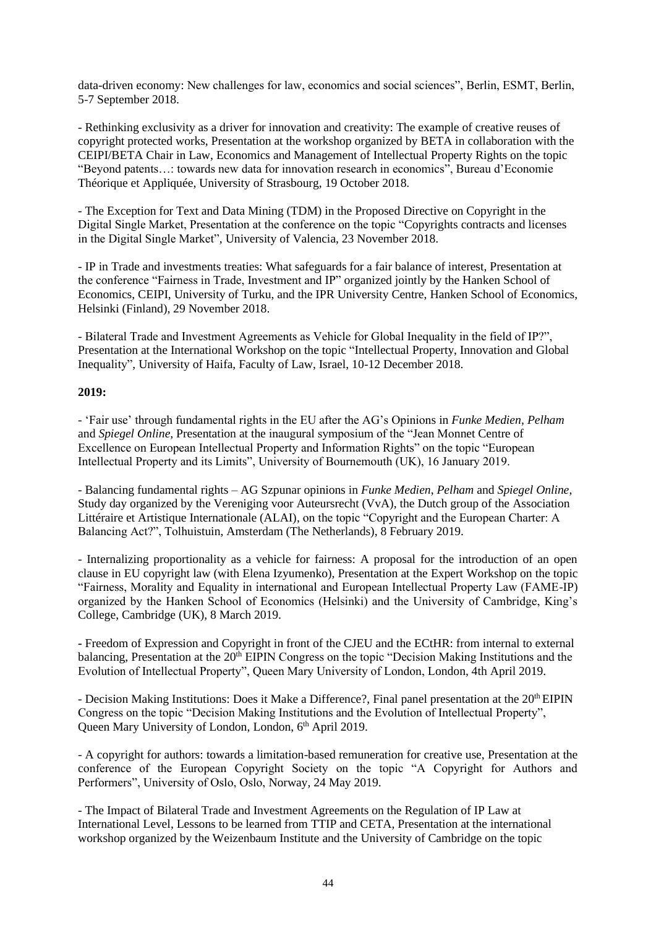data-driven economy: New challenges for law, economics and social sciences", Berlin, ESMT, Berlin, 5-7 September 2018.

- Rethinking exclusivity as a driver for innovation and creativity: The example of creative reuses of copyright protected works, Presentation at the workshop organized by BETA in collaboration with the CEIPI/BETA Chair in Law, Economics and Management of Intellectual Property Rights on the topic "Beyond patents…: towards new data for innovation research in economics", Bureau d'Economie Théorique et Appliquée, University of Strasbourg, 19 October 2018.

- The Exception for Text and Data Mining (TDM) in the Proposed Directive on Copyright in the Digital Single Market, Presentation at the conference on the topic "Copyrights contracts and licenses in the Digital Single Market", University of Valencia, 23 November 2018.

- IP in Trade and investments treaties: What safeguards for a fair balance of interest, Presentation at the conference "Fairness in Trade, Investment and IP" organized jointly by the Hanken School of Economics, CEIPI, University of Turku, and the IPR University Centre, Hanken School of Economics, Helsinki (Finland), 29 November 2018.

- Bilateral Trade and Investment Agreements as Vehicle for Global Inequality in the field of IP?", Presentation at the International Workshop on the topic "Intellectual Property, Innovation and Global Inequality", University of Haifa, Faculty of Law, Israel, 10-12 December 2018.

#### **2019:**

- 'Fair use' through fundamental rights in the EU after the AG's Opinions in *Funke Medien, Pelham*  and *Spiegel Online,* Presentation at the inaugural symposium of the "Jean Monnet Centre of Excellence on European Intellectual Property and Information Rights" on the topic "European Intellectual Property and its Limits", University of Bournemouth (UK), 16 January 2019.

- Balancing fundamental rights – AG Szpunar opinions in *Funke Medien*, *Pelham* and *Spiegel Online*, Study day organized by the Vereniging voor Auteursrecht (VvA), the Dutch group of the Association Littéraire et Artistique Internationale (ALAI), on the topic "Copyright and the European Charter: A Balancing Act?", Tolhuistuin, Amsterdam (The Netherlands), 8 February 2019.

- Internalizing proportionality as a vehicle for fairness: A proposal for the introduction of an open clause in EU copyright law (with Elena Izyumenko), Presentation at the Expert Workshop on the topic "Fairness, Morality and Equality in international and European Intellectual Property Law (FAME-IP) organized by the Hanken School of Economics (Helsinki) and the University of Cambridge, King's College, Cambridge (UK), 8 March 2019.

**-** Freedom of Expression and Copyright in front of the CJEU and the ECtHR: from internal to external balancing, Presentation at the 20<sup>th</sup> EIPIN Congress on the topic "Decision Making Institutions and the Evolution of Intellectual Property", Queen Mary University of London, London, 4th April 2019.

- Decision Making Institutions: Does it Make a Difference?, Final panel presentation at the 20<sup>th</sup> EIPIN Congress on the topic "Decision Making Institutions and the Evolution of Intellectual Property", Queen Mary University of London, London, 6<sup>th</sup> April 2019.

- A copyright for authors: towards a limitation-based remuneration for creative use, Presentation at the conference of the European Copyright Society on the topic "A Copyright for Authors and Performers", University of Oslo, Oslo, Norway, 24 May 2019.

- The Impact of Bilateral Trade and Investment Agreements on the Regulation of IP Law at International Level, Lessons to be learned from TTIP and CETA, Presentation at the international workshop organized by the Weizenbaum Institute and the University of Cambridge on the topic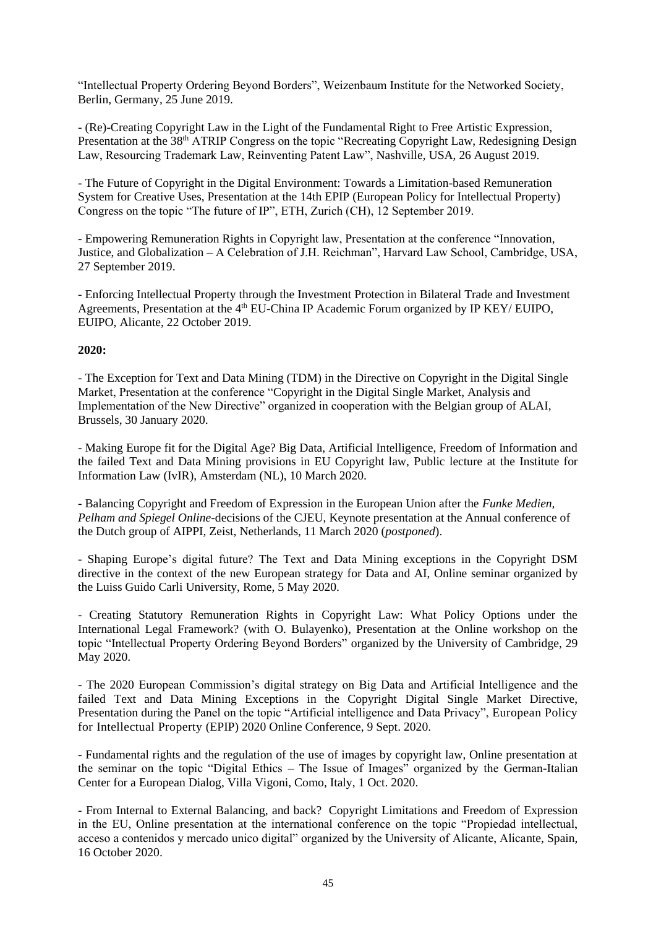"Intellectual Property Ordering Beyond Borders", Weizenbaum Institute for the Networked Society, Berlin, Germany, 25 June 2019.

- (Re)-Creating Copyright Law in the Light of the Fundamental Right to Free Artistic Expression, Presentation at the 38<sup>th</sup> ATRIP Congress on the topic "Recreating Copyright Law, Redesigning Design Law, Resourcing Trademark Law, Reinventing Patent Law", Nashville, USA, 26 August 2019.

- The Future of Copyright in the Digital Environment: Towards a Limitation-based Remuneration System for Creative Uses, Presentation at the 14th EPIP (European Policy for Intellectual Property) Congress on the topic "The future of IP", ETH, Zurich (CH), 12 September 2019.

- Empowering Remuneration Rights in Copyright law, Presentation at the conference "Innovation, Justice, and Globalization – A Celebration of J.H. Reichman", Harvard Law School, Cambridge, USA, 27 September 2019.

- Enforcing Intellectual Property through the Investment Protection in Bilateral Trade and Investment Agreements, Presentation at the 4<sup>th</sup> [EU-China IP Academic Forum](https://ipkey.eu/en/china/activities/fourth-eu-china-ip-academic-forum-context-eucipan) organized by IP KEY/ EUIPO, EUIPO, Alicante, 22 October 2019.

## **2020:**

- The Exception for Text and Data Mining (TDM) in the Directive on Copyright in the Digital Single Market, Presentation at the conference "Copyright in the Digital Single Market, Analysis and Implementation of the New Directive" organized in cooperation with the Belgian group of ALAI, Brussels, 30 January 2020.

- Making Europe fit for the Digital Age? Big Data, Artificial Intelligence, Freedom of Information and the failed Text and Data Mining provisions in EU Copyright law, Public lecture at the Institute for Information Law (IvIR), Amsterdam (NL), 10 March 2020.

- Balancing Copyright and Freedom of Expression in the European Union after the *Funke Medien, Pelham and Spiegel Online-*decisions of the CJEU, Keynote presentation at the Annual conference of the Dutch group of AIPPI, Zeist, Netherlands, 11 March 2020 (*postponed*).

- Shaping Europe's digital future? The Text and Data Mining exceptions in the Copyright DSM directive in the context of the new European strategy for Data and AI, Online seminar organized by the Luiss Guido Carli University, Rome, 5 May 2020.

- Creating Statutory Remuneration Rights in Copyright Law: What Policy Options under the International Legal Framework? (with O. Bulayenko), Presentation at the Online workshop on the topic "Intellectual Property Ordering Beyond Borders" organized by the University of Cambridge, 29 May 2020.

- The 2020 European Commission's digital strategy on Big Data and Artificial Intelligence and the failed Text and Data Mining Exceptions in the Copyright Digital Single Market Directive, Presentation during the Panel on the topic "Artificial intelligence and Data Privacy", European Policy for Intellectual Property (EPIP) 2020 Online Conference, 9 Sept. 2020.

- Fundamental rights and the regulation of the use of images by copyright law, Online presentation at the seminar on the topic "Digital Ethics – The Issue of Images" organized by the German-Italian Center for a European Dialog, Villa Vigoni, Como, Italy, 1 Oct. 2020.

- From Internal to External Balancing, and back? Copyright Limitations and Freedom of Expression in the EU, Online presentation at the international conference on the topic "Propiedad intellectual, acceso a contenidos y mercado unico digital" organized by the University of Alicante, Alicante, Spain, 16 October 2020.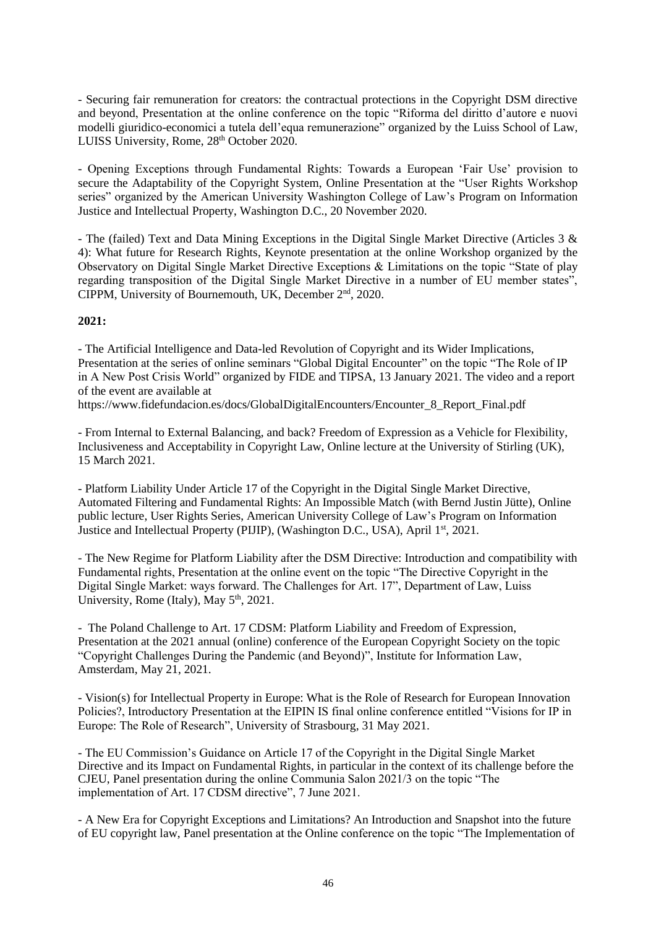- Securing fair remuneration for creators: the contractual protections in the Copyright DSM directive and beyond, Presentation at the online conference on the topic "Riforma del diritto d'autore e nuovi modelli giuridico-economici a tutela dell'equa remunerazione" organized by the Luiss School of Law, LUISS University, Rome, 28<sup>th</sup> October 2020.

- Opening Exceptions through Fundamental Rights: Towards a European 'Fair Use' provision to secure the Adaptability of the Copyright System, Online Presentation at the "User Rights Workshop series" organized by the American University Washington College of Law's Program on Information Justice and Intellectual Property, Washington D.C., 20 November 2020.

- The (failed) Text and Data Mining Exceptions in the Digital Single Market Directive (Articles 3 & 4): What future for Research Rights, Keynote presentation at the online Workshop organized by the Observatory on Digital Single Market Directive Exceptions & Limitations on the topic "State of play regarding transposition of the Digital Single Market Directive in a number of EU member states", CIPPM, University of Bournemouth, UK, December 2<sup>nd</sup>, 2020.

## **2021:**

- The Artificial Intelligence and Data-led Revolution of Copyright and its Wider Implications, Presentation at the series of online seminars "Global Digital Encounter" on the topic "The Role of IP in A New Post Crisis World" organized by FIDE and TIPSA, 13 January 2021. The video and a report of the event are available at

https://www.fidefundacion.es/docs/GlobalDigitalEncounters/Encounter\_8\_Report\_Final.pdf

- From Internal to External Balancing, and back? Freedom of Expression as a Vehicle for Flexibility, Inclusiveness and Acceptability in Copyright Law, Online lecture at the University of Stirling (UK), 15 March 2021.

- Platform Liability Under Article 17 of the Copyright in the Digital Single Market Directive, Automated Filtering and Fundamental Rights: An Impossible Match (with Bernd Justin Jütte), Online public lecture, User Rights Series, American University College of Law's Program on Information Justice and Intellectual Property (PIJIP), (Washington D.C., USA), April 1st, 2021.

- The New Regime for Platform Liability after the DSM Directive: Introduction and compatibility with Fundamental rights, Presentation at the online event on the topic "The Directive Copyright in the Digital Single Market: ways forward. The Challenges for Art. 17", Department of Law, Luiss University, Rome (Italy), May  $5<sup>th</sup>$ , 2021.

- The Poland Challenge to Art. 17 CDSM: Platform Liability and Freedom of Expression, Presentation at the 2021 annual (online) conference of the European Copyright Society on the topic "Copyright Challenges During the Pandemic (and Beyond)", Institute for Information Law, Amsterdam, May 21, 2021.

- Vision(s) for Intellectual Property in Europe: What is the Role of Research for European Innovation Policies?, Introductory Presentation at the EIPIN IS final online conference entitled "Visions for IP in Europe: The Role of Research", University of Strasbourg, 31 May 2021.

- The EU Commission's Guidance on Article 17 of the Copyright in the Digital Single Market Directive and its Impact on Fundamental Rights, in particular in the context of its challenge before the CJEU, Panel presentation during the online Communia Salon 2021/3 on the topic "The implementation of Art. 17 CDSM directive", 7 June 2021.

- A New Era for Copyright Exceptions and Limitations? An Introduction and Snapshot into the future of EU copyright law, Panel presentation at the Online conference on the topic "The Implementation of